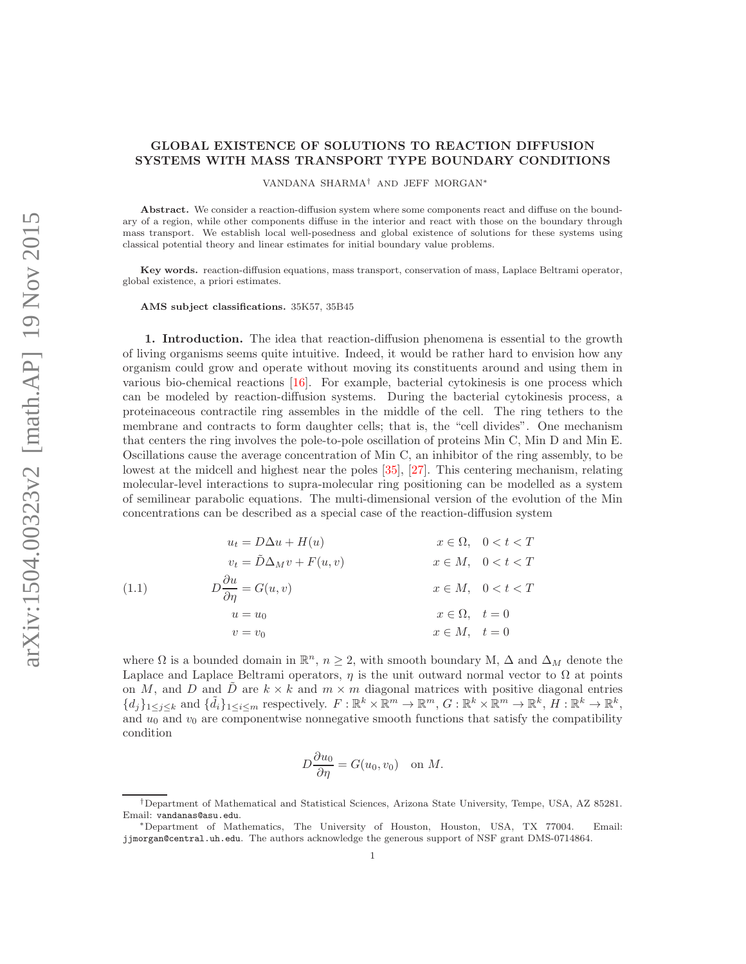# GLOBAL EXISTENCE OF SOLUTIONS TO REACTION DIFFUSION SYSTEMS WITH MASS TRANSPORT TYPE BOUNDARY CONDITIONS

VANDANA SHARMA† AND JEFF MORGAN<sup>∗</sup>

Abstract. We consider a reaction-diffusion system where some components react and diffuse on the boundary of a region, while other components diffuse in the interior and react with those on the boundary through mass transport. We establish local well-posedness and global existence of solutions for these systems using classical potential theory and linear estimates for initial boundary value problems.

Key words. reaction-diffusion equations, mass transport, conservation of mass, Laplace Beltrami operator, global existence, a priori estimates.

AMS subject classifications. 35K57, 35B45

1. Introduction. The idea that reaction-diffusion phenomena is essential to the growth of living organisms seems quite intuitive. Indeed, it would be rather hard to envision how any organism could grow and operate without moving its constituents around and using them in various bio-chemical reactions [16]. For example, bacterial cytokinesis is one process which can be modeled by reaction-diffusion systems. During the bacterial cytokinesis process, a proteinaceous contractile ring assembles in the middle of the cell. The ring tethers to the membrane and contracts to form daughter cells; that is, the "cell divides". One mechanism that centers the ring involves the pole-to-pole oscillation of proteins Min C, Min D and Min E. Oscillations cause the average concentration of Min C, an inhibitor of the ring assembly, to be lowest at the midcell and highest near the poles [35], [27]. This centering mechanism, relating molecular-level interactions to supra-molecular ring positioning can be modelled as a system of semilinear parabolic equations. The multi-dimensional version of the evolution of the Min concentrations can be described as a special case of the reaction-diffusion system

|       | $u_t = D\Delta u + H(u)$                   |                          | $x \in \Omega$ , $0 < t < T$ |
|-------|--------------------------------------------|--------------------------|------------------------------|
|       | $v_t = \overline{D}\Delta_M v + F(u, v)$   |                          | $x \in M$ , $0 < t < T$      |
| (1.1) | $D\frac{\partial u}{\partial n} = G(u, v)$ |                          | $x \in M$ , $0 < t < T$      |
|       | $u=u_0$                                    | $x \in \Omega$ , $t = 0$ |                              |
|       | $v=v_0$                                    | $x \in M$ , $t = 0$      |                              |

where  $\Omega$  is a bounded domain in  $\mathbb{R}^n$ ,  $n \geq 2$ , with smooth boundary M,  $\Delta$  and  $\Delta_M$  denote the Laplace and Laplace Beltrami operators,  $\eta$  is the unit outward normal vector to  $\Omega$  at points on M, and D and D are  $k \times k$  and  $m \times m$  diagonal matrices with positive diagonal entries  $\{d_j\}_{1\leq j\leq k}$  and  $\{\tilde{d}_i\}_{1\leq i\leq m}$  respectively.  $F: \mathbb{R}^k \times \mathbb{R}^m \to \mathbb{R}^m$ ,  $G: \mathbb{R}^k \times \mathbb{R}^m \to \mathbb{R}^k$ ,  $H: \mathbb{R}^k \to \mathbb{R}^k$ , and  $u_0$  and  $v_0$  are componentwise nonnegative smooth functions that satisfy the compatibility condition

$$
D\frac{\partial u_0}{\partial \eta} = G(u_0, v_0) \quad \text{on } M.
$$

<sup>†</sup>Department of Mathematical and Statistical Sciences, Arizona State University, Tempe, USA, AZ 85281. Email: vandanas@asu.edu.

<sup>∗</sup>Department of Mathematics, The University of Houston, Houston, USA, TX 77004. Email: jjmorgan@central.uh.edu. The authors acknowledge the generous support of NSF grant DMS-0714864.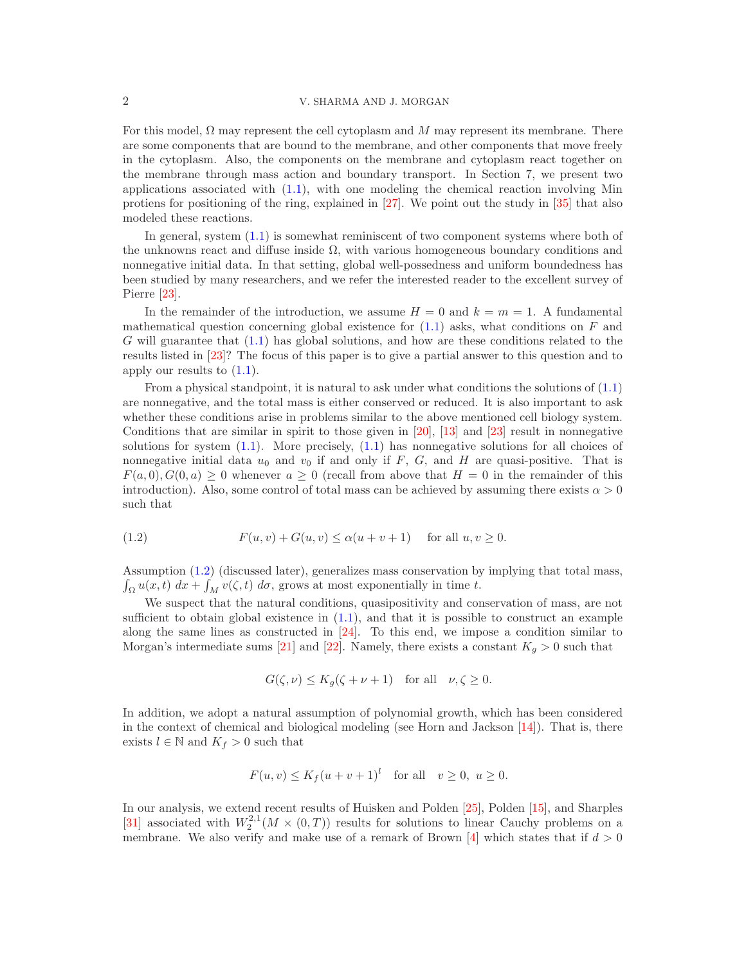For this model,  $\Omega$  may represent the cell cytoplasm and M may represent its membrane. There are some components that are bound to the membrane, and other components that move freely in the cytoplasm. Also, the components on the membrane and cytoplasm react together on the membrane through mass action and boundary transport. In Section 7, we present two applications associated with (1.1), with one modeling the chemical reaction involving Min protiens for positioning of the ring, explained in [27]. We point out the study in [35] that also modeled these reactions.

In general, system (1.1) is somewhat reminiscent of two component systems where both of the unknowns react and diffuse inside  $\Omega$ , with various homogeneous boundary conditions and nonnegative initial data. In that setting, global well-possedness and uniform boundedness has been studied by many researchers, and we refer the interested reader to the excellent survey of Pierre [23].

In the remainder of the introduction, we assume  $H = 0$  and  $k = m = 1$ . A fundamental mathematical question concerning global existence for  $(1.1)$  asks, what conditions on F and G will guarantee that (1.1) has global solutions, and how are these conditions related to the results listed in [23]? The focus of this paper is to give a partial answer to this question and to apply our results to  $(1.1)$ .

From a physical standpoint, it is natural to ask under what conditions the solutions of (1.1) are nonnegative, and the total mass is either conserved or reduced. It is also important to ask whether these conditions arise in problems similar to the above mentioned cell biology system. Conditions that are similar in spirit to those given in  $[20]$ ,  $[13]$  and  $[23]$  result in nonnegative solutions for system  $(1.1)$ . More precisely,  $(1.1)$  has nonnegative solutions for all choices of nonnegative initial data  $u_0$  and  $v_0$  if and only if F, G, and H are quasi-positive. That is  $F(a, 0), G(0, a) \ge 0$  whenever  $a \ge 0$  (recall from above that  $H = 0$  in the remainder of this introduction). Also, some control of total mass can be achieved by assuming there exists  $\alpha > 0$ such that

(1.2) 
$$
F(u, v) + G(u, v) \le \alpha (u + v + 1) \quad \text{for all } u, v \ge 0.
$$

Assumption (1.2) (discussed later), generalizes mass conservation by implying that total mass,  $\int_{\Omega} u(x, t) dx + \int_{M} v(\zeta, t) d\sigma$ , grows at most exponentially in time t.

We suspect that the natural conditions, quasipositivity and conservation of mass, are not sufficient to obtain global existence in  $(1.1)$ , and that it is possible to construct an example along the same lines as constructed in [24]. To this end, we impose a condition similar to Morgan's intermediate sums [21] and [22]. Namely, there exists a constant  $K_g > 0$  such that

$$
G(\zeta, \nu) \le K_g(\zeta + \nu + 1) \quad \text{for all} \quad \nu, \zeta \ge 0.
$$

In addition, we adopt a natural assumption of polynomial growth, which has been considered in the context of chemical and biological modeling (see Horn and Jackson  $[14]$ ). That is, there exists  $l \in \mathbb{N}$  and  $K_f > 0$  such that

$$
F(u, v) \le K_f(u + v + 1)^l \quad \text{for all} \quad v \ge 0, \ u \ge 0.
$$

In our analysis, we extend recent results of Huisken and Polden [25], Polden [15], and Sharples [31] associated with  $W_2^{2,1}(M\times (0,T))$  results for solutions to linear Cauchy problems on a membrane. We also verify and make use of a remark of Brown [4] which states that if  $d > 0$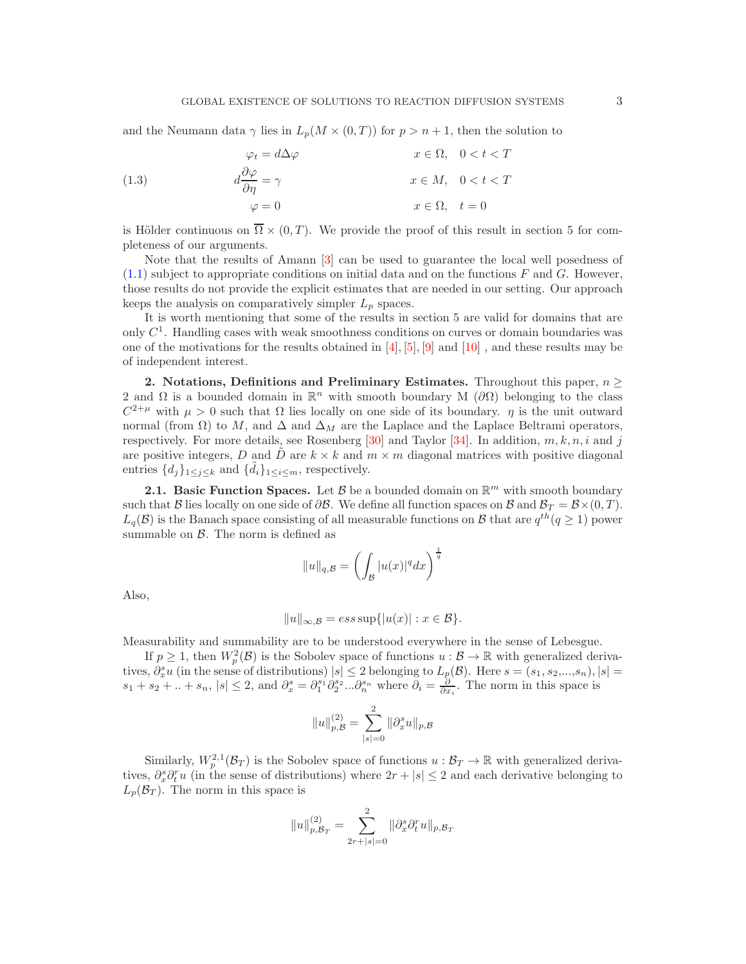and the Neumann data  $\gamma$  lies in  $L_p(M \times (0,T))$  for  $p > n+1$ , then the solution to

(1.3) 
$$
\varphi_t = d\Delta\varphi \qquad x \in \Omega, \quad 0 < t < T
$$

$$
d\frac{\partial\varphi}{\partial\eta} = \gamma \qquad x \in M, \quad 0 < t < T
$$

$$
\varphi = 0 \qquad x \in \Omega, \quad t = 0
$$

is Hölder continuous on  $\overline{\Omega} \times (0,T)$ . We provide the proof of this result in section 5 for completeness of our arguments.

Note that the results of Amann [3] can be used to guarantee the local well posedness of  $(1.1)$  subject to appropriate conditions on initial data and on the functions F and G. However, those results do not provide the explicit estimates that are needed in our setting. Our approach keeps the analysis on comparatively simpler  $L_p$  spaces.

It is worth mentioning that some of the results in section 5 are valid for domains that are only  $C<sup>1</sup>$ . Handling cases with weak smoothness conditions on curves or domain boundaries was one of the motivations for the results obtained in  $[4]$ ,  $[5]$ ,  $[9]$  and  $[10]$ , and these results may be of independent interest.

2. Notations, Definitions and Preliminary Estimates. Throughout this paper,  $n \geq$ 2 and  $\Omega$  is a bounded domain in  $\mathbb{R}^n$  with smooth boundary M  $(\partial\Omega)$  belonging to the class  $C^{2+\mu}$  with  $\mu > 0$  such that  $\Omega$  lies locally on one side of its boundary.  $\eta$  is the unit outward normal (from  $\Omega$ ) to M, and  $\Delta$  and  $\Delta_M$  are the Laplace and the Laplace Beltrami operators, respectively. For more details, see Rosenberg  $[30]$  and Taylor  $[34]$ . In addition,  $m, k, n, i$  and j are positive integers, D and D are  $k \times k$  and  $m \times m$  diagonal matrices with positive diagonal entries  $\{d_j\}_{1 \leq j \leq k}$  and  $\{\tilde{d}_i\}_{1 \leq i \leq m}$ , respectively.

**2.1. Basic Function Spaces.** Let  $\mathcal{B}$  be a bounded domain on  $\mathbb{R}^m$  with smooth boundary such that B lies locally on one side of  $\partial \mathcal{B}$ . We define all function spaces on B and  $\mathcal{B}_T = \mathcal{B} \times (0,T)$ .  $L_q(\mathcal{B})$  is the Banach space consisting of all measurable functions on  $\mathcal{B}$  that are  $q^{th}(q \geq 1)$  power summable on  $\beta$ . The norm is defined as

$$
||u||_{q,\mathcal{B}} = \left(\int_{\mathcal{B}} |u(x)|^q dx\right)^{\frac{1}{q}}
$$

Also,

$$
||u||_{\infty,\mathcal{B}} = ess \sup\{|u(x)| : x \in \mathcal{B}\}.
$$

Measurability and summability are to be understood everywhere in the sense of Lebesgue.

If  $p \geq 1$ , then  $W_p^2(\mathcal{B})$  is the Sobolev space of functions  $u : \mathcal{B} \to \mathbb{R}$  with generalized derivatives,  $\partial_x^s u$  (in the sense of distributions)  $|s| \leq 2$  belonging to  $L_p(\mathcal{B})$ . Here  $s = (s_1, s_2, ..., s_n), |s| =$  $s_1 + s_2 + ... + s_n$ ,  $|s| \leq 2$ , and  $\partial_x^s = \partial_1^{s_1} \partial_2^{s_2} ... \partial_n^{s_n}$  where  $\partial_i = \frac{\partial}{\partial x_i}$ . The norm in this space is

$$
\|u\|_{p,\mathcal{B}}^{(2)}=\sum_{|s|=0}^2\|\partial_x^s u\|_{p,\mathcal{B}}
$$

Similarly,  $W_p^{2,1}(\mathcal{B}_T)$  is the Sobolev space of functions  $u : \mathcal{B}_T \to \mathbb{R}$  with generalized derivatives,  $\partial_x^s \partial_t^r u$  (in the sense of distributions) where  $2r + |s| \leq 2$  and each derivative belonging to  $L_p(\mathcal{B}_T)$ . The norm in this space is

$$
||u||_{p,\mathcal{B}_T}^{(2)} = \sum_{2r+|s|=0}^{2} ||\partial_x^s \partial_t^r u||_{p,\mathcal{B}_T}
$$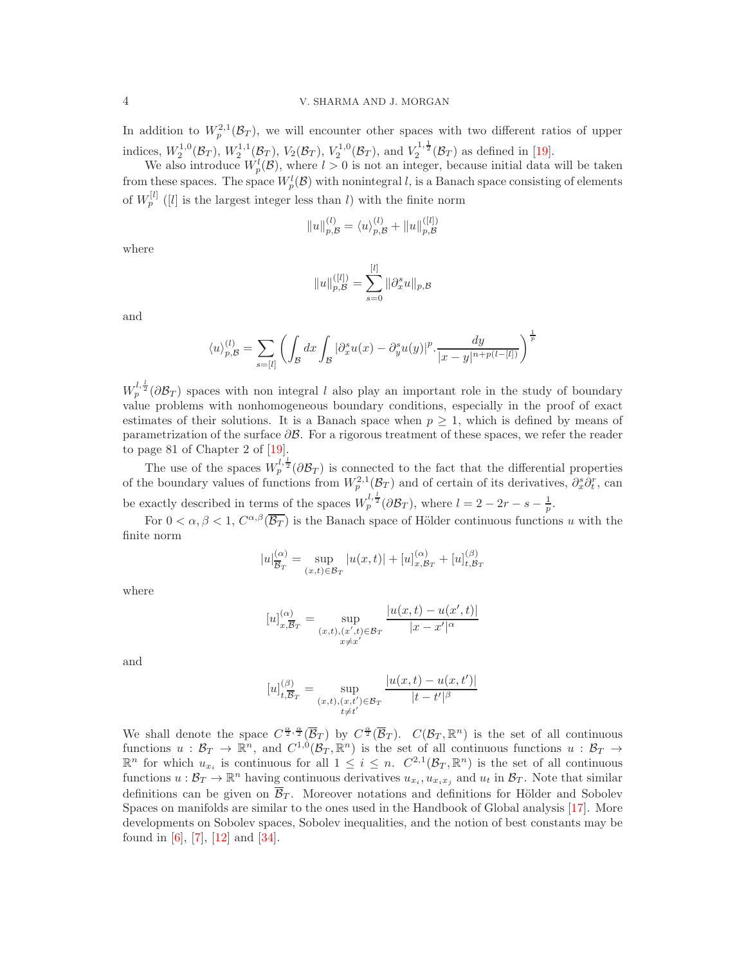In addition to  $W_p^{2,1}(\mathcal{B}_T)$ , we will encounter other spaces with two different ratios of upper indices,  $W_2^{1,0}(\mathcal{B}_T)$ ,  $W_2^{1,1}(\mathcal{B}_T)$ ,  $V_2(\mathcal{B}_T)$ ,  $V_2^{1,0}(\mathcal{B}_T)$ , and  $V_2^{1,\frac{1}{2}}(\mathcal{B}_T)$  as defined in [19].

We also introduce  $W_p^l(\mathcal{B})$ , where  $l > 0$  is not an integer, because initial data will be taken from these spaces. The space  $W_p^l(\mathcal{B})$  with nonintegral l, is a Banach space consisting of elements of  $W_p^{[l]}$  ([l] is the largest integer less than l) with the finite norm

$$
||u||_{p,\mathcal{B}}^{(l)} = \langle u \rangle_{p,\mathcal{B}}^{(l)} + ||u||_{p,\mathcal{B}}^{([l])}
$$

where

$$
||u||_{p,\mathcal{B}}^{([l])} = \sum_{s=0}^{[l]} ||\partial_x^s u||_{p,\mathcal{B}}
$$

and

$$
\langle u \rangle_{p,\mathcal{B}}^{(l)} = \sum_{s=[l]} \left( \int_{\mathcal{B}} dx \int_{\mathcal{B}} |\partial_x^s u(x) - \partial_y^s u(y)|^p \cdot \frac{dy}{|x - y|^{n + p(l - [l])}} \right)^{\frac{1}{p}}
$$

 $W_p^{l, \frac{1}{2}}(\partial \mathcal{B}_T)$  spaces with non integral l also play an important role in the study of boundary value problems with nonhomogeneous boundary conditions, especially in the proof of exact estimates of their solutions. It is a Banach space when  $p \geq 1$ , which is defined by means of parametrization of the surface  $\partial \mathcal{B}$ . For a rigorous treatment of these spaces, we refer the reader to page 81 of Chapter 2 of [19].

The use of the spaces  $W_p^{l, \frac{1}{2}}(\partial \mathcal{B}_T)$  is connected to the fact that the differential properties of the boundary values of functions from  $W_p^{2,1}(\mathcal{B}_T)$  and of certain of its derivatives,  $\partial_x^s \partial_t^r$ , can be exactly described in terms of the spaces  $W_p^{l, \frac{1}{2}}(\partial \mathcal{B}_T)$ , where  $l = 2 - 2r - s - \frac{1}{p}$ .

For  $0 < \alpha, \beta < 1$ ,  $C^{\alpha,\beta}(\overline{\mathcal{B}_T})$  is the Banach space of Hölder continuous functions u with the finite norm

$$
|u|_{\overline{\mathcal{B}}_T}^{(\alpha)} = \sup_{(x,t)\in\mathcal{B}_T} |u(x,t)| + [u]_{x,\mathcal{B}_T}^{(\alpha)} + [u]_{t,\mathcal{B}_T}^{(\beta)}
$$

where

$$
[u]_{x,\overline{\mathcal{B}}_T}^{(\alpha)} = \sup_{\substack{(x,t),(x',t)\in\mathcal{B}_T \\ x\neq x'}} \frac{|u(x,t)-u(x',t)|}{|x-x'|^{\alpha}}
$$

and

$$
[u]_{t,\overline{\mathcal{B}}_T}^{(\beta)} = \sup_{\substack{(x,t),(x,t') \in \mathcal{B}_T}} \frac{|u(x,t) - u(x,t')|}{|t - t'|^{\beta}}
$$

We shall denote the space  $C^{\frac{\alpha}{2}, \frac{\alpha}{2}}(\overline{\mathcal{B}}_T)$  by  $C^{\frac{\alpha}{2}}(\overline{\mathcal{B}}_T)$ .  $C(\mathcal{B}_T, \mathbb{R}^n)$  is the set of all continuous functions  $u : \mathcal{B}_T \to \mathbb{R}^n$ , and  $C^{1,0}(\mathcal{B}_T, \mathbb{R}^n)$  is the set of all continuous functions  $u : \mathcal{B}_T \to$  $\mathbb{R}^n$  for which  $u_{x_i}$  is continuous for all  $1 \leq i \leq n$ .  $C^{2,1}(\mathcal{B}_T, \mathbb{R}^n)$  is the set of all continuous functions  $u : \mathcal{B}_T \to \mathbb{R}^n$  having continuous derivatives  $u_{x_i}, u_{x_ix_j}$  and  $u_t$  in  $\mathcal{B}_T$ . Note that similar definitions can be given on  $\overline{B}_T$ . Moreover notations and definitions for Hölder and Sobolev Spaces on manifolds are similar to the ones used in the Handbook of Global analysis [17]. More developments on Sobolev spaces, Sobolev inequalities, and the notion of best constants may be found in [6], [7], [12] and [34].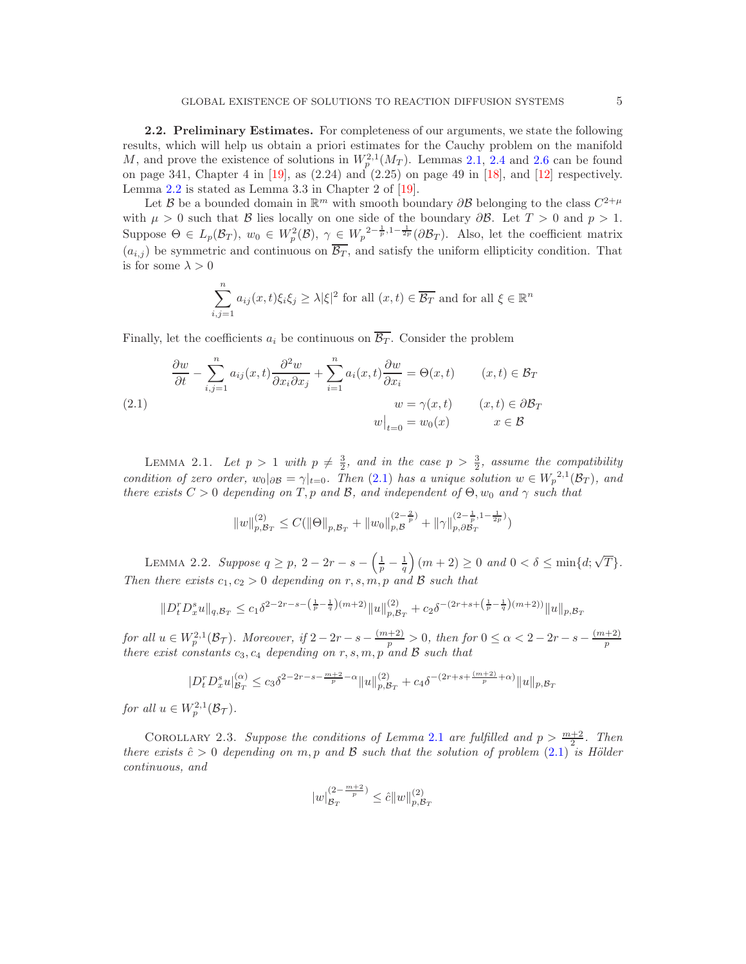2.2. Preliminary Estimates. For completeness of our arguments, we state the following results, which will help us obtain a priori estimates for the Cauchy problem on the manifold M, and prove the existence of solutions in  $W_p^{2,1}(M_T)$ . Lemmas 2.1, 2.4 and 2.6 can be found on page 341, Chapter 4 in  $[19]$ , as  $(2.24)$  and  $(2.25)$  on page 49 in  $[18]$ , and  $[12]$  respectively. Lemma 2.2 is stated as Lemma 3.3 in Chapter 2 of [19].

Let B be a bounded domain in  $\mathbb{R}^m$  with smooth boundary  $\partial \mathcal{B}$  belonging to the class  $C^{2+\mu}$ with  $\mu > 0$  such that B lies locally on one side of the boundary  $\partial \mathcal{B}$ . Let  $T > 0$  and  $p > 1$ . Suppose  $\Theta \in L_p(\mathcal{B}_T)$ ,  $w_0 \in W_p^2(\mathcal{B})$ ,  $\gamma \in W_p^{2-\frac{1}{p},1-\frac{1}{2p}}(\partial \mathcal{B}_T)$ . Also, let the coefficient matrix  $(a_{i,j})$  be symmetric and continuous on  $\mathcal{B}_T$ , and satisfy the uniform ellipticity condition. That is for some  $\lambda > 0$ 

$$
\sum_{i,j=1}^{n} a_{ij}(x,t)\xi_i\xi_j \ge \lambda |\xi|^2 \text{ for all } (x,t) \in \overline{\mathcal{B}_T} \text{ and for all } \xi \in \mathbb{R}^n
$$

Finally, let the coefficients  $a_i$  be continuous on  $\overline{\mathcal{B}_T}$ . Consider the problem

(2.1) 
$$
\frac{\partial w}{\partial t} - \sum_{i,j=1}^{n} a_{ij}(x,t) \frac{\partial^2 w}{\partial x_i \partial x_j} + \sum_{i=1}^{n} a_i(x,t) \frac{\partial w}{\partial x_i} = \Theta(x,t) \qquad (x,t) \in \mathcal{B}_T
$$

$$
w = \gamma(x,t) \qquad (x,t) \in \partial \mathcal{B}_T
$$

$$
w|_{t=0} = w_0(x) \qquad x \in \mathcal{B}
$$

LEMMA 2.1. Let  $p > 1$  with  $p \neq \frac{3}{2}$ , and in the case  $p > \frac{3}{2}$ , assume the compatibility condition of zero order,  $w_0|_{\partial \mathcal{B}} = \gamma|_{t=0}$ . Then (2.1) has a unique solution  $w \in W_p^{2,1}(\mathcal{B}_T)$ , and there exists  $C > 0$  depending on T, p and B, and independent of  $\Theta$ ,  $w_0$  and  $\gamma$  such that

$$
||w||_{p,\mathcal{B}_T}^{(2)} \leq C(||\Theta||_{p,\mathcal{B}_T} + ||w_0||_{p,\mathcal{B}}^{(2-\frac{2}{p})} + ||\gamma||_{p,\partial\mathcal{B}_T}^{(2-\frac{1}{p},1-\frac{1}{2p})})
$$

LEMMA 2.2. Suppose  $q \ge p$ ,  $2 - 2r - s - \left(\frac{1}{p} - \frac{1}{q}\right)(m+2) \ge 0$  and  $0 < \delta \le \min\{d; \sqrt{T}\}.$ Then there exists  $c_1, c_2 > 0$  depending on r, s, m, p and B such that

$$
||D_t^r D_x^s u||_{q,\mathcal{B}_T} \leq c_1 \delta^{2-2r-s-\left(\frac{1}{p}-\frac{1}{q}\right)(m+2)} ||u||_{p,\mathcal{B}_T}^{(2)} + c_2 \delta^{-(2r+s+\left(\frac{1}{p}-\frac{1}{q}\right)(m+2))} ||u||_{p,\mathcal{B}_T}
$$

for all  $u \in W_p^{2,1}(\mathcal{B}_\mathcal{T})$ . Moreover, if  $2 - 2r - s - \frac{(m+2)}{p} > 0$ , then for  $0 \leq \alpha < 2 - 2r - s - \frac{(m+2)}{p}$ there exist constants  $c_3$ ,  $c_4$  depending on  $r$ ,  $s$ ,  $m$ ,  $p$  and  $B$  such that

$$
|D_t^r D_x^s u|_{\mathcal{B}_T}^{(\alpha)} \le c_3 \delta^{2-2r-s-\frac{m+2}{p}-\alpha} \|u\|_{p,\mathcal{B}_T}^{(2)} + c_4 \delta^{-(2r+s+\frac{(m+2)}{p}+\alpha)} \|u\|_{p,\mathcal{B}_T}
$$

for all  $u \in W_p^{2,1}(\mathcal{B}_{\mathcal{T}})$ .

COROLLARY 2.3. Suppose the conditions of Lemma 2.1 are fulfilled and  $p > \frac{m+2}{2}$ . Then there exists  $\hat{c} > 0$  depending on m, p and B such that the solution of problem  $(2.1)$  is Hölder continuous, and

$$
|w|_{\mathcal{B}_T}^{(2-\frac{m+2}{p})} \leq \hat{c} ||w||_{p,\mathcal{B}_T}^{(2)}
$$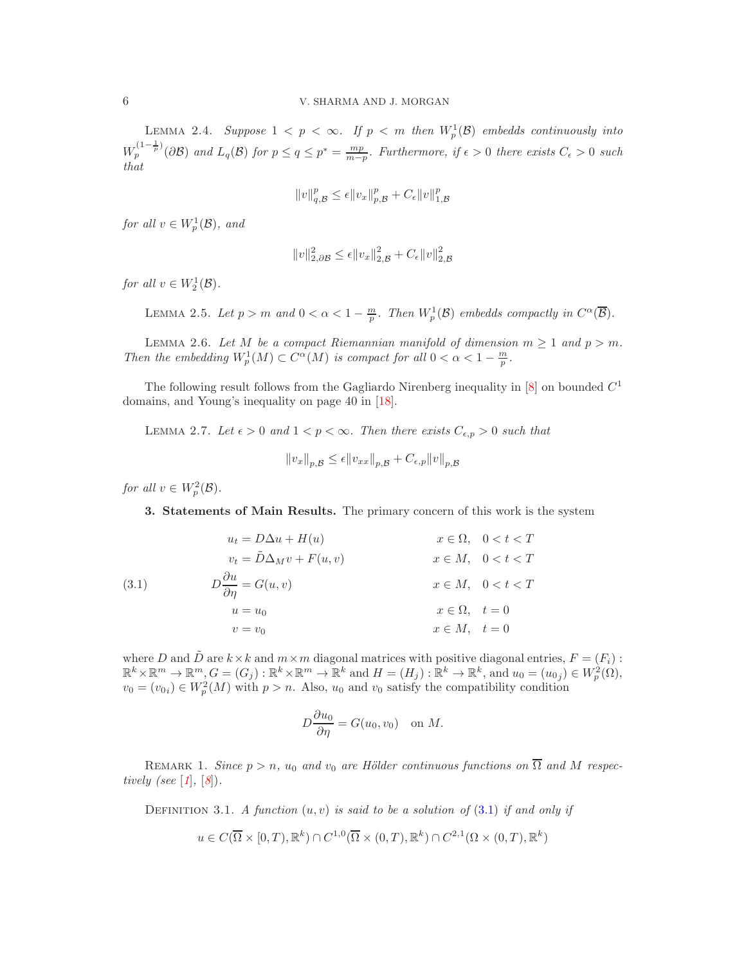LEMMA 2.4. Suppose  $1 < p < \infty$ . If  $p < m$  then  $W_p^1(\mathcal{B})$  embedds continuously into  $W_p^{(1-\frac{1}{p})}(\partial \mathcal{B})$  and  $L_q(\mathcal{B})$  for  $p \le q \le p^* = \frac{mp}{m-p}$ . Furthermore, if  $\epsilon > 0$  there exists  $C_{\epsilon} > 0$  such that

$$
||v||_{q,\mathcal{B}}^p \leq \epsilon ||v_x||_{p,\mathcal{B}}^p + C_{\epsilon} ||v||_{1,\mathcal{B}}^p
$$

for all  $v \in W_p^1(\mathcal{B})$ , and

$$
||v||_{2,\partial\mathcal{B}}^2 \leq \epsilon ||v_x||_{2,\mathcal{B}}^2 + C_{\epsilon} ||v||_{2,\mathcal{B}}^2
$$

for all  $v \in W_2^1(\mathcal{B})$ .

LEMMA 2.5. Let  $p > m$  and  $0 < \alpha < 1 - \frac{m}{p}$ . Then  $W_p^1(\mathcal{B})$  embedds compactly in  $C^{\alpha}(\overline{\mathcal{B}})$ .

LEMMA 2.6. Let M be a compact Riemannian manifold of dimension  $m \ge 1$  and  $p > m$ . Then the embedding  $W_p^1(M) \subset C^{\alpha}(M)$  is compact for all  $0 < \alpha < 1 - \frac{m}{p}$ .

The following result follows from the Gagliardo Nirenberg inequality in  $[8]$  on bounded  $C<sup>1</sup>$ domains, and Young's inequality on page 40 in [18].

LEMMA 2.7. Let  $\epsilon > 0$  and  $1 < p < \infty$ . Then there exists  $C_{\epsilon,p} > 0$  such that

$$
||v_x||_{p,\mathcal{B}} \le \epsilon ||v_{xx}||_{p,\mathcal{B}} + C_{\epsilon,p} ||v||_{p,\mathcal{B}}
$$

for all  $v \in W_p^2(\mathcal{B})$ .

3. Statements of Main Results. The primary concern of this work is the system

(3.1)  
\n
$$
u_{t} = D\Delta u + H(u)
$$
\n
$$
v_{t} = \tilde{D}\Delta_{M}v + F(u, v)
$$
\n
$$
u = G(u, v)
$$
\n
$$
u = u_{0}
$$
\n
$$
u = v_{0}
$$
\n
$$
x \in \Omega, \quad 0 < t < T
$$
\n
$$
x \in M, \quad 0 < t < T
$$
\n
$$
x \in M, \quad 0 < t < T
$$
\n
$$
x \in \Omega, \quad t = 0
$$
\n
$$
x \in M, \quad t = 0
$$

where D and  $\tilde{D}$  are  $k \times k$  and  $m \times m$  diagonal matrices with positive diagonal entries,  $F = (F_i)$ :<br>  $\mathbb{R}^k \times \mathbb{R}^m \to \mathbb{R}^m$ ,  $G = (G_j) : \mathbb{R}^k \times \mathbb{R}^m \to \mathbb{R}^k$  and  $H = (H_j) : \mathbb{R}^k \to \mathbb{R}^k$ , and  $u_0 = (u_{0j$  $v_0 = (v_{0i}) \in W_p^2(M)$  with  $p > n$ . Also,  $u_0$  and  $v_0$  satisfy the compatibility condition

$$
D\frac{\partial u_0}{\partial \eta} = G(u_0, v_0) \quad \text{on } M.
$$

REMARK 1. Since  $p > n$ ,  $u_0$  and  $v_0$  are Hölder continuous functions on  $\overline{\Omega}$  and M respectively (see [1],  $[8]$ ).

DEFINITION 3.1. A function  $(u, v)$  is said to be a solution of  $(3.1)$  if and only if

$$
u \in C(\overline{\Omega} \times [0,T), \mathbb{R}^k) \cap C^{1,0}(\overline{\Omega} \times (0,T), \mathbb{R}^k) \cap C^{2,1}(\Omega \times (0,T), \mathbb{R}^k)
$$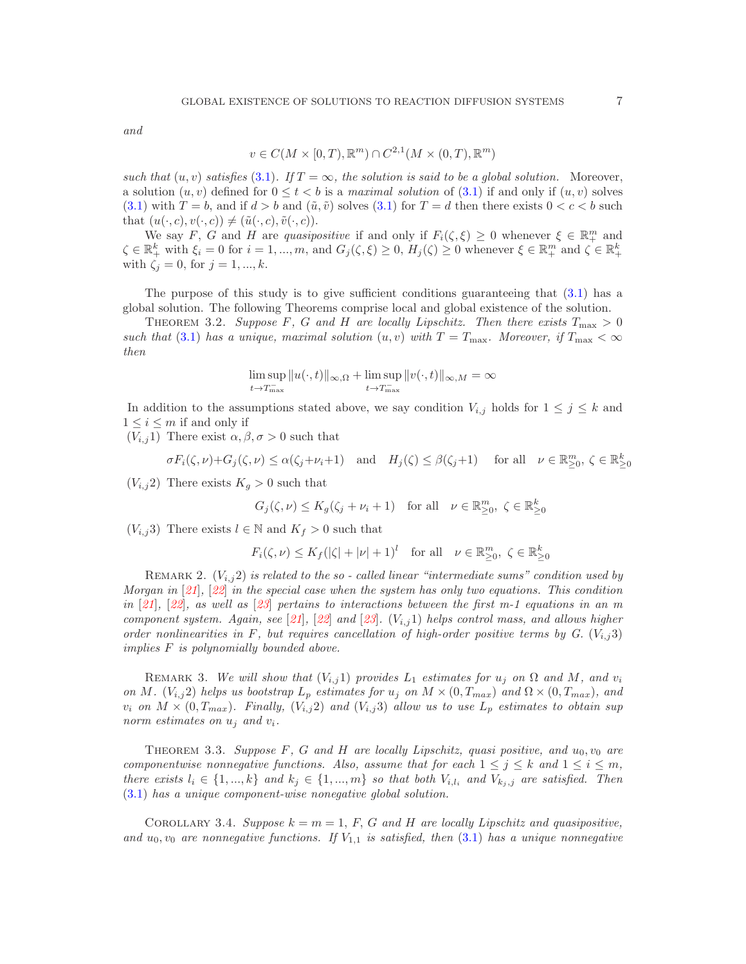and

$$
v \in C(M \times [0, T), \mathbb{R}^m) \cap C^{2,1}(M \times (0, T), \mathbb{R}^m)
$$

such that  $(u, v)$  satisfies (3.1). If  $T = \infty$ , the solution is said to be a global solution. Moreover, a solution  $(u, v)$  defined for  $0 \le t < b$  is a maximal solution of  $(3.1)$  if and only if  $(u, v)$  solves (3.1) with  $T = b$ , and if  $d > b$  and  $(\tilde{u}, \tilde{v})$  solves (3.1) for  $T = d$  then there exists  $0 < c < b$  such that  $(u(\cdot, c), v(\cdot, c)) \neq (\tilde{u}(\cdot, c), \tilde{v}(\cdot, c)).$ 

We say F, G and H are quasipositive if and only if  $F_i(\zeta,\xi) \geq 0$  whenever  $\xi \in \mathbb{R}^m_+$  and  $\zeta \in \mathbb{R}_+^k$  with  $\xi_i = 0$  for  $i = 1, ..., m$ , and  $G_j(\zeta, \xi) \geq 0$ ,  $H_j(\zeta) \geq 0$  whenever  $\xi \in \mathbb{R}_+^m$  and  $\zeta \in \mathbb{R}_+^k$ with  $\zeta_j = 0$ , for  $j = 1, ..., k$ .

The purpose of this study is to give sufficient conditions guaranteeing that (3.1) has a global solution. The following Theorems comprise local and global existence of the solution.

THEOREM 3.2. Suppose F, G and H are locally Lipschitz. Then there exists  $T_{\text{max}} > 0$ such that (3.1) has a unique, maximal solution  $(u, v)$  with  $T = T_{\text{max}}$ . Moreover, if  $T_{\text{max}} < \infty$ then

$$
\limsup_{t \to T_{\text{max}}^-} ||u(\cdot, t)||_{\infty, \Omega} + \limsup_{t \to T_{\text{max}}^-} ||v(\cdot, t)||_{\infty, M} = \infty
$$

In addition to the assumptions stated above, we say condition  $V_{i,j}$  holds for  $1 \leq j \leq k$  and  $1 \leq i \leq m$  if and only if

 $(V_{i,j}1)$  There exist  $\alpha, \beta, \sigma > 0$  such that

$$
\sigma F_i(\zeta, \nu) + G_j(\zeta, \nu) \le \alpha(\zeta_j + \nu_i + 1) \quad \text{and} \quad H_j(\zeta) \le \beta(\zeta_j + 1) \quad \text{for all} \quad \nu \in \mathbb{R}_{\ge 0}^m, \ \zeta \in \mathbb{R}_{\ge 0}^k
$$

 $(V_{i,j}2)$  There exists  $K_q > 0$  such that

$$
G_j(\zeta,\nu) \le K_g(\zeta_j + \nu_i + 1) \quad \text{for all} \quad \nu \in \mathbb{R}_{\ge 0}^m, \ \zeta \in \mathbb{R}_{\ge 0}^k
$$

 $(V_{i,j}3)$  There exists  $l \in \mathbb{N}$  and  $K_f > 0$  such that

$$
F_i(\zeta,\nu) \le K_f(|\zeta| + |\nu| + 1)^l \quad \text{for all} \quad \nu \in \mathbb{R}_{\ge 0}^m, \ \zeta \in \mathbb{R}_{\ge 0}^k
$$

REMARK 2.  $(V_{i,j}2)$  is related to the so-called linear "intermediate sums" condition used by Morgan in  $[21]$ ,  $[22]$  in the special case when the system has only two equations. This condition in [21], [22], as well as [23] pertains to interactions between the first m-1 equations in an m component system. Again, see [21], [22] and [23].  $(V_{i,j}1)$  helps control mass, and allows higher order nonlinearities in F, but requires cancellation of high-order positive terms by G.  $(V_{i,j}3)$ implies F is polynomially bounded above.

REMARK 3. We will show that  $(V_{i,j}1)$  provides  $L_1$  estimates for  $u_j$  on  $\Omega$  and  $M$ , and  $v_i$ on M.  $(V_{i,j}2)$  helps us bootstrap  $L_p$  estimates for  $u_j$  on  $M \times (0, T_{max})$  and  $\Omega \times (0, T_{max})$ , and  $v_i$  on  $M \times (0, T_{max})$ . Finally,  $(V_{i,j}2)$  and  $(V_{i,j}3)$  allow us to use  $L_p$  estimates to obtain sup norm estimates on  $u_j$  and  $v_i$ .

THEOREM 3.3. Suppose F, G and H are locally Lipschitz, quasi positive, and  $u_0, v_0$  are componentwise nonnegative functions. Also, assume that for each  $1 \leq j \leq k$  and  $1 \leq i \leq m$ , there exists  $l_i \in \{1, ..., k\}$  and  $k_j \in \{1, ..., m\}$  so that both  $V_{i,l_i}$  and  $V_{k_i,j}$  are satisfied. Then (3.1) has a unique component-wise nonegative global solution.

COROLLARY 3.4. Suppose  $k = m = 1, F, G$  and H are locally Lipschitz and quasipositive, and  $u_0, v_0$  are nonnegative functions. If  $V_{1,1}$  is satisfied, then (3.1) has a unique nonnegative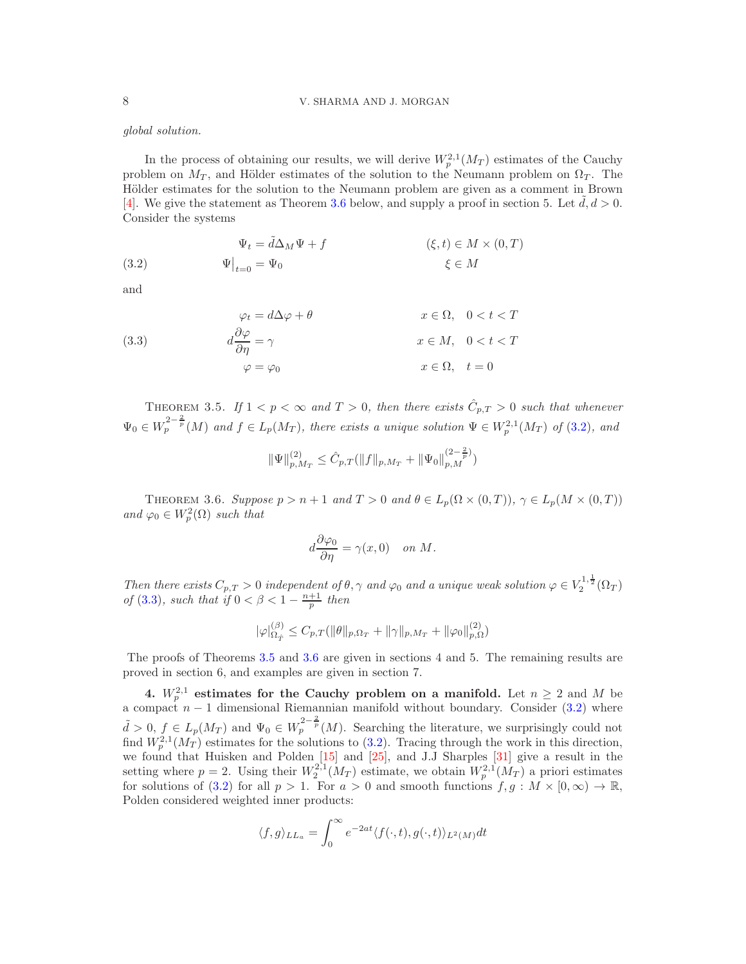global solution.

In the process of obtaining our results, we will derive  $W_p^{2,1}(M_T)$  estimates of the Cauchy problem on  $M_T$ , and Hölder estimates of the solution to the Neumann problem on  $\Omega_T$ . The Hölder estimates for the solution to the Neumann problem are given as a comment in Brown [4]. We give the statement as Theorem 3.6 below, and supply a proof in section 5. Let  $\ddot{d}$ ,  $d > 0$ . Consider the systems

(3.2) 
$$
\Psi_t = \tilde{d}\Delta_M \Psi + f \qquad (\xi, t) \in M \times (0, T)
$$

$$
\Psi\big|_{t=0} = \Psi_0 \qquad \xi \in M
$$

and

(3.3) 
$$
\varphi_t = d\Delta\varphi + \theta \qquad x \in \Omega, \quad 0 < t < T
$$

$$
d\frac{\partial\varphi}{\partial\eta} = \gamma \qquad x \in M, \quad 0 < t < T
$$

$$
\varphi = \varphi_0 \qquad x \in \Omega, \quad t = 0
$$

THEOREM 3.5. If  $1 < p < \infty$  and  $T > 0$ , then there exists  $\hat{C}_{p,T} > 0$  such that whenever  $\Psi_0 \in W_p^{2-\frac{2}{p}}(M)$  and  $f \in L_p(M_T)$ , there exists a unique solution  $\Psi \in W_p^{2,1}(M_T)$  of (3.2), and

$$
\|\Psi\|_{p,M_T}^{(2)} \leq \hat{C}_{p,T}(\|f\|_{p,M_T} + \|\Psi_0\|_{p,M}^{(2-\frac{2}{p})})
$$

THEOREM 3.6. Suppose  $p > n + 1$  and  $T > 0$  and  $\theta \in L_p(\Omega \times (0,T))$ ,  $\gamma \in L_p(M \times (0,T))$ and  $\varphi_0 \in W_p^2(\Omega)$  such that

$$
d\frac{\partial\varphi_0}{\partial\eta}=\gamma(x,0)\quad on\ M.
$$

Then there exists  $C_{p,T} > 0$  independent of  $\theta, \gamma$  and  $\varphi_0$  and a unique weak solution  $\varphi \in V_2^{1,\frac{1}{2}}(\Omega_T)$ of (3.3), such that if  $0 < \beta < 1 - \frac{n+1}{p}$  then

$$
|\varphi|^{(\beta)}_{\Omega_{\hat{T}}}\leq C_{p,T}(\|\theta\|_{p,\Omega_T}+\|\gamma\|_{p,M_T}+\|\varphi_0\|^{(2)}_{p,\Omega})
$$

The proofs of Theorems 3.5 and 3.6 are given in sections 4 and 5. The remaining results are proved in section 6, and examples are given in section 7.

4.  $W_p^{2,1}$  estimates for the Cauchy problem on a manifold. Let  $n \geq 2$  and M be a compact  $n-1$  dimensional Riemannian manifold without boundary. Consider (3.2) where  $\tilde{d} > 0, f \in L_p(M_T)$  and  $\Psi_0 \in W_p^{2-\frac{2}{p}}(M)$ . Searching the literature, we surprisingly could not find  $W_p^{2,1}(M_T)$  estimates for the solutions to (3.2). Tracing through the work in this direction, we found that Huisken and Polden [15] and [25], and J.J Sharples [31] give a result in the setting where  $p = 2$ . Using their  $W_2^{2,1}(M_T)$  estimate, we obtain  $W_p^{2,1}(M_T)$  a priori estimates for solutions of (3.2) for all  $p > 1$ . For  $a > 0$  and smooth functions  $f, g : M \times [0, \infty) \to \mathbb{R}$ , Polden considered weighted inner products:

$$
\langle f, g \rangle_{LL_a} = \int_0^\infty e^{-2at} \langle f(\cdot, t), g(\cdot, t) \rangle_{L^2(M)} dt
$$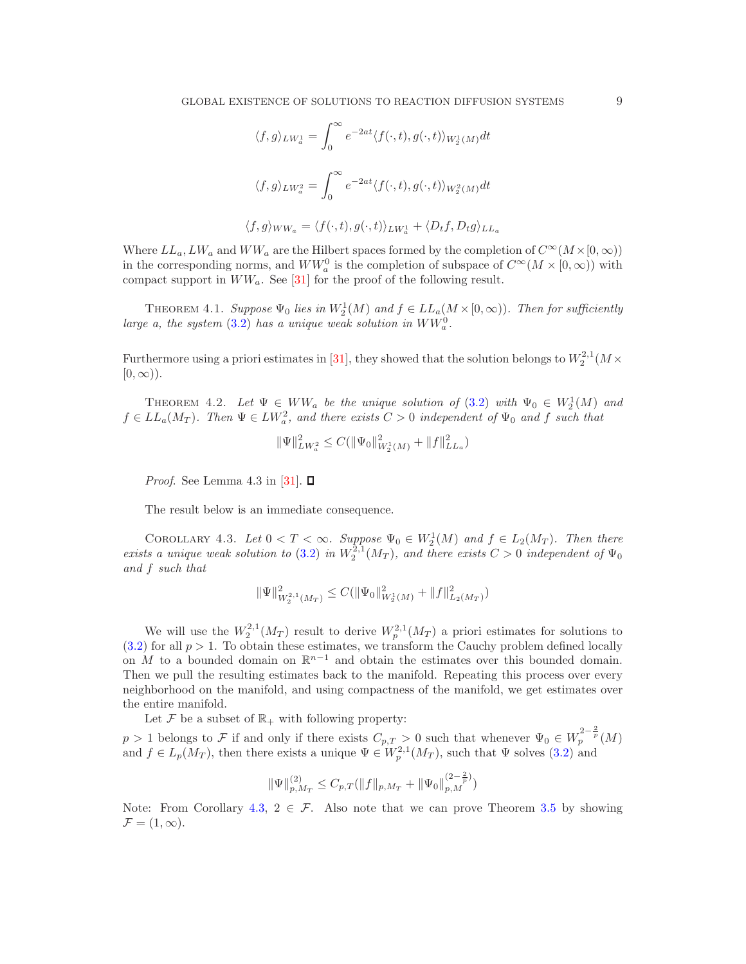$$
\langle f, g \rangle_{LW_a^1} = \int_0^\infty e^{-2at} \langle f(\cdot, t), g(\cdot, t) \rangle_{W_a^1(M)} dt
$$
  

$$
\langle f, g \rangle_{LW_a^2} = \int_0^\infty e^{-2at} \langle f(\cdot, t), g(\cdot, t) \rangle_{W_a^2(M)} dt
$$
  

$$
\langle f, g \rangle_{WW_a} = \langle f(\cdot, t), g(\cdot, t) \rangle_{LW_a^1} + \langle D_t f, D_t g \rangle_{LL_a}
$$

Where  $LL_a, LW_a$  and  $WW_a$  are the Hilbert spaces formed by the completion of  $C^{\infty}(M\times [0,\infty))$ in the corresponding norms, and  $WW_a^0$  is the completion of subspace of  $C^{\infty}(M \times [0, \infty))$  with compact support in  $WW_a$ . See [31] for the proof of the following result.

THEOREM 4.1. Suppose  $\Psi_0$  lies in  $W_2^1(M)$  and  $f \in LL_a(M \times [0, \infty))$ . Then for sufficiently large a, the system  $(3.2)$  has a unique weak solution in  $WW_a^0$ .

Furthermore using a priori estimates in [31], they showed that the solution belongs to  $W_2^{2,1}(M \times$  $[0, \infty)$ ).

THEOREM 4.2. Let  $\Psi \in WW_a$  be the unique solution of (3.2) with  $\Psi_0 \in W_2^1(M)$  and  $f \in LL_a(M_T)$ . Then  $\Psi \in LW_a^2$ , and there exists  $C > 0$  independent of  $\Psi_0$  and f such that

$$
\|\Psi\|_{L W^2_a}^2 \leq C(\|\Psi_0\|_{W^1_2(M)}^2 + \|f\|_{L L_a}^2)
$$

*Proof.* See Lemma 4.3 in [31].  $\Box$ 

The result below is an immediate consequence.

COROLLARY 4.3. Let  $0 < T < \infty$ . Suppose  $\Psi_0 \in W_2^1(M)$  and  $f \in L_2(M_T)$ . Then there exists a unique weak solution to (3.2) in  $W_2^{2,1}(M_T)$ , and there exists  $C > 0$  independent of  $\Psi_0$ and f such that

$$
\|\Psi\|_{W_2^{2,1}(M_T)}^2 \leq C(\|\Psi_0\|_{W_2^1(M)}^2 + \|f\|_{L_2(M_T)}^2)
$$

We will use the  $W_2^{2,1}(M_T)$  result to derive  $W_p^{2,1}(M_T)$  a priori estimates for solutions to  $(3.2)$  for all  $p > 1$ . To obtain these estimates, we transform the Cauchy problem defined locally on M to a bounded domain on  $\mathbb{R}^{n-1}$  and obtain the estimates over this bounded domain. Then we pull the resulting estimates back to the manifold. Repeating this process over every neighborhood on the manifold, and using compactness of the manifold, we get estimates over the entire manifold.

Let F be a subset of  $\mathbb{R}_+$  with following property:

 $p > 1$  belongs to F if and only if there exists  $C_{p,T} > 0$  such that whenever  $\Psi_0 \in W_p^{2-\frac{2}{p}}(M)$ and  $f \in L_p(M_T)$ , then there exists a unique  $\Psi \in W_p^{2,1}(M_T)$ , such that  $\Psi$  solves (3.2) and

$$
\|\Psi\|_{p,M_T}^{(2)} \le C_{p,T}(\|f\|_{p,M_T} + \|\Psi_0\|_{p,M}^{(2-\frac{2}{p})})
$$

Note: From Corollary 4.3,  $2 \in \mathcal{F}$ . Also note that we can prove Theorem 3.5 by showing  $\mathcal{F} = (1, \infty).$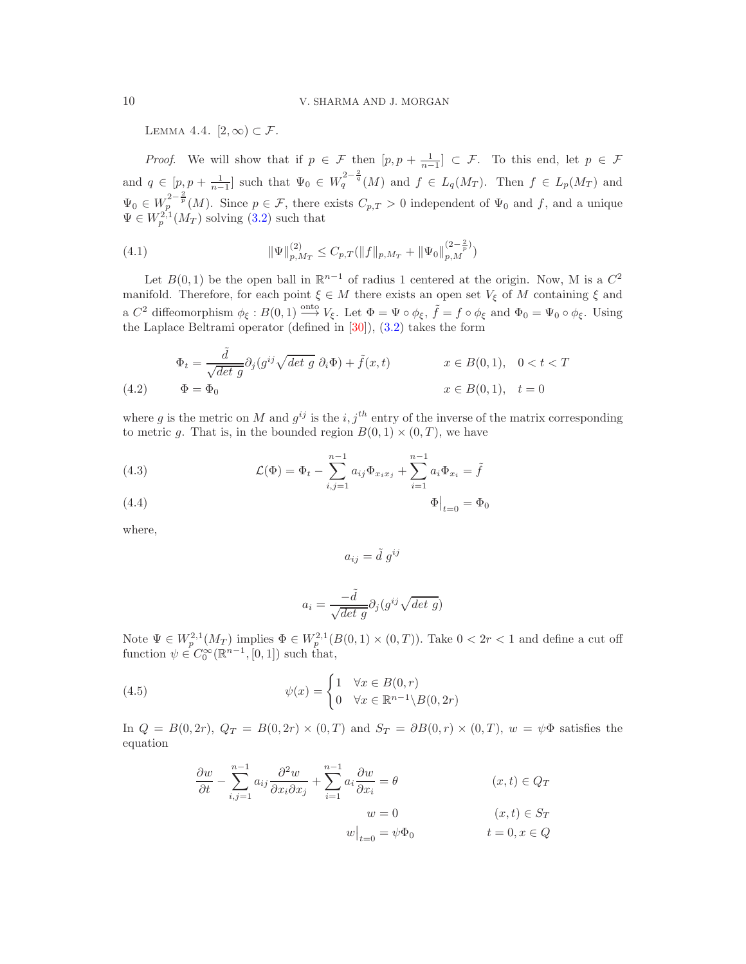LEMMA 4.4.  $[2,\infty) \subset \mathcal{F}$ .

*Proof.* We will show that if  $p \in \mathcal{F}$  then  $[p, p + \frac{1}{n-1}] \subset \mathcal{F}$ . To this end, let  $p \in \mathcal{F}$ and  $q \in [p, p + \frac{1}{n-1}]$  such that  $\Psi_0 \in W_q^{2-\frac{2}{q}}(M)$  and  $f \in L_q(M_T)$ . Then  $f \in L_p(M_T)$  and  $\Psi_0 \in W_p^{2-\frac{2}{p}}(M)$ . Since  $p \in \mathcal{F}$ , there exists  $C_{p,T} > 0$  independent of  $\Psi_0$  and f, and a unique  $\Psi \in W_p^{2,1}(M_T)$  solving (3.2) such that

(4.1) 
$$
\|\Psi\|_{p,M_T}^{(2)} \leq C_{p,T}(\|f\|_{p,M_T} + \|\Psi_0\|_{p,M}^{(2-\frac{2}{p})})
$$

Let  $B(0,1)$  be the open ball in  $\mathbb{R}^{n-1}$  of radius 1 centered at the origin. Now, M is a  $C^2$ manifold. Therefore, for each point  $\xi \in M$  there exists an open set  $V_{\xi}$  of M containing  $\xi$  and a  $C^2$  diffeomorphism  $\phi_{\xi}: B(0,1) \stackrel{\text{onto}}{\longrightarrow} V_{\xi}$ . Let  $\Phi = \Psi \circ \phi_{\xi}$ ,  $\tilde{f} = f \circ \phi_{\xi}$  and  $\Phi_0 = \Psi_0 \circ \phi_{\xi}$ . Using the Laplace Beltrami operator (defined in  $[30]$ ),  $(3.2)$  takes the form

(4.2) 
$$
\Phi_t = \frac{\tilde{d}}{\sqrt{\det g}} \partial_j (g^{ij} \sqrt{\det g} \partial_i \Phi) + \tilde{f}(x, t) \qquad x \in B(0, 1), \quad 0 < t < T
$$
\n
$$
\Phi = \Phi_0 \qquad x \in B(0, 1), \quad t = 0
$$

where g is the metric on M and  $g^{ij}$  is the i,  $j^{th}$  entry of the inverse of the matrix corresponding to metric g. That is, in the bounded region  $B(0, 1) \times (0, T)$ , we have

(4.3) 
$$
\mathcal{L}(\Phi) = \Phi_t - \sum_{i,j=1}^{n-1} a_{ij} \Phi_{x_i x_j} + \sum_{i=1}^{n-1} a_i \Phi_{x_i} = \tilde{f}
$$

$$
\Phi\big|_{t=0} = \Phi_0
$$

where,

$$
a_{ij} = \tilde{d} \ g^{ij}
$$

$$
a_i = \frac{-\tilde{d}}{\sqrt{det\ g}} \partial_j (g^{ij} \sqrt{det\ g})
$$

Note  $\Psi \in W_p^{2,1}(M_T)$  implies  $\Phi \in W_p^{2,1}(B(0,1) \times (0,T))$ . Take  $0 < 2r < 1$  and define a cut off function  $\psi \in C_0^{\infty}(\mathbb{R}^{n-1}, [0,1])$  such that,

(4.5) 
$$
\psi(x) = \begin{cases} 1 & \forall x \in B(0, r) \\ 0 & \forall x \in \mathbb{R}^{n-1} \setminus B(0, 2r) \end{cases}
$$

In  $Q = B(0, 2r)$ ,  $Q_T = B(0, 2r) \times (0, T)$  and  $S_T = \partial B(0, r) \times (0, T)$ ,  $w = \psi \Phi$  satisfies the equation

$$
\frac{\partial w}{\partial t} - \sum_{i,j=1}^{n-1} a_{ij} \frac{\partial^2 w}{\partial x_i \partial x_j} + \sum_{i=1}^{n-1} a_i \frac{\partial w}{\partial x_i} = \theta
$$
\n
$$
w = 0
$$
\n
$$
(x, t) \in Q_T
$$
\n
$$
w|_{t=0} = \psi \Phi_0
$$
\n
$$
(x, t) \in S_T
$$
\n
$$
t = 0, x \in Q
$$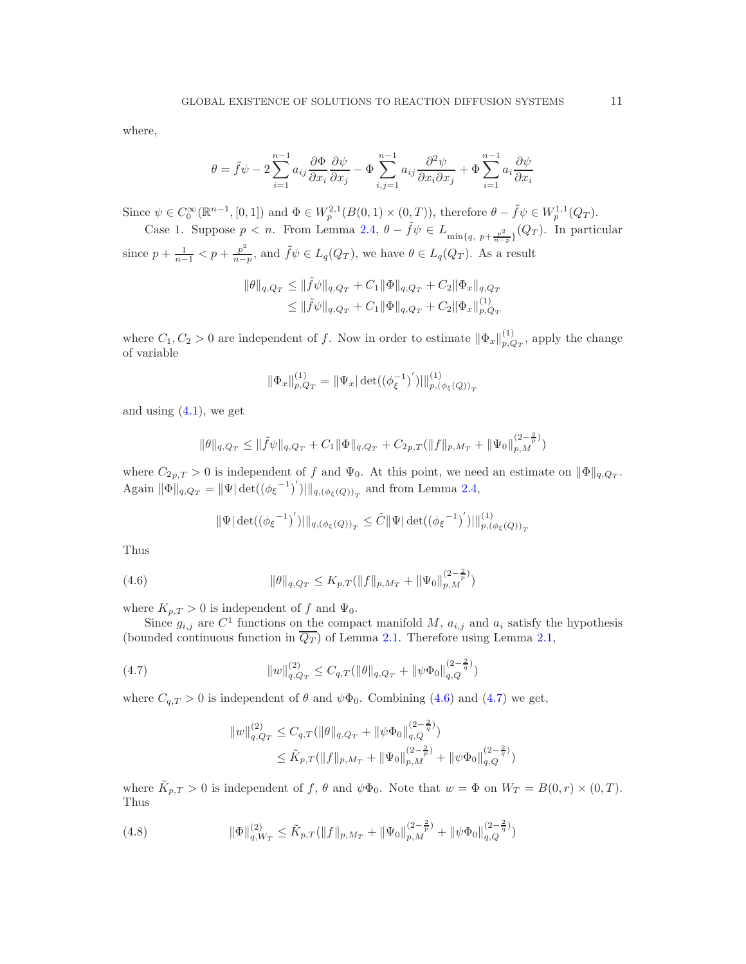where,

$$
\theta = \tilde{f}\psi - 2\sum_{i=1}^{n-1} a_{ij} \frac{\partial \Phi}{\partial x_i} \frac{\partial \psi}{\partial x_j} - \Phi \sum_{i,j=1}^{n-1} a_{ij} \frac{\partial^2 \psi}{\partial x_i \partial x_j} + \Phi \sum_{i=1}^{n-1} a_i \frac{\partial \psi}{\partial x_i}
$$

Since  $\psi \in C_0^{\infty}(\mathbb{R}^{n-1}, [0, 1])$  and  $\Phi \in W_p^{2,1}(B(0, 1) \times (0, T))$ , therefore  $\theta - \tilde{f}\psi \in W_p^{1,1}(Q_T)$ .

Case 1. Suppose  $p < n$ . From Lemma 2.4,  $\theta - \tilde{f}\psi \in L_{\min\{q, p + \frac{p^2}{n-p}\}}(Q_T)$ . In particular since  $p + \frac{1}{n-1} < p + \frac{p^2}{n-1}$  $\frac{p^2}{n-p}$ , and  $\tilde{f}\psi \in L_q(Q_T)$ , we have  $\theta \in L_q(Q_T)$ . As a result

$$
\|\theta\|_{q,Q_T} \le \|\tilde{f}\psi\|_{q,Q_T} + C_1 \|\Phi\|_{q,Q_T} + C_2 \|\Phi_x\|_{q,Q_T}
$$
  

$$
\le \|\tilde{f}\psi\|_{q,Q_T} + C_1 \|\Phi\|_{q,Q_T} + C_2 \|\Phi_x\|_{p,Q_T}^{(1)}
$$

where  $C_1, C_2 > 0$  are independent of f. Now in order to estimate  $\|\Phi_x\|_{p,q}^{(1)}$  $_{p,Q_T}^{(1)}$ , apply the change of variable

$$
\|\Phi_x\|_{p,Q_T}^{(1)} = \|\Psi_x| \det((\phi_{\xi}^{-1})')|\|_{p,(\phi_{\xi}(Q))_T}^{(1)}
$$

and using  $(4.1)$ , we get

$$
\|\theta\|_{q,Q_T} \le \|\tilde{f}\psi\|_{q,Q_T} + C_1 \|\Phi\|_{q,Q_T} + C_{2p,T}(\|f\|_{p,M_T} + \|\Psi_0\|_{p,M}^{(2-\frac{2}{p})})
$$

where  $C_{2p,T} > 0$  is independent of f and  $\Psi_0$ . At this point, we need an estimate on  $\|\Phi\|_{q,Q_T}$ . Again  $\|\Phi\|_{q,Q_T} = \|\Psi|\det((\phi_{\xi}^{-1})')\|\|_{q,(\phi_{\xi}(Q))_T}$  and from Lemma 2.4,

$$
\|\Psi|\det((\phi_{\xi}^{-1})')|\|_{q,(\phi_{\xi}(Q))_T} \leq \tilde{C} \|\Psi|\det((\phi_{\xi}^{-1})')|\|_{p,(\phi_{\xi}(Q))_T}^{(1)}
$$

Thus

(4.6) 
$$
\|\theta\|_{q,Q_T} \leq K_{p,T}(\|f\|_{p,M_T} + \|\Psi_0\|_{p,M}^{(2-\frac{2}{p})})
$$

where  $K_{p,T} > 0$  is independent of f and  $\Psi_0$ .

Since  $g_{i,j}$  are  $C^1$  functions on the compact manifold M,  $a_{i,j}$  and  $a_i$  satisfy the hypothesis (bounded continuous function in  $\overline{Q_T}$ ) of Lemma 2.1. Therefore using Lemma 2.1,

(4.7) 
$$
||w||_{q,Q_T}^{(2)} \leq C_{q,T}(||\theta||_{q,Q_T} + ||\psi \Phi_0||_{q,Q}^{(2-\frac{2}{q})})
$$

where  $C_{q,T} > 0$  is independent of  $\theta$  and  $\psi \Phi_0$ . Combining (4.6) and (4.7) we get,

$$
\|w\|_{q,Q_T}^{(2)} \le C_{q,T}(\|\theta\|_{q,Q_T} + \|\psi\Phi_0\|_{q,Q}^{(2-\frac{2}{q})})
$$
  

$$
\le \tilde{K}_{p,T}(\|f\|_{p,M_T} + \|\Psi_0\|_{p,M}^{(2-\frac{2}{p})} + \|\psi\Phi_0\|_{q,Q}^{(2-\frac{2}{q})})
$$

where  $\tilde{K}_{p,T} > 0$  is independent of  $f, \theta$  and  $\psi \Phi_0$ . Note that  $w = \Phi$  on  $W_T = B(0, r) \times (0, T)$ . Thus

(4.8) 
$$
\|\Phi\|_{q,W_T}^{(2)} \leq \tilde{K}_{p,T}(\|f\|_{p,M_T} + \|\Psi_0\|_{p,M}^{(2-\frac{2}{p})} + \|\psi\Phi_0\|_{q,Q}^{(2-\frac{2}{q})})
$$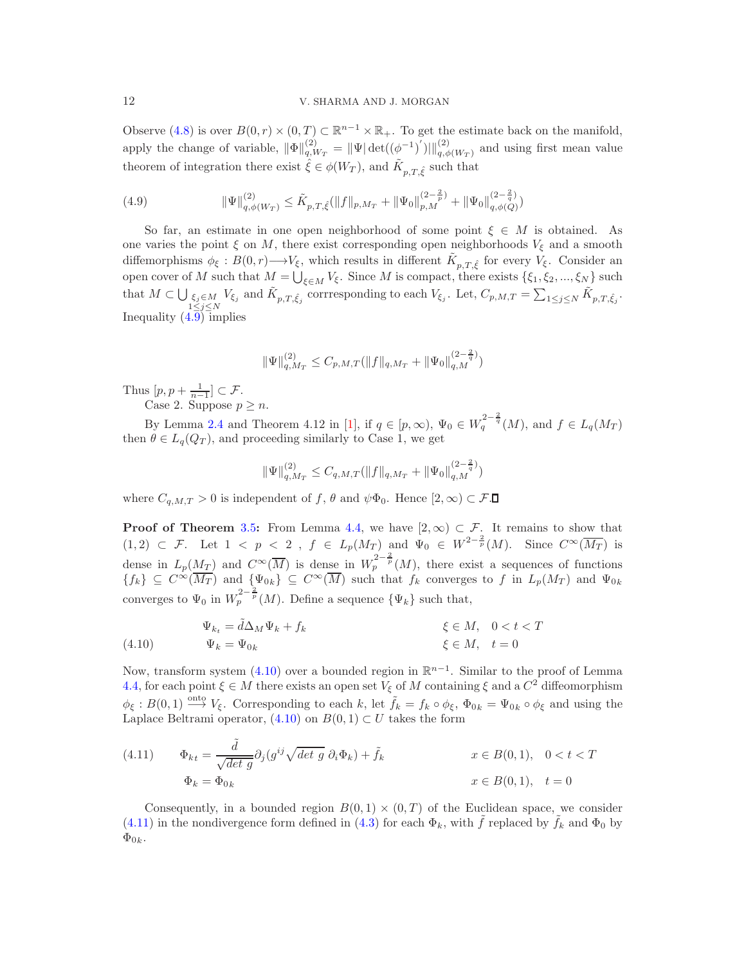Observe (4.8) is over  $B(0, r) \times (0, T) \subset \mathbb{R}^{n-1} \times \mathbb{R}_+$ . To get the estimate back on the manifold, apply the change of variable,  $\|\Phi\|_{q,W_T}^{(2)} = \|\Psi|\det((\phi^{-1})')\|_{q,\phi(W_T)}^{(2)}$  and using first mean value theorem of integration there exist  $\hat{\xi} \in \phi(W_T)$ , and  $\tilde{K}_{p,T,\hat{\xi}}$  such that

(4.9) 
$$
\|\Psi\|_{q,\phi(W_T)}^{(2)} \leq \tilde{K}_{p,T,\hat{\xi}}(\|f\|_{p,M_T} + \|\Psi_0\|_{p,M}^{(2-\frac{2}{p})} + \|\Psi_0\|_{q,\phi(Q)}^{(2-\frac{2}{q})})
$$

So far, an estimate in one open neighborhood of some point  $\xi \in M$  is obtained. As one varies the point  $\xi$  on M, there exist corresponding open neighborhoods  $V_{\xi}$  and a smooth diffemorphisms  $\phi_{\xi}: B(0,r) \longrightarrow V_{\xi}$ , which results in different  $\tilde{K}_{p,T,\hat{\xi}}$  for every  $V_{\xi}$ . Consider an open cover of M such that  $M = \bigcup_{\xi \in M} V_{\xi}$ . Since M is compact, there exists  $\{\xi_1, \xi_2, ..., \xi_N\}$  such that  $M \subset \bigcup_{\substack{\xi_j \in M \\ 1 \leq j \leq N}} V_{\xi_j}$  and  $\tilde{K}_{p,T,\hat{\xi}_j}$  corrresponding to each  $V_{\xi_j}$ . Let,  $C_{p,M,T} = \sum_{1 \leq j \leq N} \tilde{K}_{p,T,\hat{\xi}_j}$ . Inequality (4.9) implies

$$
\|\Psi\|_{q,M_T}^{(2)} \le C_{p,M,T} (\|f\|_{q,M_T} + \|\Psi_0\|_{q,M}^{(2-\frac{2}{q})})
$$

Thus  $[p, p + \frac{1}{n-1}] \subset \mathcal{F}$ .

Case 2. Suppose  $p \geq n$ .

By Lemma 2.4 and Theorem 4.12 in [1], if  $q \in [p, \infty)$ ,  $\Psi_0 \in W_q^{2-\frac{2}{q}}(M)$ , and  $f \in L_q(M_T)$ then  $\theta \in L_q(Q_T)$ , and proceeding similarly to Case 1, we get

$$
\|\Psi\|_{q,M_T}^{(2)} \le C_{q,M,T} (\|f\|_{q,M_T} + \|\Psi_0\|_{q,M}^{(2-\frac{2}{q})})
$$

where  $C_{q,M,T} > 0$  is independent of f,  $\theta$  and  $\psi \Phi_0$ . Hence  $[2,\infty) \subset \mathcal{F}$ .

**Proof of Theorem 3.5:** From Lemma 4.4, we have  $[2,\infty) \subset \mathcal{F}$ . It remains to show that  $(1, 2) \subset \mathcal{F}$ . Let  $1 \leq p \leq 2$ ,  $f \in L_p(M_T)$  and  $\Psi_0 \in W^{2-\frac{2}{p}}(M)$ . Since  $C^{\infty}(\overline{M_T})$  is dense in  $L_p(M_T)$  and  $C^{\infty}(\overline{M})$  is dense in  $W_p^{2-\frac{2}{p}}(M)$ , there exist a sequences of functions  ${f_k}\subseteq C^{\infty}(\overline{M_T})$  and  ${\Psi_0}_k \subseteq C^{\infty}(\overline{M})$  such that  $f_k$  converges to f in  $L_p(M_T)$  and  ${\Psi_0}_k$ converges to  $\Psi_0$  in  $W_p^{2-\frac{2}{p}}(M)$ . Define a sequence  ${\Psi_k}$  such that,

(4.10) 
$$
\Psi_{k_t} = \tilde{d}\Delta_M \Psi_k + f_k \qquad \xi \in M, \quad 0 < t < T
$$

$$
\Psi_k = \Psi_{0k} \qquad \xi \in M, \quad t = 0
$$

Now, transform system (4.10) over a bounded region in  $\mathbb{R}^{n-1}$ . Similar to the proof of Lemma 4.4, for each point  $\xi \in M$  there exists an open set  $V_{\xi}$  of M containing  $\xi$  and a  $C^2$  diffeomorphism  $\phi_{\xi}: B(0,1) \stackrel{\text{onto}}{\longrightarrow} V_{\xi}$ . Corresponding to each k, let  $\tilde{f}_k = f_k \circ \phi_{\xi}$ ,  $\Phi_{0k} = \Psi_{0k} \circ \phi_{\xi}$  and using the Laplace Beltrami operator,  $(4.10)$  on  $B(0, 1) \subset U$  takes the form

(4.11) 
$$
\Phi_{kt} = \frac{\tilde{d}}{\sqrt{\det g}} \partial_j (g^{ij} \sqrt{\det g} \partial_i \Phi_k) + \tilde{f}_k \qquad x \in B(0,1), \quad 0 < t < T
$$

$$
\Phi_k = \Phi_{0k} \qquad x \in B(0,1), \quad t = 0
$$

Consequently, in a bounded region  $B(0,1) \times (0,T)$  of the Euclidean space, we consider (4.11) in the nondivergence form defined in (4.3) for each  $\Phi_k$ , with f replaced by  $f_k$  and  $\Phi_0$  by  $\Phi_{0k}$ .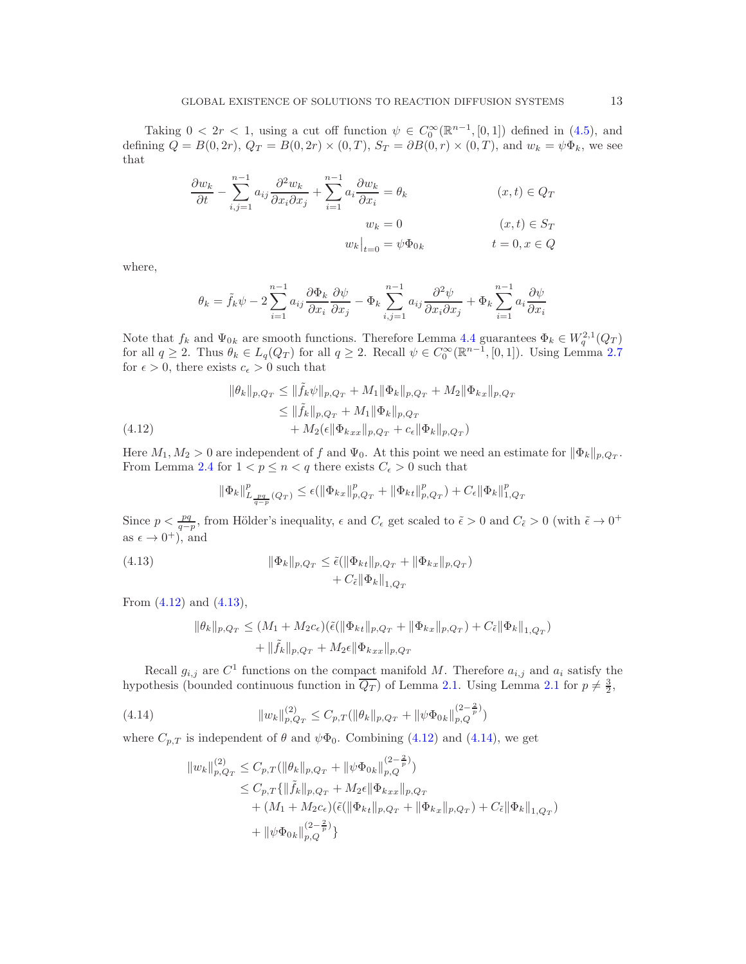Taking  $0 < 2r < 1$ , using a cut off function  $\psi \in C_0^{\infty}(\mathbb{R}^{n-1}, [0,1])$  defined in (4.5), and defining  $Q = B(0, 2r)$ ,  $Q_T = B(0, 2r) \times (0, T)$ ,  $S_T = \partial B(0, r) \times (0, T)$ , and  $w_k = \psi \Phi_k$ , we see that

$$
\frac{\partial w_k}{\partial t} - \sum_{i,j=1}^{n-1} a_{ij} \frac{\partial^2 w_k}{\partial x_i \partial x_j} + \sum_{i=1}^{n-1} a_i \frac{\partial w_k}{\partial x_i} = \theta_k \qquad (x, t) \in Q_T
$$

$$
w_k = 0 \qquad (x, t) \in S_T
$$

$$
w_k \Big|_{t=0} = \psi \Phi_{0k} \qquad t = 0, x \in Q
$$

where,

$$
\theta_k = \tilde{f}_k \psi - 2 \sum_{i=1}^{n-1} a_{ij} \frac{\partial \Phi_k}{\partial x_i} \frac{\partial \psi}{\partial x_j} - \Phi_k \sum_{i,j=1}^{n-1} a_{ij} \frac{\partial^2 \psi}{\partial x_i \partial x_j} + \Phi_k \sum_{i=1}^{n-1} a_i \frac{\partial \psi}{\partial x_i}
$$

Note that  $f_k$  and  $\Psi_{0k}$  are smooth functions. Therefore Lemma 4.4 guarantees  $\Phi_k \in W_q^{2,1}(Q_T)$ for all  $q \ge 2$ . Thus  $\theta_k \in L_q(Q_T)$  for all  $q \ge 2$ . Recall  $\psi \in C_0^{\infty}(\mathbb{R}^{n-1}, [0,1])$ . Using Lemma 2.7 for  $\epsilon > 0$ , there exists  $c_{\epsilon} > 0$  such that

$$
\|\theta_k\|_{p,Q_T} \le \|\tilde{f}_k \psi\|_{p,Q_T} + M_1 \|\Phi_k\|_{p,Q_T} + M_2 \|\Phi_{kx}\|_{p,Q_T}
$$
  
\n
$$
\le \|\tilde{f}_k\|_{p,Q_T} + M_1 \|\Phi_k\|_{p,Q_T}
$$
  
\n
$$
+ M_2(\epsilon \|\Phi_{kxx}\|_{p,Q_T} + c_{\epsilon} \|\Phi_k\|_{p,Q_T})
$$

Here  $M_1, M_2 > 0$  are independent of f and  $\Psi_0$ . At this point we need an estimate for  $\|\Phi_k\|_{p,Q_T}$ . From Lemma 2.4 for  $1 < p \le n < q$  there exists  $C_{\epsilon} > 0$  such that

$$
\|\Phi_k\|^p_{L_{\frac{pq}{q-p}}(Q_T)} \leq \epsilon (\|\Phi_{kx}\|^p_{p,Q_T} + \|\Phi_{k t}\|^p_{p,Q_T}) + C_{\epsilon}\|\Phi_{k}\|^p_{1,Q_T}
$$

Since  $p < \frac{pq}{q-p}$ , from Hölder's inequality,  $\epsilon$  and  $C_{\epsilon}$  get scaled to  $\tilde{\epsilon} > 0$  and  $C_{\tilde{\epsilon}} > 0$  (with  $\tilde{\epsilon} \to 0^+$ as  $\epsilon \to 0^+$ , and

(4.13) 
$$
\|\Phi_k\|_{p,Q_T} \le \tilde{\epsilon}(\|\Phi_{kt}\|_{p,Q_T} + \|\Phi_{kx}\|_{p,Q_T}) + C_{\tilde{\epsilon}} \|\Phi_k\|_{1,Q_T}
$$

From (4.12) and (4.13),

$$
\|\theta_k\|_{p,Q_T} \le (M_1 + M_2 c_{\epsilon}) (\tilde{\epsilon}(\|\Phi_{kt}\|_{p,Q_T} + \|\Phi_{kx}\|_{p,Q_T}) + C_{\tilde{\epsilon}} \|\Phi_k\|_{1,Q_T})
$$
  
+ 
$$
\|\tilde{f}_k\|_{p,Q_T} + M_2 \epsilon \|\Phi_{kxx}\|_{p,Q_T}
$$

Recall  $g_{i,j}$  are  $C^1$  functions on the compact manifold M. Therefore  $a_{i,j}$  and  $a_i$  satisfy the hypothesis (bounded continuous function in  $\overline{Q_T}$ ) of Lemma 2.1. Using Lemma 2.1 for  $p \neq \frac{3}{2}$ ,

(4.14) 
$$
||w_k||_{p,Q_T}^{(2)} \leq C_{p,T}(||\theta_k||_{p,Q_T} + ||\psi \Phi_{0k}||_{p,Q}^{(2-\frac{2}{p})})
$$

where  $C_{p,T}$  is independent of  $\theta$  and  $\psi\Phi_0$ . Combining (4.12) and (4.14), we get

$$
\|w_{k}\|_{p,Q_{T}}^{(2)} \leq C_{p,T}(\|\theta_{k}\|_{p,Q_{T}} + \|\psi\Phi_{0k}\|_{p,Q}^{(2-\frac{2}{p})})
$$
  
\n
$$
\leq C_{p,T}\{\|\tilde{f}_{k}\|_{p,Q_{T}} + M_{2}\epsilon\|\Phi_{kxx}\|_{p,Q_{T}}\n+ (M_{1} + M_{2}c_{\epsilon})(\tilde{\epsilon}(\|\Phi_{k,t}\|_{p,Q_{T}} + \|\Phi_{kx}\|_{p,Q_{T}}) + C_{\tilde{\epsilon}}\|\Phi_{k}\|_{1,Q_{T}})\n+ \|\psi\Phi_{0k}\|_{p,Q}^{(2-\frac{2}{p})}\}
$$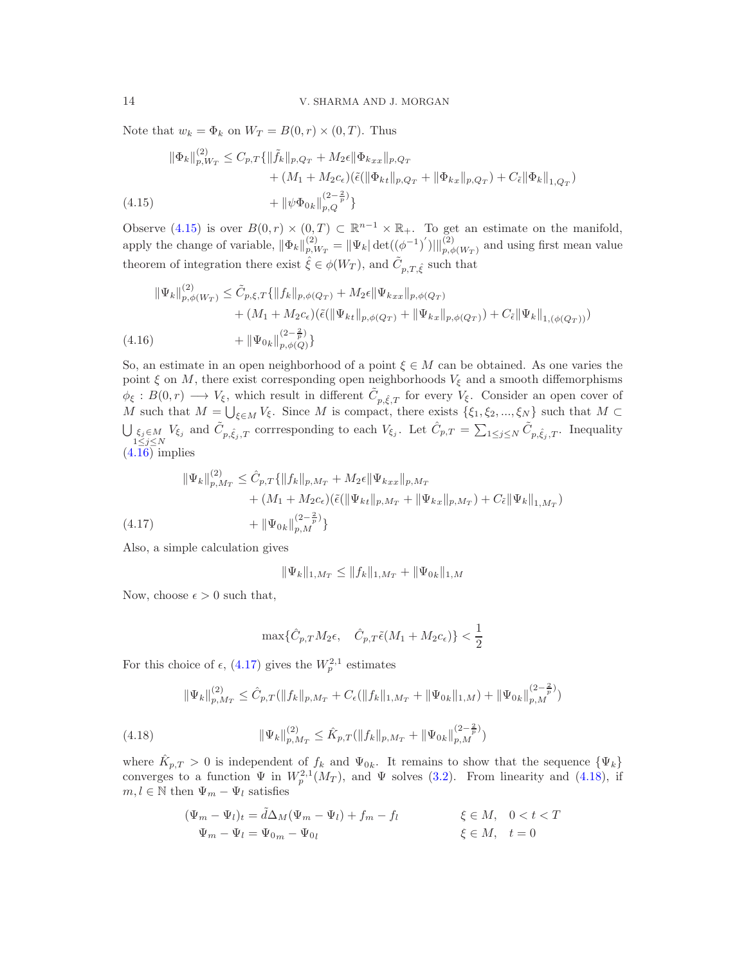Note that  $w_k = \Phi_k$  on  $W_T = B(0, r) \times (0, T)$ . Thus

$$
\|\Phi_k\|_{p,W_T}^{(2)} \le C_{p,T}\{\|\tilde{f}_k\|_{p,Q_T} + M_2\epsilon \|\Phi_{kxx}\|_{p,Q_T} + (M_1 + M_2c_\epsilon)(\tilde{\epsilon}(\|\Phi_{kt}\|_{p,Q_T} + \|\Phi_{kx}\|_{p,Q_T}) + C_{\tilde{\epsilon}}\|\Phi_k\|_{1,Q_T}) + \|\psi\Phi_{0k}\|_{p,Q}^{(2-\frac{2}{p})}\}
$$

Observe (4.15) is over  $B(0, r) \times (0, T) \subset \mathbb{R}^{n-1} \times \mathbb{R}_+$ . To get an estimate on the manifold, apply the change of variable,  $\|\Phi_k\|_{p, V}^{(2)}$  $\psi_{p,W_T}^{(2)} = \|\Psi_k|\det((\phi^{-1})')|\|_{p,\phi(W_T)}^{(2)}$  and using first mean value theorem of integration there exist  $\hat{\xi} \in \phi(W_T)$ , and  $\tilde{C}_{p,T,\hat{\xi}}$  such that

$$
\|\Psi_k\|_{p,\phi(W_T)}^{(2)} \le \tilde{C}_{p,\xi,T} \{\|f_k\|_{p,\phi(Q_T)} + M_2\epsilon \|\Psi_{kxx}\|_{p,\phi(Q_T)} + (M_1 + M_2c_{\epsilon}) (\tilde{\epsilon}(\|\Psi_{k,t}\|_{p,\phi(Q_T)} + \|\Psi_{kx}\|_{p,\phi(Q_T)}) + C_{\tilde{\epsilon}} \|\Psi_k\|_{1,(\phi(Q_T))}) + \|\Psi_{0k}\|_{p,\phi(Q)}^{(2-\frac{2}{p})}\}
$$

So, an estimate in an open neighborhood of a point  $\xi \in M$  can be obtained. As one varies the point  $\xi$  on M, there exist corresponding open neighborhoods  $V_{\xi}$  and a smooth diffemorphisms  $\phi_{\xi}: B(0,r) \longrightarrow V_{\xi}$ , which result in different  $\tilde{C}_{p,\hat{\xi},T}$  for every  $V_{\xi}$ . Consider an open cover of M such that  $M = \bigcup_{\xi \in M} V_{\xi}$ . Since M is compact, there exists  $\{\xi_1, \xi_2, ..., \xi_N\}$  such that  $M \subset$  $\bigcup_{\substack{\xi_j\in M\\1\leq j\leq N}}V_{\xi_j}$  and  $\tilde{C}_{p,\hat{\xi}_j,T}$  corrresponding to each  $V_{\xi_j}$ . Let  $\hat{C}_{p,T} = \sum_{1\leq j\leq N} \tilde{C}_{p,\hat{\xi}_j,T}$ . Inequality  $(4.16)$  implies

$$
\|\Psi_k\|_{p,M_T}^{(2)} \leq \hat{C}_{p,T}\{\|f_k\|_{p,M_T} + M_2\epsilon \|\Psi_{kxx}\|_{p,M_T} + (M_1 + M_2c_{\epsilon})(\tilde{\epsilon}(\|\Psi_{ktt}\|_{p,M_T} + \|\Psi_{kx}\|_{p,M_T}) + C_{\tilde{\epsilon}} \|\Psi_k\|_{1,M_T}) + \|\Psi_{0k}\|_{p,M}^{(2-\frac{2}{p})}\}
$$
\n(4.17)

Also, a simple calculation gives

$$
\|\Psi_k\|_{1,M_T} \le \|f_k\|_{1,M_T} + \|\Psi_{0k}\|_{1,M}
$$

Now, choose  $\epsilon > 0$  such that,

$$
\max\{\hat{C}_{p,T}M_2\epsilon, \quad \hat{C}_{p,T}\tilde{\epsilon}(M_1+M_2c_{\epsilon})\}<\frac{1}{2}
$$

For this choice of  $\epsilon$ , (4.17) gives the  $W_p^{2,1}$  estimates

$$
\|\Psi_k\|_{p,M_T}^{(2)} \le \hat{C}_{p,T}(\|f_k\|_{p,M_T} + C_{\epsilon}(\|f_k\|_{1,M_T} + \|\Psi_{0k}\|_{1,M}) + \|\Psi_{0k}\|_{p,M}^{(2-\frac{2}{p})})
$$
  
(4.18) 
$$
\|\Psi_k\|_{p,M_T}^{(2)} \le \hat{K}_{p,T}(\|f_k\|_{p,M_T} + \|\Psi_{0k}\|_{p,M}^{(2-\frac{2}{p})})
$$

where  $\hat{K}_{p,T} > 0$  is independent of  $f_k$  and  $\Psi_{0k}$ . It remains to show that the sequence  ${\Psi_k}$ converges to a function  $\Psi$  in  $W_p^{2,1}(M_T)$ , and  $\Psi$  solves (3.2). From linearity and (4.18), if  $m, l \in \mathbb{N}$  then  $\Psi_m - \Psi_l$  satisfies

$$
(\Psi_m - \Psi_l)_t = \tilde{d}\Delta_M(\Psi_m - \Psi_l) + f_m - f_l \qquad \xi \in M, \quad 0 < t < T
$$
  

$$
\Psi_m - \Psi_l = \Psi_{0m} - \Psi_{0l} \qquad \xi \in M, \quad t = 0
$$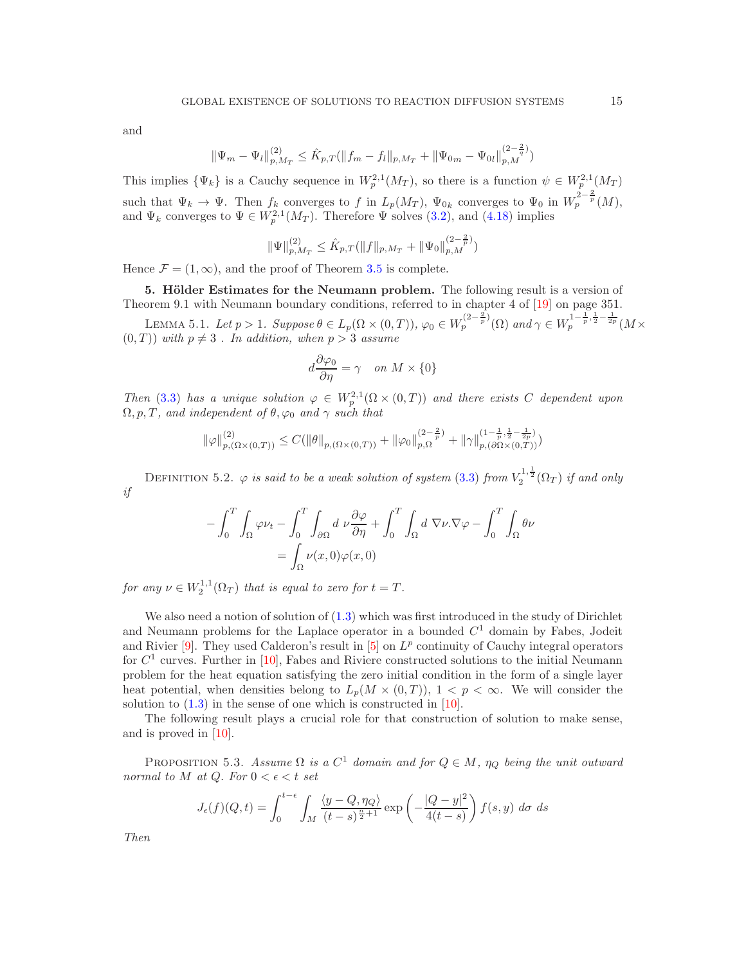and

$$
\|\Psi_m - \Psi_l\|_{p,M_T}^{(2)} \le \hat{K}_{p,T}(\|f_m - f_l\|_{p,M_T} + \|\Psi_{0m} - \Psi_{0l}\|_{p,M}^{(2-\frac{2}{q})})
$$

This implies  $\{\Psi_k\}$  is a Cauchy sequence in  $W_p^{2,1}(M_T)$ , so there is a function  $\psi \in W_p^{2,1}(M_T)$ such that  $\Psi_k \to \Psi$ . Then  $f_k$  converges to f in  $L_p(M_T)$ ,  $\Psi_{0k}$  converges to  $\Psi_0$  in  $W_p^{2-\frac{2}{p}}(M)$ , and  $\Psi_k$  converges to  $\Psi \in W^{2,1}_p(M_T)$ . Therefore  $\Psi$  solves (3.2), and (4.18) implies

$$
\|\Psi\|_{p,M_T}^{(2)} \leq \hat{K}_{p,T}(\|f\|_{p,M_T} + \|\Psi_0\|_{p,M}^{(2-\frac{2}{p})})
$$

Hence  $\mathcal{F} = (1, \infty)$ , and the proof of Theorem 3.5 is complete.

5. Hölder Estimates for the Neumann problem. The following result is a version of Theorem 9.1 with Neumann boundary conditions, referred to in chapter 4 of [19] on page 351.

LEMMA 5.1. Let  $p > 1$ . Suppose  $\theta \in L_p(\Omega \times (0,T))$ ,  $\varphi_0 \in W_p^{(2-\frac{2}{p})}(\Omega)$  and  $\gamma \in W_p^{1-\frac{1}{p},\frac{1}{2}-\frac{1}{2p}}(M \times$  $(0, T)$ ) with  $p \neq 3$ . In addition, when  $p > 3$  assume

$$
d\frac{\partial\varphi_0}{\partial\eta} = \gamma \quad on \ M \times \{0\}
$$

Then (3.3) has a unique solution  $\varphi \in W^{2,1}_p(\Omega \times (0,T))$  and there exists C dependent upon  $\Omega, p, T$ , and independent of  $\theta, \varphi_0$  and  $\gamma$  such that

$$
\|\varphi\|_{p,(\Omega\times(0,T))}^{(2)} \le C(\|\theta\|_{p,(\Omega\times(0,T))} + \|\varphi_0\|_{p,\Omega}^{(2-\frac{2}{p})} + \|\gamma\|_{p,(\partial\Omega\times(0,T))}^{(1-\frac{1}{p},\frac{1}{2}-\frac{1}{2p})})
$$

DEFINITION 5.2.  $\varphi$  is said to be a weak solution of system (3.3) from  $V_2^{1,\frac{1}{2}}(\Omega_T)$  if and only if

$$
-\int_0^T \int_{\Omega} \varphi \nu_t - \int_0^T \int_{\partial \Omega} d \nu \frac{\partial \varphi}{\partial \eta} + \int_0^T \int_{\Omega} d \nabla \nu \cdot \nabla \varphi - \int_0^T \int_{\Omega} \theta \nu
$$
  
= 
$$
\int_{\Omega} \nu(x,0) \varphi(x,0)
$$

for any  $\nu \in W_2^{1,1}(\Omega_T)$  that is equal to zero for  $t = T$ .

We also need a notion of solution of  $(1.3)$  which was first introduced in the study of Dirichlet and Neumann problems for the Laplace operator in a bounded  $C<sup>1</sup>$  domain by Fabes, Jodeit and Rivier  $[9]$ . They used Calderon's result in  $[5]$  on  $L^p$  continuity of Cauchy integral operators for  $C<sup>1</sup>$  curves. Further in [10], Fabes and Riviere constructed solutions to the initial Neumann problem for the heat equation satisfying the zero initial condition in the form of a single layer heat potential, when densities belong to  $L_p(M \times (0,T))$ ,  $1 < p < \infty$ . We will consider the solution to  $(1.3)$  in the sense of one which is constructed in  $[10]$ .

The following result plays a crucial role for that construction of solution to make sense, and is proved in [10].

PROPOSITION 5.3. Assume  $\Omega$  is a  $C^1$  domain and for  $Q \in M$ ,  $\eta_Q$  being the unit outward normal to M at Q. For  $0 < \epsilon < t$  set

$$
J_{\epsilon}(f)(Q,t) = \int_0^{t-\epsilon} \int_M \frac{\langle y - Q, \eta_Q \rangle}{(t-s)^{\frac{n}{2}+1}} \exp\left(-\frac{|Q-y|^2}{4(t-s)}\right) f(s,y) \, d\sigma \, ds
$$

Then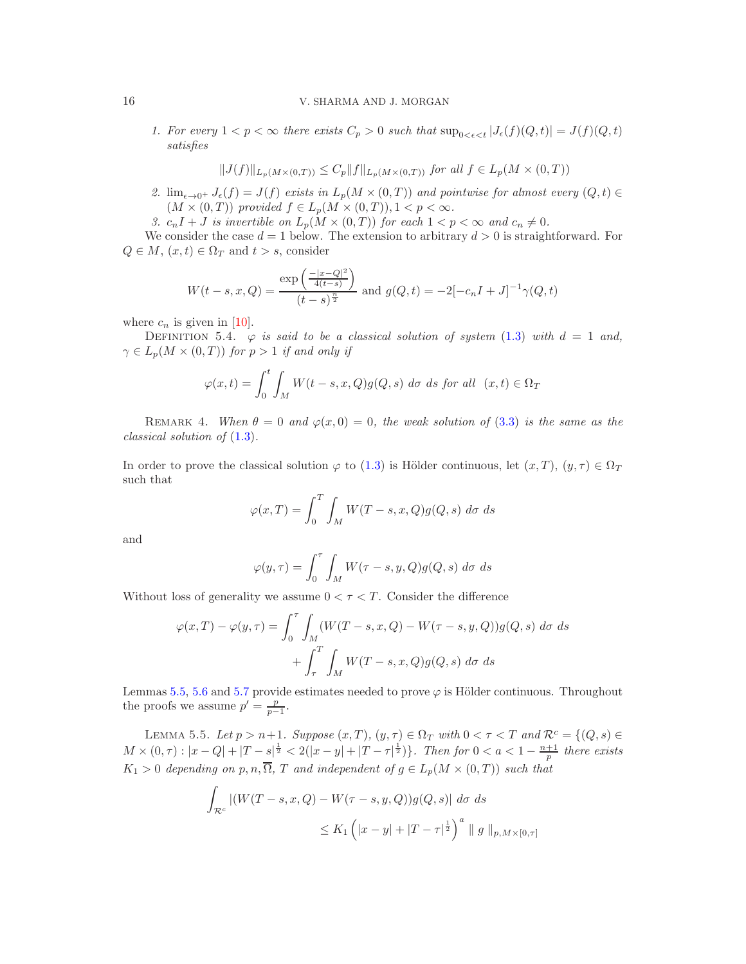#### 16 V. SHARMA AND J. MORGAN

1. For every  $1 < p < \infty$  there exists  $C_p > 0$  such that  $\sup_{0 \leq \epsilon \leq t} |J_{\epsilon}(f)(Q, t)| = J(f)(Q, t)$ satisfies

$$
||J(f)||_{L_p(M \times (0,T))} \le C_p ||f||_{L_p(M \times (0,T))} \text{ for all } f \in L_p(M \times (0,T))
$$

- 2.  $\lim_{\epsilon \to 0^+} J_{\epsilon}(f) = J(f)$  exists in  $L_p(M \times (0,T))$  and pointwise for almost every  $(Q, t) \in$  $(M \times (0,T))$  provided  $f \in L_p(M \times (0,T)), 1 < p < \infty$ .
- 3.  $c_nI + J$  is invertible on  $L_p(M \times (0,T))$  for each  $1 < p < \infty$  and  $c_n \neq 0$ .

We consider the case  $d = 1$  below. The extension to arbitrary  $d > 0$  is straightforward. For  $Q \in M$ ,  $(x, t) \in \Omega_T$  and  $t > s$ , consider

$$
W(t-s, x, Q) = \frac{\exp\left(\frac{-|x-Q|^2}{4(t-s)}\right)}{(t-s)^{\frac{n}{2}}}
$$
 and  $g(Q, t) = -2[-c_n I + J]^{-1} \gamma(Q, t)$ 

where  $c_n$  is given in [10].

DEFINITION 5.4.  $\varphi$  is said to be a classical solution of system (1.3) with  $d = 1$  and,  $\gamma \in L_p(M \times (0,T))$  for  $p > 1$  if and only if

$$
\varphi(x,t) = \int_0^t \int_M W(t-s,x,Q)g(Q,s) \, d\sigma \, ds \, \text{for all} \, (x,t) \in \Omega_T
$$

REMARK 4. When  $\theta = 0$  and  $\varphi(x, 0) = 0$ , the weak solution of (3.3) is the same as the classical solution of (1.3).

In order to prove the classical solution  $\varphi$  to (1.3) is Hölder continuous, let  $(x, T)$ ,  $(y, \tau) \in \Omega_T$ such that

$$
\varphi(x,T) = \int_0^T \int_M W(T-s,x,Q)g(Q,s) \, d\sigma \, ds
$$

and

$$
\varphi(y,\tau) = \int_0^{\tau} \int_M W(\tau - s, y, Q) g(Q, s) \, d\sigma \, ds
$$

Without loss of generality we assume  $0 < \tau < T$ . Consider the difference

$$
\varphi(x,T) - \varphi(y,\tau) = \int_0^{\tau} \int_M (W(T-s,x,Q) - W(\tau-s,y,Q))g(Q,s) \, d\sigma \, ds
$$

$$
+ \int_{\tau}^T \int_M W(T-s,x,Q)g(Q,s) \, d\sigma \, ds
$$

Lemmas 5.5, 5.6 and 5.7 provide estimates needed to prove  $\varphi$  is Hölder continuous. Throughout the proofs we assume  $p' = \frac{p}{p-1}$ .

LEMMA 5.5. Let  $p > n+1$ . Suppose  $(x, T)$ ,  $(y, \tau) \in \Omega_T$  with  $0 < \tau < T$  and  $\mathcal{R}^c = \{ (Q, s) \in$  $M \times (0, \tau) : |x - Q| + |T - s|^{\frac{1}{2}} < 2(|x - y| + |T - \tau|^{\frac{1}{2}}).$  Then for  $0 < a < 1 - \frac{n+1}{p}$  there exists  $K_1 > 0$  depending on p, n,  $\overline{\Omega}$ , T and independent of  $g \in L_p(M \times (0,T))$  such that

$$
\int_{\mathcal{R}^c} |(W(T-s, x, Q) - W(\tau - s, y, Q))g(Q, s)| d\sigma ds
$$
  

$$
\leq K_1 \left( |x - y| + |T - \tau|^{\frac{1}{2}} \right)^a \| g \|_{p, M \times [0, \tau]}
$$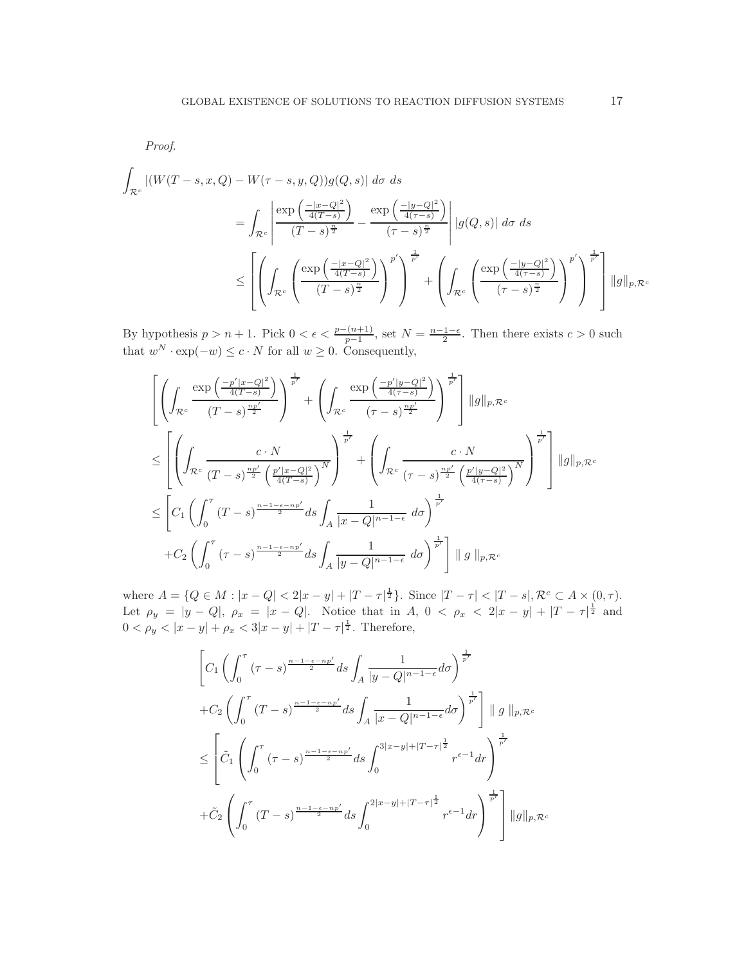Proof.

$$
\int_{\mathcal{R}^c} |(W(T-s,x,Q) - W(\tau-s,y,Q))g(Q,s)| d\sigma ds
$$
\n
$$
= \int_{\mathcal{R}^c} \left| \frac{\exp\left(\frac{-|x-Q|^2}{4(T-s)}\right)}{(T-s)^{\frac{n}{2}}} - \frac{\exp\left(\frac{-|y-Q|^2}{4(\tau-s)}\right)}{(\tau-s)^{\frac{n}{2}}} \right| |g(Q,s)| d\sigma ds
$$
\n
$$
\leq \left[ \left( \int_{\mathcal{R}^c} \left( \frac{\exp\left(\frac{-|x-Q|^2}{4(T-s)}\right)}{(T-s)^{\frac{n}{2}}} \right)^{p'} \right)^{\frac{1}{p'}} + \left( \int_{\mathcal{R}^c} \left( \frac{\exp\left(\frac{-|y-Q|^2}{4(\tau-s)}\right)}{(\tau-s)^{\frac{n}{2}}} \right)^{p'} \right)^{\frac{1}{p'}} \right] \|g\|_{p,\mathcal{R}^c}
$$

By hypothesis  $p > n + 1$ . Pick  $0 < \epsilon < \frac{p - (n+1)}{p-1}$ , set  $N = \frac{n-1-\epsilon}{2}$ . Then there exists  $c > 0$  such that  $w^N \cdot \exp(-w) \leq c \cdot N$  for all  $w \geq 0$ . Consequently,

$$
\begin{split}\n&\left[\left(\int_{\mathcal{R}^{c}}\frac{\exp\left(\frac{-p'|x-Q|^{2}}{4(T-s)}\right)}{(T-s)^{\frac{np'}{2}}}\right)^{\frac{1}{p'}}+\left(\int_{\mathcal{R}^{c}}\frac{\exp\left(\frac{-p'|y-Q|^{2}}{4(\tau-s)}\right)}{(\tau-s)^{\frac{np'}{2}}}\right)^{\frac{1}{p'}}\right]||g||_{p,\mathcal{R}^{c}} \\
&\leq \left[\left(\int_{\mathcal{R}^{c}}\frac{c\cdot N}{(T-s)^{\frac{np'}{2}}\left(\frac{p'|x-Q|^{2}}{4(T-s)}\right)^{N}}\right)^{\frac{1}{p'}}+\left(\int_{\mathcal{R}^{c}}\frac{c\cdot N}{(\tau-s)^{\frac{np'}{2}}\left(\frac{p'|y-Q|^{2}}{4(\tau-s)}\right)^{N}}\right)^{\frac{1}{p'}}\right]||g||_{p,\mathcal{R}^{c}} \\
&\leq c\left[C_{1}\left(\int_{0}^{\tau}(T-s)^{\frac{n-1-\epsilon-np'}{2}}ds\int_{A}\frac{1}{|x-Q|^{n-1-\epsilon}}d\sigma\right)^{\frac{1}{p'}}\right] \\
&+C_{2}\left(\int_{0}^{\tau}(\tau-s)^{\frac{n-1-\epsilon-np'}{2}}ds\int_{A}\frac{1}{|y-Q|^{n-1-\epsilon}}d\sigma\right)^{\frac{1}{p'}}\right]||g||_{p,\mathcal{R}^{c}}\n\end{split}
$$

where  $A = \{Q \in M : |x - Q| < 2|x - y| + |T - \tau|^{\frac{1}{2}}\}$ . Since  $|T - \tau| < |T - s|, \mathcal{R}^c \subset A \times (0, \tau)$ . Let  $\rho_y = |y - Q|$ ,  $\rho_x = |x - Q|$ . Notice that in  $A, 0 < \rho_x < 2|x - y| + |T - \tau|^{\frac{1}{2}}$  and  $0 < \rho_y < |x - y| + \rho_x < 3|x - y| + |T - \tau|^{\frac{1}{2}}$ . Therefore,

$$
\begin{split}\n&\left[C_{1}\left(\int_{0}^{\tau}(\tau-s)^{\frac{n-1-\epsilon-np'}{2}}ds\int_{A}\frac{1}{|y-Q|^{n-1-\epsilon}}d\sigma\right)^{\frac{1}{p'}}\right.\\&\left.+C_{2}\left(\int_{0}^{\tau}(\tT-s)^{\frac{n-1-\epsilon-np'}{2}}ds\int_{A}\frac{1}{|x-Q|^{n-1-\epsilon}}d\sigma\right)^{\frac{1}{p'}}\right]\parallel g\parallel_{p,\mathcal{R}^{c}}\\&\leq\left[\tilde{C}_{1}\left(\int_{0}^{\tau}(\tau-s)^{\frac{n-1-\epsilon-np'}{2}}ds\int_{0}^{3|x-y|+|T-\tau|^{\frac{1}{2}}}r^{\epsilon-1}dr\right)^{\frac{1}{p'}}\\&+\tilde{C}_{2}\left(\int_{0}^{\tau}(\tT-s)^{\frac{n-1-\epsilon-np'}{2}}ds\int_{0}^{2|x-y|+|T-\tau|^{\frac{1}{2}}}r^{\epsilon-1}dr\right)^{\frac{1}{p'}}\right]\parallel g\parallel_{p,\mathcal{R}^{c}}\n\end{split}
$$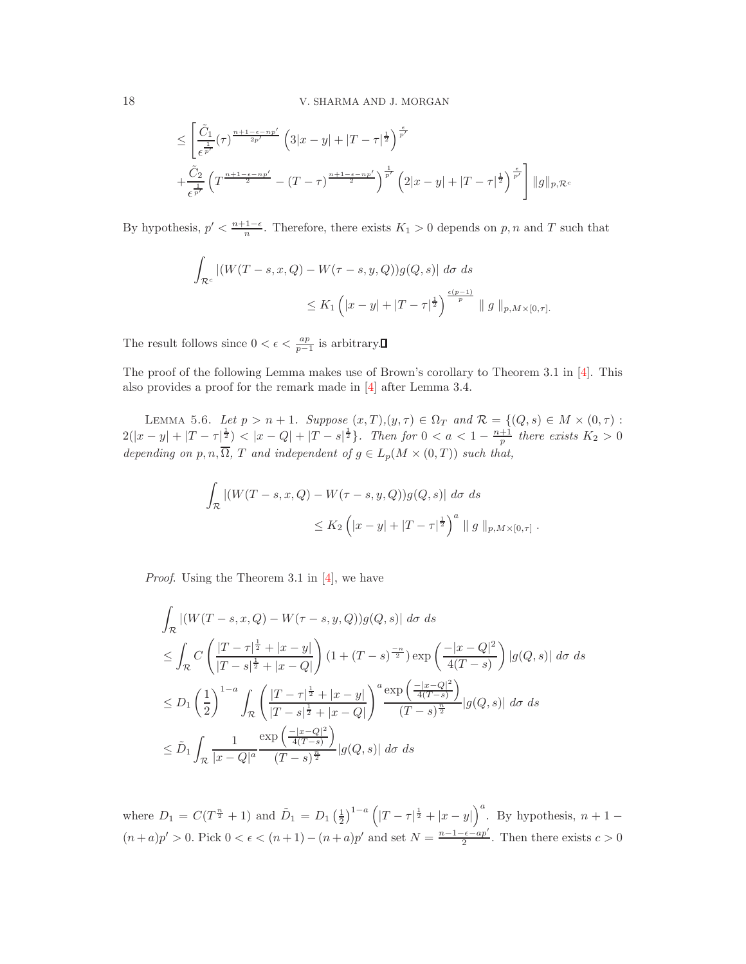$$
\leq \left[ \frac{\tilde{C}_{1}}{\epsilon^{\frac{1}{p'}}}(\tau)^{\frac{n+1-\epsilon-np'}{2p'}} \left( 3|x-y| + |T-\tau|^{\frac{1}{2}} \right)^{\frac{\epsilon}{p'}} +\frac{\tilde{C}_{2}}{\epsilon^{\frac{1}{p'}}} \left( T^{\frac{n+1-\epsilon-np'}{2}} - (T-\tau)^{\frac{n+1-\epsilon-np'}{2}} \right)^{\frac{1}{p'}} \left( 2|x-y| + |T-\tau|^{\frac{1}{2}} \right)^{\frac{\epsilon}{p'}} \right] ||g||_{p,\mathcal{R}^{c}}
$$

By hypothesis,  $p' < \frac{n+1-\epsilon}{n}$ . Therefore, there exists  $K_1 > 0$  depends on p, n and T such that

$$
\int_{\mathcal{R}^c} |(W(T-s, x, Q) - W(\tau - s, y, Q))g(Q, s)| d\sigma ds
$$
  

$$
\leq K_1 \left( |x - y| + |T - \tau|^{\frac{1}{2}} \right)^{\frac{\epsilon(p-1)}{p}} ||g||_{p, M \times [0, \tau]}.
$$

The result follows since  $0 < \epsilon < \frac{ap}{p-1}$  is arbitrary.

The proof of the following Lemma makes use of Brown's corollary to Theorem 3.1 in  $[4]$ . This also provides a proof for the remark made in [4] after Lemma 3.4.

LEMMA 5.6. Let  $p > n + 1$ . Suppose  $(x, T), (y, \tau) \in \Omega_T$  and  $\mathcal{R} = \{ (Q, s) \in M \times (0, \tau) :$  $2(|x-y|+|T-\tau|^{\frac{1}{2}}) < |x-Q|+|T-s|^{\frac{1}{2}}\}$ . Then for  $0 < a < 1-\frac{n+1}{p}$  there exists  $K_2 > 0$ depending on p, n,  $\Omega$ , T and independent of  $g \in L_p(M \times (0,T))$  such that,

$$
\int_{\mathcal{R}} |(W(T-s, x, Q) - W(\tau - s, y, Q))g(Q, s)| \, d\sigma \, ds
$$
  

$$
\leq K_2 \left( |x - y| + |T - \tau|^{\frac{1}{2}} \right)^a \|g\|_{p, M \times [0, \tau]}.
$$

Proof. Using the Theorem 3.1 in [4], we have

$$
\int_{\mathcal{R}} |(W(T-s, x, Q) - W(\tau - s, y, Q))g(Q, s)| d\sigma ds
$$
\n
$$
\leq \int_{\mathcal{R}} C \left( \frac{|T - \tau|^{\frac{1}{2}} + |x - y|}{|T - s|^{\frac{1}{2}} + |x - Q|} \right) (1 + (T - s)^{-\frac{n}{2}}) \exp \left( \frac{-|x - Q|^2}{4(T - s)} \right) |g(Q, s)| d\sigma ds
$$
\n
$$
\leq D_1 \left( \frac{1}{2} \right)^{1 - a} \int_{\mathcal{R}} \left( \frac{|T - \tau|^{\frac{1}{2}} + |x - y|}{|T - s|^{\frac{1}{2}} + |x - Q|} \right)^a \frac{\exp \left( \frac{-|x - Q|^2}{4(T - s)} \right)}{(T - s)^{\frac{n}{2}}} |g(Q, s)| d\sigma ds
$$
\n
$$
\leq \tilde{D}_1 \int_{\mathcal{R}} \frac{1}{|x - Q|^a} \frac{\exp \left( \frac{-|x - Q|^2}{4(T - s)} \right)}{(T - s)^{\frac{n}{2}}} |g(Q, s)| d\sigma ds
$$

where  $D_1 = C(T^{\frac{n}{2}} + 1)$  and  $\tilde{D}_1 = D_1 \left(\frac{1}{2}\right)^{1-a} \left(|T - \tau|^{\frac{1}{2}} + |x - y|\right)^a$ . By hypothesis,  $n + 1 (n+a)p' > 0$ . Pick  $0 < \epsilon < (n+1) - (n+a)p'$  and set  $N = \frac{n-1-\epsilon-ap'}{2}$ . Then there exists  $c > 0$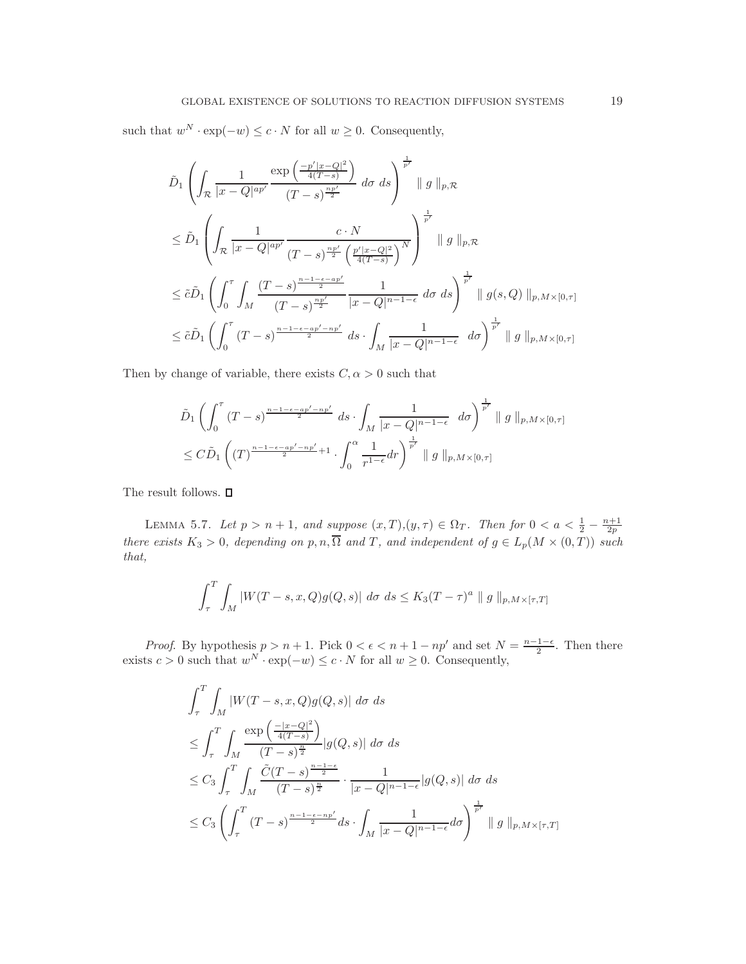such that  $w^N \cdot \exp(-w) \leq c \cdot N$  for all  $w \geq 0$ . Consequently,

$$
\tilde{D}_{1}\left(\int_{\mathcal{R}}\frac{1}{|x-Q|^{ap'}}\frac{\exp\left(\frac{-p'|x-Q|^{2}}{4(T-s)}\right)}{(T-s)^{\frac{np'}{2}}}d\sigma ds\right)^{\frac{1}{p'}} \parallel g\parallel_{p,\mathcal{R}}
$$
\n
$$
\leq \tilde{D}_{1}\left(\int_{\mathcal{R}}\frac{1}{|x-Q|^{ap'}}\frac{c\cdot N}{(T-s)^{\frac{np'}{2}}\left(\frac{p'|x-Q|^{2}}{4(T-s)}\right)^{N}}\right)^{\frac{1}{p'}} \parallel g\parallel_{p,\mathcal{R}}
$$
\n
$$
\leq \tilde{c}\tilde{D}_{1}\left(\int_{0}^{\tau}\int_{M}\frac{(T-s)^{\frac{n-1-\epsilon-ap'}{2}}}{(T-s)^{\frac{np'}{2}}}\frac{1}{|x-Q|^{n-1-\epsilon}}d\sigma ds\right)^{\frac{1}{p'}} \parallel g(s,Q)\parallel_{p,M\times[0,\tau]}
$$
\n
$$
\leq \tilde{c}\tilde{D}_{1}\left(\int_{0}^{\tau}(T-s)^{\frac{n-1-\epsilon-ap'-np'}{2}}ds\cdot \int_{M}\frac{1}{|x-Q|^{n-1-\epsilon}}d\sigma\right)^{\frac{1}{p'}} \parallel g\parallel_{p,M\times[0,\tau]}
$$

Then by change of variable, there exists  $C, \alpha > 0$  such that

$$
\tilde{D}_1 \left( \int_0^{\tau} (T - s)^{\frac{n - 1 - \epsilon - ap' - np'}{2}} ds \cdot \int_M \frac{1}{|x - Q|^{n - 1 - \epsilon}} d\sigma \right)^{\frac{1}{p'}} || g ||_{p, M \times [0, \tau]} \n\leq C \tilde{D}_1 \left( (T)^{\frac{n - 1 - \epsilon - ap' - np'}{2}} + 1 \cdot \int_0^{\alpha} \frac{1}{r^{1 - \epsilon}} dr \right)^{\frac{1}{p'}} || g ||_{p, M \times [0, \tau]}
$$

The result follows.  $\Box$ 

LEMMA 5.7. Let  $p > n + 1$ , and suppose  $(x, T), (y, \tau) \in \Omega_T$ . Then for  $0 < a < \frac{1}{2} - \frac{n+1}{2p}$ there exists  $K_3 > 0$ , depending on p, n,  $\Omega$  and T, and independent of  $g \in L_p(M \times (0,T))$  such that,

$$
\int_{\tau}^{T} \int_{M} |W(T-s,x,Q)g(Q,s)| \, d\sigma \, ds \leq K_3 (T-\tau)^a \parallel g \parallel_{p,M \times [\tau,T]}
$$

*Proof.* By hypothesis  $p > n + 1$ . Pick  $0 < \epsilon < n + 1 - np'$  and set  $N = \frac{n-1-\epsilon}{2}$ . Then there exists  $c > 0$  such that  $w^N \cdot \exp(-w) \leq c \cdot N$  for all  $w \geq 0$ . Consequently,

$$
\int_{\tau}^{T} \int_{M} |W(T-s,x,Q)g(Q,s)| \,d\sigma \,ds
$$
\n
$$
\leq \int_{\tau}^{T} \int_{M} \frac{\exp\left(\frac{-|x-Q|^2}{4(T-s)}\right)}{(T-s)^{\frac{n}{2}}} |g(Q,s)| \,d\sigma \,ds
$$
\n
$$
\leq C_3 \int_{\tau}^{T} \int_{M} \frac{\tilde{C}(T-s)^{\frac{n-1-\epsilon}{2}}}{(T-s)^{\frac{n}{2}}} \cdot \frac{1}{|x-Q|^{n-1-\epsilon}} |g(Q,s)| \,d\sigma \,ds
$$
\n
$$
\leq C_3 \left(\int_{\tau}^{T} (T-s)^{\frac{n-1-\epsilon-np'}{2}} ds \cdot \int_{M} \frac{1}{|x-Q|^{n-1-\epsilon}} d\sigma\right)^{\frac{1}{p'}} ||g||_{p,M \times [\tau,T]}
$$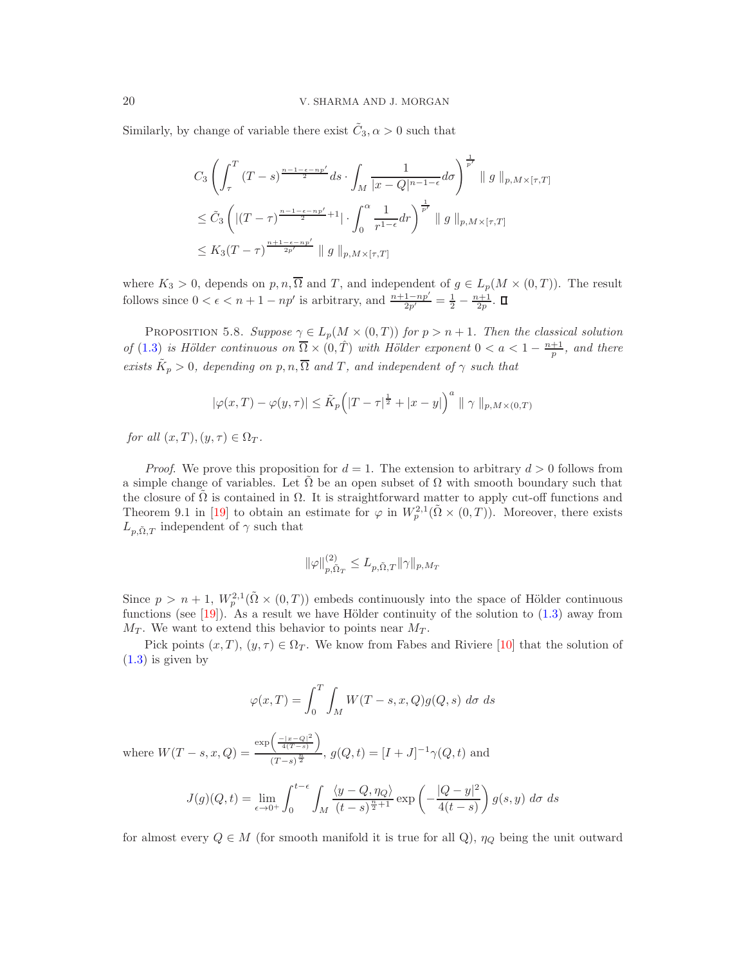Similarly, by change of variable there exist  $\tilde{C}_3, \alpha > 0$  such that

$$
C_3 \left( \int_{\tau}^{T} (T - s)^{\frac{n - 1 - \epsilon - np'}{2}} ds \cdot \int_{M} \frac{1}{|x - Q|^{n - 1 - \epsilon}} d\sigma \right)^{\frac{1}{p'}} || g ||_{p, M \times [\tau, T]} \n\leq \tilde{C}_3 \left( |(T - \tau)^{\frac{n - 1 - \epsilon - np'}{2}} + 1 | \cdot \int_{0}^{\alpha} \frac{1}{r^{1 - \epsilon}} dr \right)^{\frac{1}{p'}} || g ||_{p, M \times [\tau, T]} \n\leq K_3 (T - \tau)^{\frac{n + 1 - \epsilon - np'}{2p'}} || g ||_{p, M \times [\tau, T]}
$$

where  $K_3 > 0$ , depends on p, n,  $\overline{\Omega}$  and T, and independent of  $g \in L_p(M \times (0,T))$ . The result follows since  $0 < \epsilon < n + 1 - np'$  is arbitrary, and  $\frac{n+1-np'}{2p'} = \frac{1}{2} - \frac{n+1}{2p}$ .

PROPOSITION 5.8. Suppose  $\gamma \in L_p(M \times (0,T))$  for  $p > n+1$ . Then the classical solution of (1.3) is Hölder continuous on  $\overline{\Omega} \times (0, \hat{T})$  with Hölder exponent  $0 < a < 1 - \frac{n+1}{p}$ , and there exists  $\tilde{K}_p > 0$ , depending on p, n,  $\overline{\Omega}$  and T, and independent of  $\gamma$  such that

$$
|\varphi(x,T) - \varphi(y,\tau)| \le \tilde{K}_p \Big( |T - \tau|^{\frac{1}{2}} + |x - y| \Big)^a \parallel \gamma \parallel_{p,M \times (0,T)}
$$

for all  $(x, T), (y, \tau) \in \Omega_T$ .

*Proof.* We prove this proposition for  $d = 1$ . The extension to arbitrary  $d > 0$  follows from a simple change of variables. Let  $\Omega$  be an open subset of  $\Omega$  with smooth boundary such that the closure of  $\Omega$  is contained in  $\Omega$ . It is straightforward matter to apply cut-off functions and Theorem 9.1 in [19] to obtain an estimate for  $\varphi$  in  $W_p^{2,1}(\tilde{\Omega} \times (0,T))$ . Moreover, there exists  $L_{p,\tilde{\Omega},T}$  independent of  $\gamma$  such that

$$
\|\varphi\|_{p,\tilde{\Omega}_T}^{(2)} \le L_{p,\tilde{\Omega},T} \|\gamma\|_{p,M_T}
$$

Since  $p > n + 1$ ,  $W_p^{2,1}(\tilde{\Omega} \times (0,T))$  embeds continuously into the space of Hölder continuous functions (see  $[19]$ ). As a result we have Hölder continuity of the solution to  $(1.3)$  away from  $M_T$ . We want to extend this behavior to points near  $M_T$ .

Pick points  $(x, T)$ ,  $(y, \tau) \in \Omega_T$ . We know from Fabes and Riviere [10] that the solution of  $(1.3)$  is given by

$$
\varphi(x,T) = \int_0^T \int_M W(T-s,x,Q)g(Q,s) \, d\sigma \, ds
$$

where  $W(T - s, x, Q) =$  $\exp\left(\frac{-|x-Q|^2}{4(T-s)}\right)$  $\frac{\binom{4(1-s)}{4(1-s)}-1}{(T-s)^{\frac{n}{2}}}, g(Q, t) = [I+J]^{-1} \gamma(Q, t)$  and

$$
J(g)(Q,t) = \lim_{\epsilon \to 0^+} \int_0^{t-\epsilon} \int_M \frac{\langle y - Q, \eta_Q \rangle}{(t-s)^{\frac{n}{2}+1}} \exp\left(-\frac{|Q - y|^2}{4(t-s)}\right) g(s, y) \, d\sigma \, ds
$$

for almost every  $Q \in M$  (for smooth manifold it is true for all Q),  $\eta_Q$  being the unit outward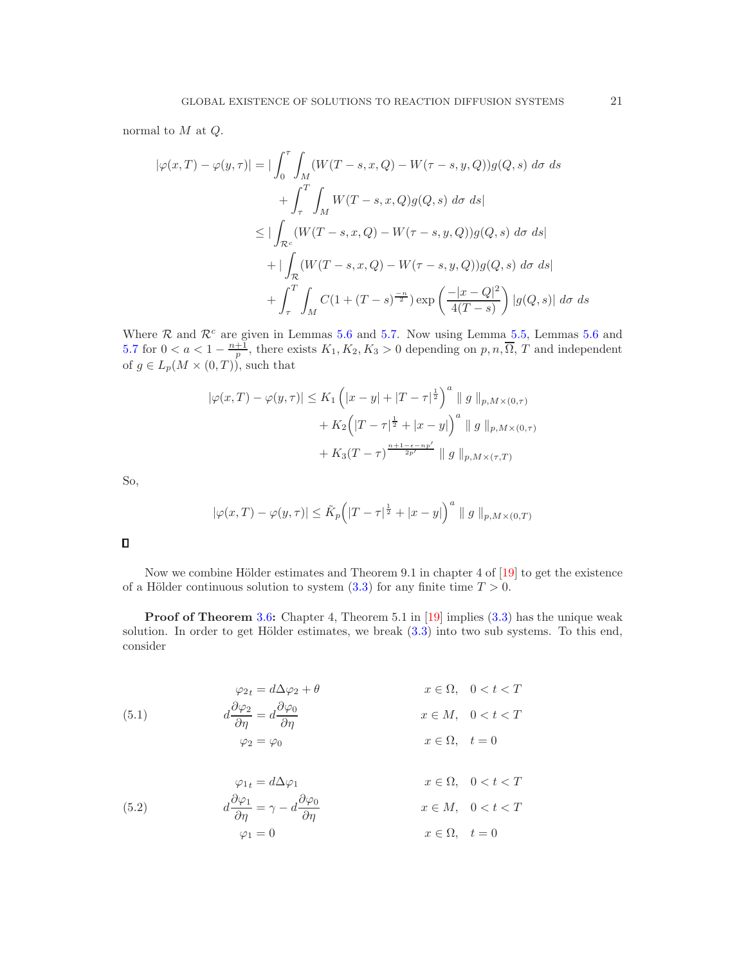normal to  $M$  at  $Q$ .

$$
|\varphi(x,T) - \varphi(y,\tau)| = |\int_0^{\tau} \int_M (W(T-s,x,Q) - W(\tau-s,y,Q))g(Q,s) \, d\sigma \, ds
$$
  
+ 
$$
\int_{\tau}^T \int_M W(T-s,x,Q)g(Q,s) \, d\sigma \, ds|
$$
  

$$
\leq |\int_{\mathcal{R}^c} (W(T-s,x,Q) - W(\tau-s,y,Q))g(Q,s) \, d\sigma \, ds|
$$
  
+ 
$$
|\int_{\mathcal{R}} (W(T-s,x,Q) - W(\tau-s,y,Q))g(Q,s) \, d\sigma \, ds|
$$
  
+ 
$$
\int_{\tau}^T \int_M C(1 + (T-s)^{\frac{-n}{2}}) \exp\left(\frac{-|x-Q|^2}{4(T-s)}\right) |g(Q,s)| \, d\sigma \, ds
$$

Where  $\mathcal{R}$  and  $\mathcal{R}^c$  are given in Lemmas 5.6 and 5.7. Now using Lemma 5.5, Lemmas 5.6 and 5.7 for  $0 < a < 1 - \frac{n+1}{p}$ , there exists  $K_1, K_2, K_3 > 0$  depending on  $p, n, \overline{\Omega}, T$  and independent of  $g \in L_p(M \times (0,T))$ , such that

$$
|\varphi(x,T) - \varphi(y,\tau)| \le K_1 \left( |x - y| + |T - \tau|^{\frac{1}{2}} \right)^a \| g \|_{p,M \times (0,\tau)}
$$
  
+  $K_2 \left( |T - \tau|^{\frac{1}{2}} + |x - y| \right)^a \| g \|_{p,M \times (0,\tau)}$   
+  $K_3 (T - \tau)^{\frac{n+1-\epsilon-np'}{2p'}} \| g \|_{p,M \times (\tau,T)}$ 

So,

$$
|\varphi(x,T) - \varphi(y,\tau)| \le \tilde{K}_p \Big( |T - \tau|^{\frac{1}{2}} + |x - y| \Big)^a \parallel g \parallel_{p,M \times (0,T)}
$$

Now we combine Hölder estimates and Theorem 9.1 in chapter 4 of [19] to get the existence of a Hölder continuous solution to system  $(3.3)$  for any finite time  $T > 0$ .

Proof of Theorem 3.6: Chapter 4, Theorem 5.1 in [19] implies (3.3) has the unique weak solution. In order to get Hölder estimates, we break  $(3.3)$  into two sub systems. To this end, consider

(5.1)  
\n
$$
\varphi_{2t} = d\Delta\varphi_2 + \theta \qquad x \in \Omega, \quad 0 < t < T
$$
\n
$$
d\frac{\partial\varphi_2}{\partial \eta} = d\frac{\partial\varphi_0}{\partial \eta} \qquad x \in M, \quad 0 < t < T
$$
\n
$$
\varphi_2 = \varphi_0 \qquad x \in \Omega, \quad t = 0
$$
\n
$$
\varphi_{1t} = d\Delta\varphi_1 \qquad x \in \Omega, \quad 0 < t < T
$$

(5.2) 
$$
d \frac{\partial \varphi_1}{\partial \eta} = \gamma - d \frac{\partial \varphi_0}{\partial \eta} \qquad x \in M, \quad 0 < t < T
$$

$$
\varphi_1 = 0 \qquad x \in \Omega, \quad t = 0
$$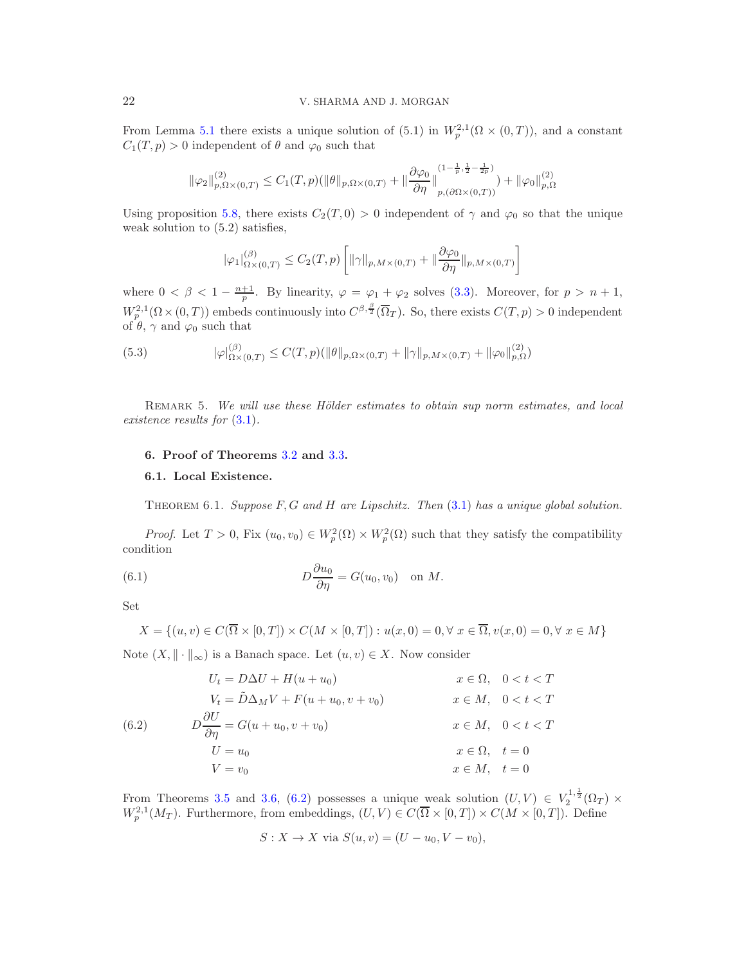From Lemma 5.1 there exists a unique solution of  $(5.1)$  in  $W_p^{2,1}(\Omega \times (0,T))$ , and a constant  $C_1(T, p) > 0$  independent of  $\theta$  and  $\varphi_0$  such that

$$
\|\varphi_2\|_{p,\Omega\times(0,T)}^{(2)} \le C_1(T,p)(\|\theta\|_{p,\Omega\times(0,T)} + \|\frac{\partial\varphi_0}{\partial\eta}\|_{p,(\partial\Omega\times(0,T))}^{(1-\frac{1}{p},\frac{1}{2}-\frac{1}{2p})}) + \|\varphi_0\|_{p,\Omega}^{(2)}
$$

Using proposition 5.8, there exists  $C_2(T, 0) > 0$  independent of  $\gamma$  and  $\varphi_0$  so that the unique weak solution to (5.2) satisfies,

$$
|\varphi_1|_{\Omega \times (0,T)}^{(\beta)} \le C_2(T,p) \left[ \|\gamma\|_{p,M \times (0,T)} + \|\frac{\partial \varphi_0}{\partial \eta}\|_{p,M \times (0,T)} \right]
$$

where  $0 < \beta < 1 - \frac{n+1}{p}$ . By linearity,  $\varphi = \varphi_1 + \varphi_2$  solves (3.3). Moreover, for  $p > n+1$ ,  $W^{2,1}_p(\Omega\times(0,T))$  embeds continuously into  $C^{\beta,\frac{\beta}{2}}(\overline{\Omega}_T)$ . So, there exists  $C(T,p)>0$  independent of  $\theta$ ,  $\gamma$  and  $\varphi_0$  such that

(5.3) 
$$
|\varphi|_{\Omega \times (0,T)}^{(\beta)} \leq C(T,p)(\|\theta\|_{p,\Omega \times (0,T)} + \|\gamma\|_{p,M \times (0,T)} + \|\varphi_0\|_{p,\Omega}^{(2)})
$$

REMARK 5. We will use these Hölder estimates to obtain sup norm estimates, and local existence results for (3.1).

#### 6. Proof of Theorems 3.2 and 3.3.

## 6.1. Local Existence.

THEOREM 6.1. Suppose  $F, G$  and  $H$  are Lipschitz. Then  $(3.1)$  has a unique global solution.

*Proof.* Let  $T > 0$ , Fix  $(u_0, v_0) \in W_p^2(\Omega) \times W_p^2(\Omega)$  such that they satisfy the compatibility condition

(6.1) 
$$
D\frac{\partial u_0}{\partial \eta} = G(u_0, v_0) \text{ on } M.
$$

Set

$$
X = \{(u, v) \in C(\overline{\Omega} \times [0, T]) \times C(M \times [0, T]) : u(x, 0) = 0, \forall x \in \overline{\Omega}, v(x, 0) = 0, \forall x \in M\}
$$

Note  $(X, \|\cdot\|_{\infty})$  is a Banach space. Let  $(u, v) \in X$ . Now consider

(6.2) 
$$
U_t = D\Delta U + H(u + u_0)
$$

$$
V_t = \tilde{D}\Delta_M V + F(u + u_0, v + v_0)
$$

$$
V_t = \tilde{D}\Delta_M V + F(u + u_0, v + v_0)
$$

$$
x \in M, \quad 0 < t < T
$$

$$
x \in M, \quad 0 < t < T
$$

$$
U = u_0
$$

$$
V = v_0
$$

$$
x \in M, \quad t = 0
$$

From Theorems 3.5 and 3.6, (6.2) possesses a unique weak solution  $(U, V) \in V_2^{1, \frac{1}{2}}(\Omega_T) \times$  $W_p^{2,1}(M_T)$ . Furthermore, from embeddings,  $(U, V) \in C(\overline{\Omega} \times [0, T]) \times C(M \times [0, T])$ . Define

$$
S: X \to X
$$
 via  $S(u, v) = (U - u_0, V - v_0),$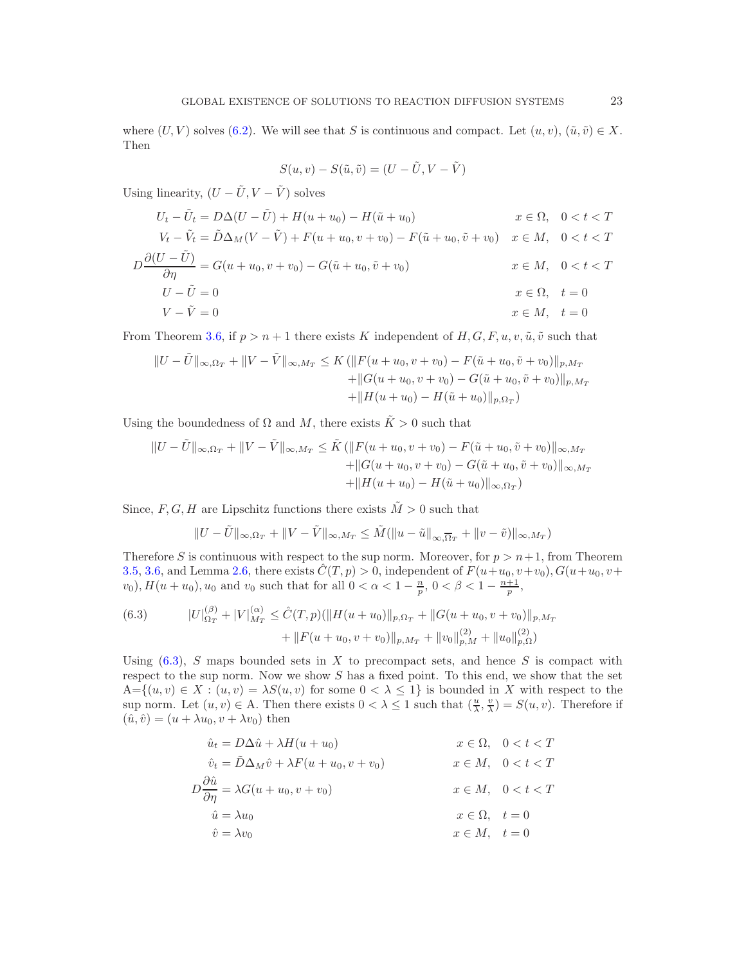where  $(U, V)$  solves (6.2). We will see that S is continuous and compact. Let  $(u, v)$ ,  $(\tilde{u}, \tilde{v}) \in X$ . Then

$$
S(u, v) - S(\tilde{u}, \tilde{v}) = (U - \tilde{U}, V - \tilde{V})
$$

Using linearity,  $(U-\tilde{U},V-\tilde{V})$  solves

$$
U_t - \tilde{U}_t = D\Delta(U - \tilde{U}) + H(u + u_0) - H(\tilde{u} + u_0)
$$
  
\n
$$
V_t - \tilde{V}_t = \tilde{D}\Delta_M(V - \tilde{V}) + F(u + u_0, v + v_0) - F(\tilde{u} + u_0, \tilde{v} + v_0)
$$
  
\n
$$
x \in \Omega, \quad 0 < t < T
$$
  
\n
$$
D\frac{\partial(U - \tilde{U})}{\partial \eta} = G(u + u_0, v + v_0) - G(\tilde{u} + u_0, \tilde{v} + v_0)
$$
  
\n
$$
x \in M, \quad 0 < t < T
$$
  
\n
$$
U - \tilde{U} = 0
$$
  
\n
$$
V - \tilde{V} = 0
$$
  
\n
$$
x \in M, \quad t = 0
$$

From Theorem 3.6, if  $p > n + 1$  there exists K independent of  $H, G, F, u, v, \tilde{u}, \tilde{v}$  such that

$$
||U - \tilde{U}||_{\infty,\Omega_T} + ||V - \tilde{V}||_{\infty,M_T} \le K (||F(u + u_0, v + v_0) - F(\tilde{u} + u_0, \tilde{v} + v_0)||_{p,M_T} + ||G(u + u_0, v + v_0) - G(\tilde{u} + u_0, \tilde{v} + v_0)||_{p,M_T} + ||H(u + u_0) - H(\tilde{u} + u_0)||_{p,\Omega_T})
$$

Using the boundedness of  $\Omega$  and M, there exists  $\tilde{K} > 0$  such that

$$
||U - \tilde{U}||_{\infty,\Omega_T} + ||V - \tilde{V}||_{\infty,M_T} \leq \tilde{K} (||F(u + u_0, v + v_0) - F(\tilde{u} + u_0, \tilde{v} + v_0)||_{\infty,M_T} + ||G(u + u_0, v + v_0) - G(\tilde{u} + u_0, \tilde{v} + v_0)||_{\infty,M_T} + ||H(u + u_0) - H(\tilde{u} + u_0)||_{\infty,\Omega_T})
$$

Since, F, G, H are Lipschitz functions there exists  $\tilde{M} > 0$  such that

$$
||U - \tilde{U}||_{\infty, \Omega_T} + ||V - \tilde{V}||_{\infty, M_T} \leq \tilde{M}(||u - \tilde{u}||_{\infty, \overline{\Omega}_T} + ||v - \tilde{v}||_{\infty, M_T})
$$

Therefore S is continuous with respect to the sup norm. Moreover, for  $p > n+1$ , from Theorem 3.5, 3.6, and Lemma 2.6, there exists  $\hat{C}(T, p) > 0$ , independent of  $F(u+u_0, v+v_0), G(u+u_0, v+v_0)$  $(v_0)$ ,  $H(u + u_0)$ ,  $u_0$  and  $v_0$  such that for all  $0 < \alpha < 1 - \frac{n}{p}$ ,  $0 < \beta < 1 - \frac{n+1}{p}$ ,

(6.3) 
$$
|U|_{\Omega_T}^{(\beta)} + |V|_{M_T}^{(\alpha)} \leq \hat{C}(T, p)(\|H(u + u_0)\|_{p, \Omega_T} + \|G(u + u_0, v + v_0)\|_{p, M_T} + \|F(u + u_0, v + v_0)\|_{p, M_T} + \|v_0\|_{p, M}^{(2)} + \|u_0\|_{p, \Omega}^{(2)})
$$

Using  $(6.3)$ , S maps bounded sets in X to precompact sets, and hence S is compact with respect to the sup norm. Now we show S has a fixed point. To this end, we show that the set  $A=\{(u, v) \in X : (u, v) = \lambda S(u, v) \text{ for some } 0 \leq \lambda \leq 1\}$  is bounded in X with respect to the sup norm. Let  $(u, v) \in A$ . Then there exists  $0 < \lambda \leq 1$  such that  $(\frac{u}{\lambda}, \frac{v}{\lambda}) = S(u, v)$ . Therefore if  $(\hat{u}, \hat{v}) = (u + \lambda u_0, v + \lambda v_0)$  then

| $\hat{u}_t = D\Delta \hat{u} + \lambda H(u + u_0)$                    |                          | $x \in \Omega$ , $0 < t < T$ |
|-----------------------------------------------------------------------|--------------------------|------------------------------|
| $\hat{v}_t = \tilde{D}\Delta_M \hat{v} + \lambda F(u + u_0, v + v_0)$ |                          | $x \in M$ , $0 < t < T$      |
| $D\frac{\partial \hat{u}}{\partial n} = \lambda G(u + u_0, v + v_0)$  |                          | $x \in M$ , $0 < t < T$      |
| $\hat{u} = \lambda u_0$                                               | $x \in \Omega$ , $t = 0$ |                              |
| $\hat{v} = \lambda v_0$                                               | $x \in M$ , $t = 0$      |                              |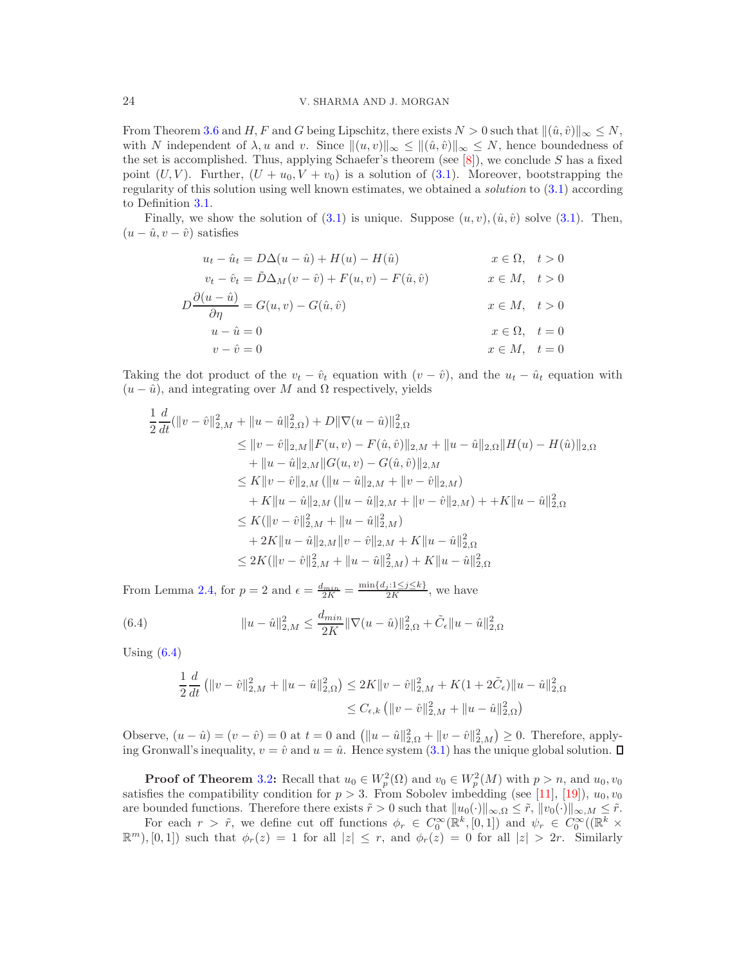From Theorem 3.6 and H, F and G being Lipschitz, there exists  $N > 0$  such that  $\|(\hat{u}, \hat{v})\|_{\infty} \leq N$ , with N independent of  $\lambda, u$  and v. Since  $\|(u, v)\|_{\infty} \leq \|(\hat{u}, \hat{v})\|_{\infty} \leq N$ , hence boundedness of the set is accomplished. Thus, applying Schaefer's theorem (see  $[8]$ ), we conclude S has a fixed point  $(U, V)$ . Further,  $(U + u_0, V + v_0)$  is a solution of (3.1). Moreover, bootstrapping the regularity of this solution using well known estimates, we obtained a solution to (3.1) according to Definition 3.1.

Finally, we show the solution of  $(3.1)$  is unique. Suppose  $(u, v), (\hat{u}, \hat{v})$  solve  $(3.1)$ . Then,  $(u - \hat{u}, v - \hat{v})$  satisfies

| $u_t - \hat{u}_t = D\Delta(u - \hat{u}) + H(u) - H(\hat{u})$                       | $x \in \Omega$ , $t > 0$ |  |
|------------------------------------------------------------------------------------|--------------------------|--|
| $v_t - \hat{v}_t = \tilde{D}\Delta_M(v - \hat{v}) + F(u, v) - F(\hat{u}, \hat{v})$ | $x \in M$ , $t > 0$      |  |
| $D\frac{\partial (u-\hat{u})}{\partial n}=G(u,v)-G(\hat{u},\hat{v})$               | $x \in M$ , $t > 0$      |  |
| $u - \hat{u} = 0$                                                                  | $x \in \Omega$ , $t = 0$ |  |
| $v - \hat{v} = 0$                                                                  | $x \in M$ , $t = 0$      |  |

Taking the dot product of the  $v_t - \hat{v}_t$  equation with  $(v - \hat{v})$ , and the  $u_t - \hat{u}_t$  equation with  $(u - \hat{u})$ , and integrating over M and  $\Omega$  respectively, yields

$$
\frac{1}{2} \frac{d}{dt} (\|v - \hat{v}\|_{2,M}^2 + \|u - \hat{u}\|_{2,\Omega}^2) + D \|\nabla(u - \hat{u})\|_{2,\Omega}^2
$$
\n
$$
\leq \|v - \hat{v}\|_{2,M} \|F(u, v) - F(\hat{u}, \hat{v})\|_{2,M} + \|u - \hat{u}\|_{2,\Omega} \|H(u) - H(\hat{u})\|_{2,\Omega}
$$
\n
$$
+ \|u - \hat{u}\|_{2,M} \|G(u, v) - G(\hat{u}, \hat{v})\|_{2,M}
$$
\n
$$
\leq K \|v - \hat{v}\|_{2,M} (\|u - \hat{u}\|_{2,M} + \|v - \hat{v}\|_{2,M})
$$
\n
$$
+ K \|u - \hat{u}\|_{2,M} (\|u - \hat{u}\|_{2,M} + \|v - \hat{v}\|_{2,M}) + K \|u - \hat{u}\|_{2,\Omega}^2
$$
\n
$$
\leq K (\|v - \hat{v}\|_{2,M}^2 + \|u - \hat{u}\|_{2,M}^2)
$$
\n
$$
+ 2K \|u - \hat{u}\|_{2,M} \|v - \hat{v}\|_{2,M} + K \|u - \hat{u}\|_{2,\Omega}^2
$$
\n
$$
\leq 2K (\|v - \hat{v}\|_{2,M}^2 + \|u - \hat{u}\|_{2,M}^2) + K \|u - \hat{u}\|_{2,\Omega}^2
$$

From Lemma 2.4, for  $p = 2$  and  $\epsilon = \frac{d_{min}}{2K} = \frac{\min\{d_j:1\leq j\leq k\}}{2K}$  $\frac{j!1\leq j\leq k}{2K}$ , we have

(6.4) 
$$
||u - \hat{u}||_{2,M}^2 \le \frac{d_{min}}{2K} ||\nabla(u - \hat{u})||_{2,\Omega}^2 + \tilde{C}_{\epsilon} ||u - \hat{u}||_{2,\Omega}^2
$$

Using  $(6.4)$ 

$$
\frac{1}{2}\frac{d}{dt}\left(\|v-\hat{v}\|_{2,M}^2 + \|u-\hat{u}\|_{2,\Omega}^2\right) \le 2K\|v-\hat{v}\|_{2,M}^2 + K(1+2\tilde{C}_{\epsilon})\|u-\hat{u}\|_{2,\Omega}^2
$$
  

$$
\le C_{\epsilon,k}\left(\|v-\hat{v}\|_{2,M}^2 + \|u-\hat{u}\|_{2,\Omega}^2\right)
$$

Observe,  $(u - \hat{u}) = (v - \hat{v}) = 0$  at  $t = 0$  and  $(||u - \hat{u}||_{2,\Omega}^2 + ||v - \hat{v}||_{2,M}^2) \ge 0$ . Therefore, applying Gronwall's inequality,  $v = \hat{v}$  and  $u = \hat{u}$ . Hence system (3.1) has the unique global solution.  $\Box$ 

**Proof of Theorem 3.2:** Recall that  $u_0 \in W_p^2(\Omega)$  and  $v_0 \in W_p^2(M)$  with  $p > n$ , and  $u_0, v_0$ satisfies the compatibility condition for  $p > 3$ . From Sobolev imbedding (see [11], [19]),  $u_0, v_0$ are bounded functions. Therefore there exists  $\tilde{r} > 0$  such that  $||u_0(\cdot)||_{\infty,\Omega} \leq \tilde{r}$ ,  $||v_0(\cdot)||_{\infty,M} \leq \tilde{r}$ .

For each  $r > \tilde{r}$ , we define cut off functions  $\phi_r \in C_0^{\infty}(\mathbb{R}^k, [0,1])$  and  $\psi_r \in C_0^{\infty}((\mathbb{R}^k \times$  $\mathbb{R}^m$ ,  $[0,1]$ ) such that  $\phi_r(z) = 1$  for all  $|z| \leq r$ , and  $\phi_r(z) = 0$  for all  $|z| > 2r$ . Similarly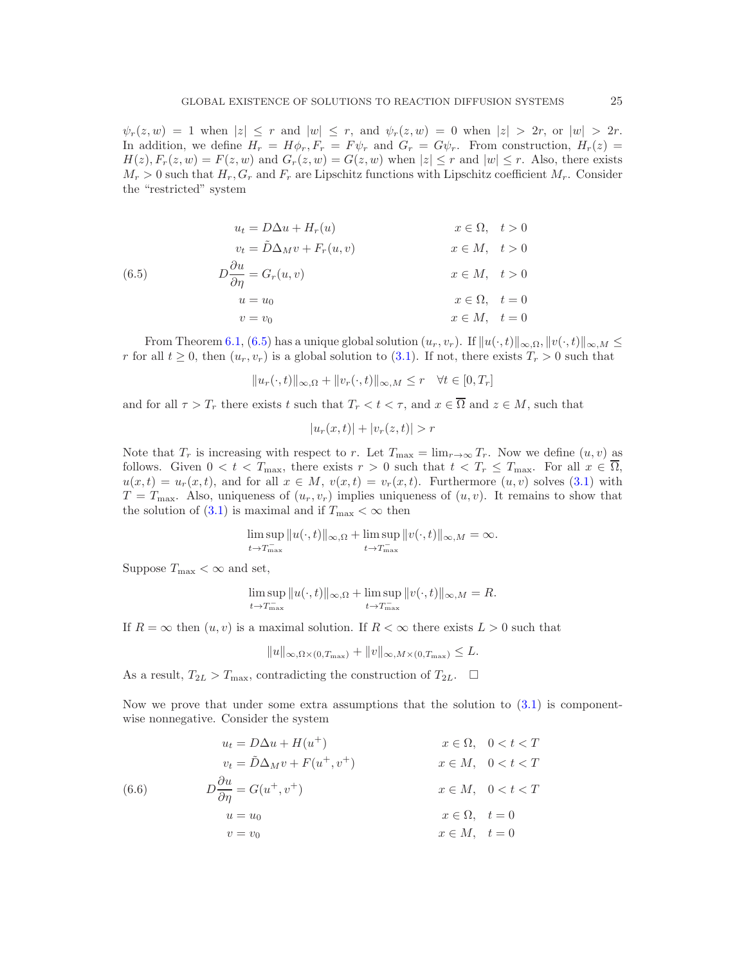$\psi_r(z,w) = 1$  when  $|z| \leq r$  and  $|w| \leq r$ , and  $\psi_r(z,w) = 0$  when  $|z| > 2r$ , or  $|w| > 2r$ . In addition, we define  $H_r = H\phi_r$ ,  $F_r = F\psi_r$  and  $G_r = G\psi_r$ . From construction,  $H_r(z)$  $H(z), F_r(z, w) = F(z, w)$  and  $G_r(z, w) = G(z, w)$  when  $|z| \leq r$  and  $|w| \leq r$ . Also, there exists  $M_r > 0$  such that  $H_r$ ,  $G_r$  and  $F_r$  are Lipschitz functions with Lipschitz coefficient  $M_r$ . Consider the "restricted" system

(6.5)  
\n
$$
u_{t} = D\Delta u + H_{r}(u)
$$
\n
$$
v_{t} = \tilde{D}\Delta_{M}v + F_{r}(u, v)
$$
\n
$$
u = G_{r}(u, v)
$$
\n
$$
u = u_{0}
$$
\n
$$
u = v_{0}
$$
\n
$$
x \in \Omega, \quad t > 0
$$
\n
$$
x \in M, \quad t > 0
$$
\n
$$
x \in \Omega, \quad t = 0
$$
\n
$$
x \in \Omega, \quad t = 0
$$
\n
$$
x \in M, \quad t = 0
$$

From Theorem 6.1, (6.5) has a unique global solution  $(u_r, v_r)$ . If  $||u(\cdot, t)||_{\infty, \Omega}, ||v(\cdot, t)||_{\infty, M} \le$ r for all  $t \geq 0$ , then  $(u_r, v_r)$  is a global solution to (3.1). If not, there exists  $T_r > 0$  such that

$$
||u_r(\cdot, t)||_{\infty,\Omega} + ||v_r(\cdot, t)||_{\infty,M} \le r \quad \forall t \in [0, T_r]
$$

and for all  $\tau > T_r$  there exists t such that  $T_r < t < \tau$ , and  $x \in \overline{\Omega}$  and  $z \in M$ , such that

$$
|u_r(x,t)| + |v_r(z,t)| > r
$$

Note that  $T_r$  is increasing with respect to r. Let  $T_{\text{max}} = \lim_{r \to \infty} T_r$ . Now we define  $(u, v)$  as follows. Given  $0 < t < T_{\text{max}}$ , there exists  $r > 0$  such that  $t < T_r \le T_{\text{max}}$ . For all  $x \in \overline{\Omega}$ ,  $u(x,t) = u_r(x,t)$ , and for all  $x \in M$ ,  $v(x,t) = v_r(x,t)$ . Furthermore  $(u, v)$  solves (3.1) with  $T = T_{\text{max}}$ . Also, uniqueness of  $(u_r, v_r)$  implies uniqueness of  $(u, v)$ . It remains to show that the solution of (3.1) is maximal and if  $T_{\text{max}} < \infty$  then

$$
\limsup_{t \to T_{\text{max}}^-} ||u(\cdot, t)||_{\infty, \Omega} + \limsup_{t \to T_{\text{max}}^-} ||v(\cdot, t)||_{\infty, M} = \infty.
$$

Suppose  $T_{\text{max}} < \infty$  and set,

$$
\limsup_{t \to T_{\text{max}}^-} ||u(\cdot, t)||_{\infty, \Omega} + \limsup_{t \to T_{\text{max}}^-} ||v(\cdot, t)||_{\infty, M} = R.
$$

If  $R = \infty$  then  $(u, v)$  is a maximal solution. If  $R < \infty$  there exists  $L > 0$  such that

$$
||u||_{\infty,\Omega\times(0,T_{\max})}+||v||_{\infty,M\times(0,T_{\max})}\leq L.
$$

As a result,  $T_{2L} > T_{\text{max}}$ , contradicting the construction of  $T_{2L}$ .  $\Box$ 

Now we prove that under some extra assumptions that the solution to  $(3.1)$  is componentwise nonnegative. Consider the system

(6.6)  
\n
$$
u_t = D\Delta u + H(u^+) \qquad x \in \Omega, \quad 0 < t < T
$$
\n
$$
v_t = \tilde{D}\Delta_M v + F(u^+, v^+) \qquad x \in M, \quad 0 < t < T
$$
\n
$$
D\frac{\partial u}{\partial \eta} = G(u^+, v^+) \qquad x \in M, \quad 0 < t < T
$$
\n
$$
u = u_0 \qquad x \in \Omega, \quad t = 0
$$
\n
$$
v = v_0 \qquad x \in M, \quad t = 0
$$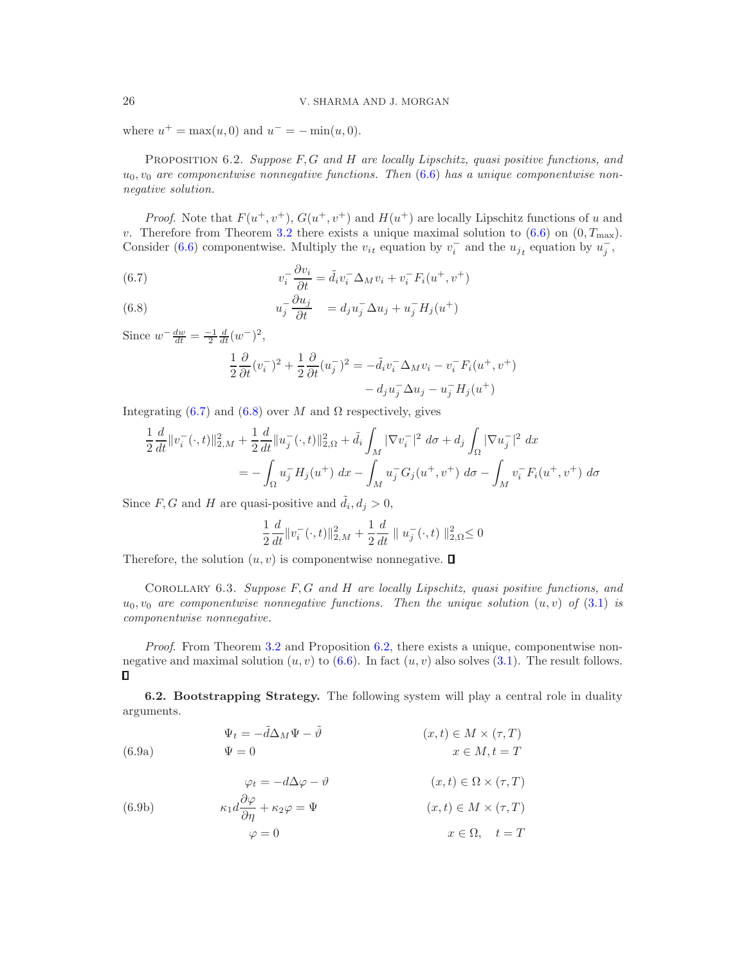where  $u^{+} = \max(u, 0)$  and  $u^{-} = -\min(u, 0)$ .

PROPOSITION  $6.2.$  Suppose  $F, G$  and  $H$  are locally Lipschitz, quasi positive functions, and  $u_0, v_0$  are componentwise nonnegative functions. Then  $(6.6)$  has a unique componentwise nonnegative solution.

*Proof.* Note that  $F(u^+, v^+)$ ,  $G(u^+, v^+)$  and  $H(u^+)$  are locally Lipschitz functions of u and v. Therefore from Theorem 3.2 there exists a unique maximal solution to  $(6.6)$  on  $(0, T_{\text{max}})$ . Consider (6.6) componentwise. Multiply the  $v_{it}$  equation by  $v_i^-$  and the  $u_{jt}$  equation by  $u_j^-$ ,

(6.7) 
$$
v_i^- \frac{\partial v_i}{\partial t} = \tilde{d}_i v_i^- \Delta_M v_i + v_i^- F_i(u^+, v^+)
$$

(6.8) 
$$
u_j^- \frac{\partial u_j}{\partial t} = d_j u_j^- \Delta u_j + u_j^- H_j(u^+)
$$

Since  $w^{-} \frac{dw}{dt} = \frac{-1}{2} \frac{d}{dt} (w^{-})^2$ ,

$$
\frac{1}{2}\frac{\partial}{\partial t}(v_i^-)^2 + \frac{1}{2}\frac{\partial}{\partial t}(u_j^-)^2 = -\tilde{d}_iv_i^- \Delta_M v_i - v_i^- F_i(u^+, v^+)
$$

$$
- d_j u_j^- \Delta u_j - u_j^- H_j(u^+)
$$

Integrating (6.7) and (6.8) over M and  $\Omega$  respectively, gives

$$
\frac{1}{2}\frac{d}{dt}\|v_i^-(\cdot,t)\|_{2,M}^2 + \frac{1}{2}\frac{d}{dt}\|u_j^-(\cdot,t)\|_{2,\Omega}^2 + \tilde{d}_i \int_M |\nabla v_i^-|^2 \,d\sigma + d_j \int_\Omega |\nabla u_j^-|^2 \,dx
$$
  
= 
$$
-\int_\Omega u_j^- H_j(u^+) \,dx - \int_M u_j^- G_j(u^+,v^+) \,d\sigma - \int_M v_i^- F_i(u^+,v^+) \,d\sigma
$$

Since F, G and H are quasi-positive and  $\tilde{d}_i, d_j > 0$ ,

$$
\frac{1}{2}\frac{d}{dt}\|v_i^-(\cdot,t)\|_{2,M}^2 + \frac{1}{2}\frac{d}{dt}\|u_j^-(\cdot,t)\|_{2,\Omega}^2 \le 0
$$

Therefore, the solution  $(u, v)$  is componentwise nonnegative.  $\Box$ 

COROLLARY  $6.3$ . Suppose  $F, G$  and  $H$  are locally Lipschitz, quasi positive functions, and  $u_0, v_0$  are componentwise nonnegative functions. Then the unique solution  $(u, v)$  of  $(3.1)$  is componentwise nonnegative.

Proof. From Theorem 3.2 and Proposition 6.2, there exists a unique, componentwise nonnegative and maximal solution  $(u, v)$  to (6.6). In fact  $(u, v)$  also solves (3.1). The result follows.  $\Box$ 

6.2. Bootstrapping Strategy. The following system will play a central role in duality arguments.

(6.9a)  
\n
$$
\Psi_t = -\tilde{d}\Delta_M\Psi - \tilde{\vartheta}
$$
\n
$$
\Psi = 0
$$
\n
$$
\varphi_t = -d\Delta\varphi - \vartheta
$$
\n
$$
\varphi_t = -d\Delta\varphi - \vartheta
$$
\n
$$
\varphi_t = \varphi
$$
\n
$$
\varphi_t = -d\Delta\varphi - \vartheta
$$
\n
$$
\varphi_t = \varphi
$$
\n
$$
\varphi = 0
$$
\n(6.9b)  
\n
$$
\varphi = 0
$$
\n
$$
\varphi = 0
$$
\n
$$
\varphi = 0
$$
\n
$$
\varphi = 0
$$
\n
$$
\varphi = 0
$$
\n
$$
\varphi = 0
$$
\n
$$
\varphi = 0
$$
\n
$$
\varphi = 0
$$
\n
$$
\varphi = 0
$$
\n
$$
\varphi = 0
$$
\n
$$
\varphi = 0
$$
\n
$$
\varphi = 0
$$
\n
$$
\varphi = 0
$$
\n
$$
\varphi = 0
$$
\n
$$
\varphi = 0
$$
\n
$$
\varphi = 0
$$
\n
$$
\varphi = 0
$$
\n
$$
\varphi = 0
$$
\n
$$
\varphi = 0
$$
\n
$$
\varphi = 0
$$
\n
$$
\varphi = 0
$$
\n
$$
\varphi = 0
$$
\n
$$
\varphi = 0
$$
\n
$$
\varphi = 0
$$
\n
$$
\varphi = 0
$$
\n
$$
\varphi = 0
$$
\n
$$
\varphi = 0
$$
\n
$$
\varphi = 0
$$
\n
$$
\varphi = 0
$$
\n
$$
\varphi = 0
$$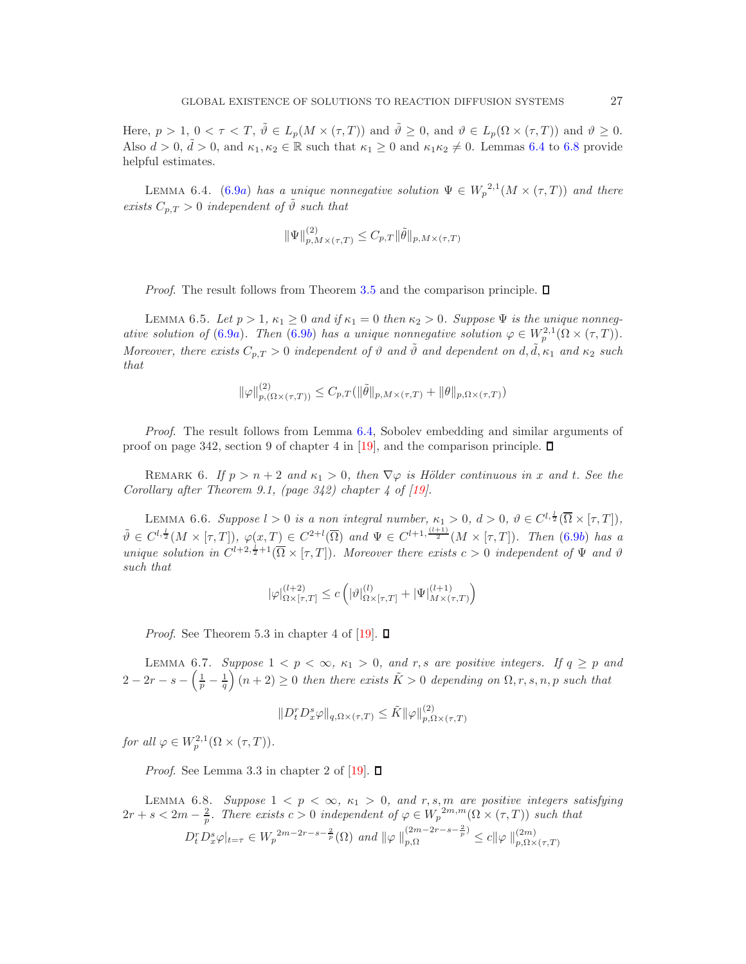Here,  $p > 1$ ,  $0 < \tau < T$ ,  $\hat{\theta} \in L_p(M \times (\tau, T))$  and  $\hat{\theta} \ge 0$ , and  $\theta \in L_p(\Omega \times (\tau, T))$  and  $\theta \ge 0$ . Also  $d > 0$ ,  $\tilde{d} > 0$ , and  $\kappa_1, \kappa_2 \in \mathbb{R}$  such that  $\kappa_1 \geq 0$  and  $\kappa_1 \kappa_2 \neq 0$ . Lemmas 6.4 to 6.8 provide helpful estimates.

LEMMA 6.4. (6.9a) has a unique nonnegative solution  $\Psi \in W_p^{2,1}(M \times (\tau,T))$  and there exists  $C_{p,T} > 0$  independent of  $\hat{\vartheta}$  such that

$$
\|\Psi\|_{p,M\times(\tau,T)}^{(2)} \leq C_{p,T} \|\tilde{\theta}\|_{p,M\times(\tau,T)}
$$

*Proof.* The result follows from Theorem 3.5 and the comparison principle.  $\Box$ 

LEMMA 6.5. Let  $p > 1$ ,  $\kappa_1 \geq 0$  and if  $\kappa_1 = 0$  then  $\kappa_2 > 0$ . Suppose  $\Psi$  is the unique nonnegative solution of (6.9a). Then (6.9b) has a unique nonnegative solution  $\varphi \in W^{2,1}_p(\Omega \times (\tau,T))$ . Moreover, there exists  $C_{p,T} > 0$  independent of  $\vartheta$  and  $\tilde{\vartheta}$  and dependent on d,  $\tilde{d}$ ,  $\kappa_1$  and  $\kappa_2$  such that

$$
\|\varphi\|_{p,(\Omega\times(\tau,T))}^{(2)} \leq C_{p,T}(\|\tilde{\theta}\|_{p,M\times(\tau,T)} + \|\theta\|_{p,\Omega\times(\tau,T)})
$$

Proof. The result follows from Lemma 6.4, Sobolev embedding and similar arguments of proof on page 342, section 9 of chapter 4 in [19], and the comparison principle.  $\Box$ 

REMARK 6. If  $p > n + 2$  and  $\kappa_1 > 0$ , then  $\nabla \varphi$  is Hölder continuous in x and t. See the Corollary after Theorem 9.1, (page  $342$ ) chapter 4 of [19].

LEMMA 6.6. Suppose  $l > 0$  is a non integral number,  $\kappa_1 > 0$ ,  $d > 0$ ,  $\vartheta \in C^{l, \frac{l}{2}}(\overline{\Omega} \times [\tau, T]),$  $\tilde{\vartheta} \in C^{l, \frac{l}{2}}(M \times [\tau, T]), \varphi(x, T) \in C^{2+l}(\overline{\Omega}) \text{ and } \Psi \in C^{l+1, \frac{(l+1)}{2}}(M \times [\tau, T]).$  Then (6.9b) has a unique solution in  $C^{l+2,\frac{l}{2}+1}(\overline{\Omega}\times[\tau,T])$ . Moreover there exists  $c>0$  independent of  $\Psi$  and  $\vartheta$ such that

$$
|\varphi|^{(l+2)}_{\Omega\times[\tau,T]}\leq c\left(|\vartheta|^{(l)}_{\Omega\times[\tau,T]}+|\Psi|^{(l+1)}_{M\times(\tau,T)}\right)
$$

*Proof.* See Theorem 5.3 in chapter 4 of [19].  $\Box$ 

LEMMA 6.7. Suppose  $1 < p < \infty$ ,  $\kappa_1 > 0$ , and r, s are positive integers. If  $q \ge p$  and  $2-2r-s-\left(\frac{1}{p}-\frac{1}{q}\right)(n+2)\geq 0$  then there exists  $K>0$  depending on  $\Omega, r, s, n, p$  such that

$$
||D_t^r D_x^s \varphi||_{q, \Omega \times (\tau, T)} \le \tilde{K} ||\varphi||_{p, \Omega \times (\tau, T)}^{(2)}
$$

for all  $\varphi \in W_p^{2,1}(\Omega \times (\tau, T)).$ 

*Proof.* See Lemma 3.3 in chapter 2 of [19].  $\Box$ 

LEMMA 6.8. Suppose  $1 < p < \infty$ ,  $\kappa_1 > 0$ , and  $r, s, m$  are positive integers satisfying  $2r + s < 2m - \frac{2}{p}$ . There exists  $c > 0$  independent of  $\varphi \in W_p^{2m,m}(\Omega \times (\tau, T))$  such that )

$$
D_t^r D_x^s \varphi|_{t=\tau} \in W_p^{\ 2m-2r-s-\frac{2}{p}}(\Omega) \ \text{and} \ \|\varphi\|_{p,\Omega}^{(2m-2r-s-\frac{2}{p})} \leq c \|\varphi\|_{p,\Omega \times (\tau,T)}^{(2m)}
$$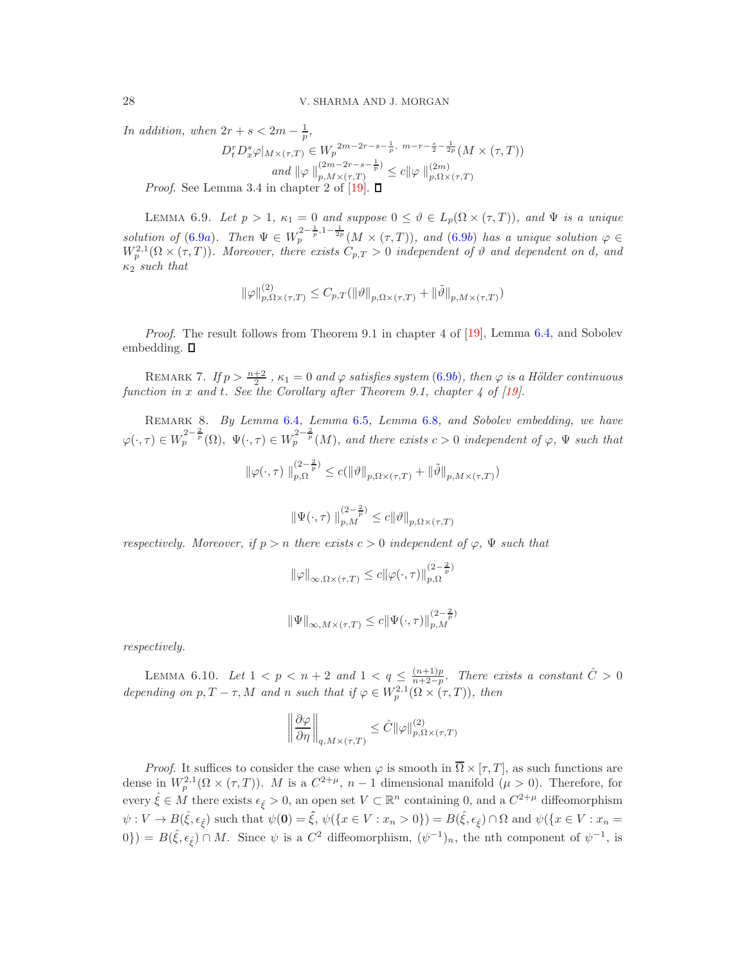In addition, when  $2r + s < 2m - \frac{1}{p}$ ,

$$
D_t^r D_x^s \varphi|_{M \times (\tau, T)} \in W_p^{2m - 2r - s - \frac{1}{p}, \ m - r - \frac{s}{2} - \frac{1}{2p}}(M \times (\tau, T))
$$
  
and  $||\varphi||_{p, M \times (\tau, T)}^{(2m - 2r - s - \frac{1}{p})} \le c ||\varphi||_{p, \Omega \times (\tau, T)}^{(2m)}$   
*Proof.* See Lemma 3.4 in chapter 2 of [19].  $\Box$ 

LEMMA 6.9. Let  $p > 1$ ,  $\kappa_1 = 0$  and suppose  $0 \le \vartheta \in L_p(\Omega \times (\tau, T))$ , and  $\Psi$  is a unique solution of (6.9a). Then  $\Psi \in W_p^{2-\frac{1}{p},1-\frac{1}{2p}}(M \times (\tau,T))$ , and (6.9b) has a unique solution  $\varphi \in$  $W_p^{2,1}(\Omega \times (\tau,T))$ . Moreover, there exists  $C_{p,T} > 0$  independent of  $\vartheta$  and dependent on d, and  $\kappa_2$  such that

$$
\|\varphi\|_{p,\Omega\times(\tau,T)}^{(2)} \leq C_{p,T}(\|\vartheta\|_{p,\Omega\times(\tau,T)} + \|\tilde{\vartheta}\|_{p,M\times(\tau,T)})
$$

Proof. The result follows from Theorem 9.1 in chapter 4 of [19], Lemma 6.4, and Sobolev embedding.  $\square$ 

REMARK 7. If  $p > \frac{n+2}{2}$ ,  $\kappa_1 = 0$  and  $\varphi$  satisfies system (6.9b), then  $\varphi$  is a Hölder continuous function in x and t. See the Corollary after Theorem 9.1, chapter 4 of [19].

REMARK 8. By Lemma 6.4, Lemma 6.5, Lemma 6.8, and Sobolev embedding, we have  $\varphi(\cdot,\tau) \in W_p^{2-\frac{2}{p}}(\Omega), \ \Psi(\cdot,\tau) \in W_p^{2-\frac{2}{p}}(M)$ , and there exists  $c > 0$  independent of  $\varphi$ ,  $\Psi$  such that

$$
\|\varphi(\cdot,\tau)\|_{p,\Omega}^{(2-\frac{2}{p})} \le c(\|\vartheta\|_{p,\Omega\times(\tau,T)} + \|\tilde{\vartheta}\|_{p,M\times(\tau,T)})
$$

$$
\|\Psi(\cdot,\tau)\|_{p,M}^{(2-\frac{2}{p})} \leq c \|\vartheta\|_{p,\Omega \times (\tau,T)}
$$

respectively. Moreover, if  $p > n$  there exists  $c > 0$  independent of  $\varphi$ ,  $\Psi$  such that

$$
\|\varphi\|_{\infty,\Omega\times(\tau,T)} \le c \|\varphi(\cdot,\tau)\|_{p,\Omega}^{(2-\frac{2}{p})}
$$
  

$$
\|\Psi\|_{\infty,M\times(\tau,T)} \le c \|\Psi(\cdot,\tau)\|_{p,M}^{(2-\frac{2}{p})}
$$

respectively.

LEMMA 6.10. Let  $1 < p < n + 2$  and  $1 < q \leq \frac{(n+1)p}{n+2-p}$  $\frac{(n+1)p}{n+2-p}$ . There exists a constant  $\hat{C} > 0$ depending on  $p, T - \tau, M$  and n such that if  $\varphi \in W_p^{2,1}(\Omega \times (\tau, T))$ , then

$$
\left\|\frac{\partial\varphi}{\partial\eta}\right\|_{q,M\times(\tau,T)}\leq\hat{C}\|\varphi\|^{(2)}_{p,\Omega\times(\tau,T)}
$$

*Proof.* It suffices to consider the case when  $\varphi$  is smooth in  $\overline{\Omega} \times [\tau, T]$ , as such functions are dense in  $W_p^{2,1}(\Omega \times (\tau, T))$ . M is a  $C^{2+\mu}$ ,  $n-1$  dimensional manifold  $(\mu > 0)$ . Therefore, for every  $\hat{\xi} \in M$  there exists  $\epsilon_{\hat{\xi}} > 0$ , an open set  $V \subset \mathbb{R}^n$  containing 0, and a  $C^{2+\mu}$  diffeomorphism  $\psi: V \to B(\hat{\xi}, \epsilon_{\hat{\xi}})$  such that  $\psi(\mathbf{0}) = \hat{\xi}, \psi(\{x \in V : x_n > 0\}) = B(\hat{\xi}, \epsilon_{\hat{\xi}}) \cap \Omega$  and  $\psi(\{x \in V : x_n = 0\})$  $(0) = B(\hat{\xi}, \epsilon_{\hat{\xi}}) \cap M$ . Since  $\psi$  is a  $C^2$  diffeomorphism,  $(\psi^{-1})_n$ , the nth component of  $\psi^{-1}$ , is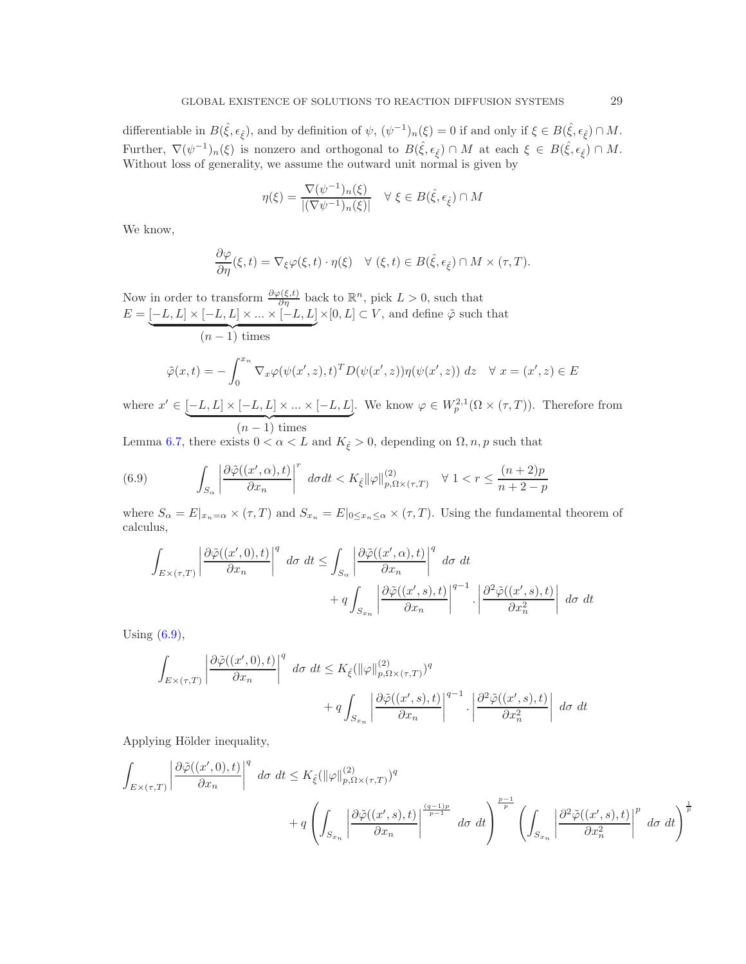differentiable in  $B(\hat{\xi}, \epsilon_{\hat{\xi}})$ , and by definition of  $\psi$ ,  $(\psi^{-1})_n(\xi) = 0$  if and only if  $\xi \in B(\hat{\xi}, \epsilon_{\hat{\xi}}) \cap M$ . Further,  $\nabla(\psi^{-1})_n(\xi)$  is nonzero and orthogonal to  $B(\hat{\xi}, \epsilon_{\hat{\xi}}) \cap M$  at each  $\xi \in B(\hat{\xi}, \epsilon_{\hat{\xi}}) \cap M$ . Without loss of generality, we assume the outward unit normal is given by

$$
\eta(\xi) = \frac{\nabla(\psi^{-1})_n(\xi)}{|(\nabla\psi^{-1})_n(\xi)|} \quad \forall \xi \in B(\hat{\xi}, \epsilon_{\hat{\xi}}) \cap M
$$

We know,

$$
\frac{\partial \varphi}{\partial \eta}(\xi, t) = \nabla_{\xi} \varphi(\xi, t) \cdot \eta(\xi) \quad \forall (\xi, t) \in B(\hat{\xi}, \epsilon_{\hat{\xi}}) \cap M \times (\tau, T).
$$

Now in order to transform  $\frac{\partial \varphi(\xi,t)}{\partial \eta}$  back to  $\mathbb{R}^n$ , pick  $L > 0$ , such that  $E = [-L, L] \times [-L, L] \times ... \times [-L, L]$  $(n-1)$  times  $\times [0, L] \subset V$ , and define  $\tilde{\varphi}$  such that  $\tilde{\varphi}(x,t) = \int_0^{\mathcal{X}_n}$  $\int_0^{\cdot} \nabla_x \varphi(\psi(x', z), t)^T D(\psi(x', z)) \eta(\psi(x', z)) dz \quad \forall x = (x', z) \in E$ 

where  $x' \in [-L, L] \times [-L, L] \times \ldots \times [-L, L]$  $(n-1)$  times We know  $\varphi \in W_p^{2,1}(\Omega \times (\tau, T))$ . Therefore from

Lemma 6.7, there exists  $0 < \alpha < L$  and  $K_{\hat{\xi}} > 0$ , depending on  $\Omega, n, p$  such that

(6.9) 
$$
\int_{S_{\alpha}} \left| \frac{\partial \tilde{\varphi}((x', \alpha), t)}{\partial x_n} \right|^r d\sigma dt < K_{\hat{\xi}} ||\varphi||_{p, \Omega \times (\tau, T)}^{(2)} \quad \forall \ 1 < r \leq \frac{(n+2)p}{n+2-p}
$$

where  $S_{\alpha} = E|_{x_n=\alpha} \times (\tau, T)$  and  $S_{x_n} = E|_{0 \le x_n \le \alpha} \times (\tau, T)$ . Using the fundamental theorem of calculus,

$$
\int_{E \times (\tau,T)} \left| \frac{\partial \tilde{\varphi}((x',0),t)}{\partial x_n} \right|^q \, d\sigma \, dt \le \int_{S_{\alpha}} \left| \frac{\partial \tilde{\varphi}((x',\alpha),t)}{\partial x_n} \right|^q \, d\sigma \, dt
$$

$$
+ q \int_{S_{x_n}} \left| \frac{\partial \tilde{\varphi}((x',s),t)}{\partial x_n} \right|^{q-1} \cdot \left| \frac{\partial^2 \tilde{\varphi}((x',s),t)}{\partial x_n^2} \right| \, d\sigma \, dt
$$

Using  $(6.9)$ ,

$$
\int_{E \times (\tau,T)} \left| \frac{\partial \tilde{\varphi}((x',0),t)}{\partial x_n} \right|^q \, d\sigma \, dt \leq K_{\hat{\xi}}(\|\varphi\|_{p,\Omega \times (\tau,T)}^{(2)})^q
$$
\n
$$
+ q \int_{S_{x_n}} \left| \frac{\partial \tilde{\varphi}((x',s),t)}{\partial x_n} \right|^{q-1} \cdot \left| \frac{\partial^2 \tilde{\varphi}((x',s),t)}{\partial x_n^2} \right| \, d\sigma \, dt
$$

Applying Hölder inequality,

$$
\int_{E \times (\tau,T)} \left| \frac{\partial \tilde{\varphi}((x',0),t)}{\partial x_n} \right|^q d\sigma dt \leq K_{\hat{\xi}}(\|\varphi\|_{p,\Omega \times (\tau,T)}^{(2)})^q + q \left( \int_{S_{x_n}} \left| \frac{\partial \tilde{\varphi}((x',s),t)}{\partial x_n} \right|^{\frac{q-1)p}{p-1}} d\sigma dt \right)^{\frac{p-1}{p}} \left( \int_{S_{x_n}} \left| \frac{\partial^2 \tilde{\varphi}((x',s),t)}{\partial x_n^2} \right|^p d\sigma dt \right)^{\frac{1}{p}}
$$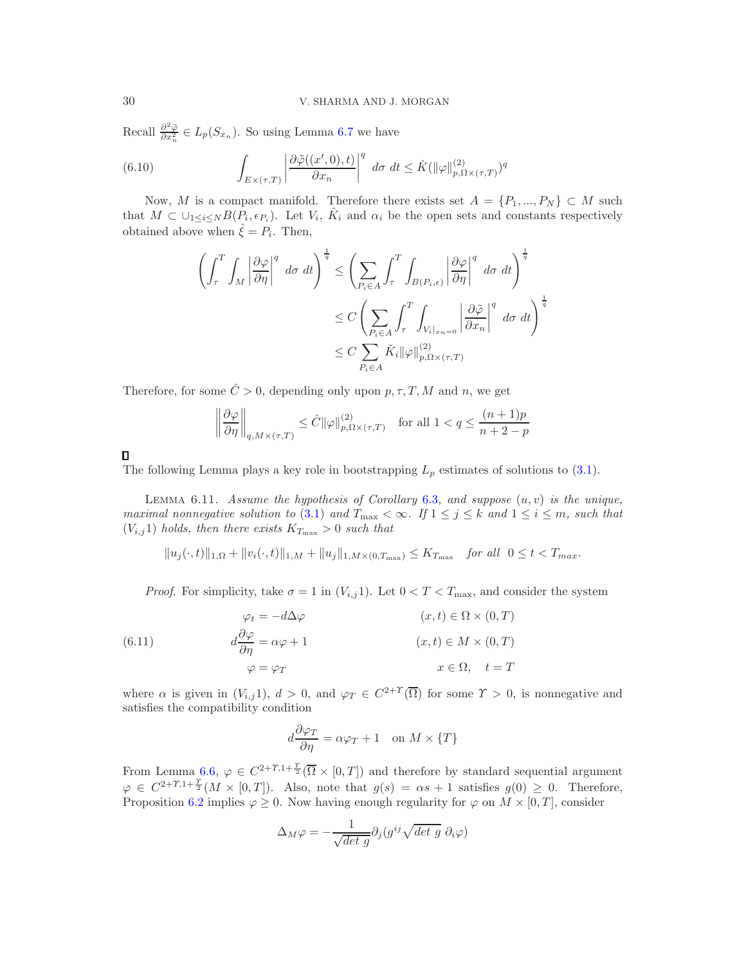Recall  $\frac{\partial^2 \tilde{\varphi}}{\partial x_n^2} \in L_p(S_{x_n})$ . So using Lemma 6.7 we have

(6.10) 
$$
\int_{E \times (\tau,T)} \left| \frac{\partial \tilde{\varphi}((x',0),t)}{\partial x_n} \right|^q d\sigma dt \leq \hat{K}(\|\varphi\|_{p,\Omega \times (\tau,T)}^{(2)})^q
$$

Now, M is a compact manifold. Therefore there exists set  $A = \{P_1, ..., P_N\} \subset M$  such that  $M \subset \bigcup_{1 \leq i \leq N} B(P_i, \epsilon_{P_i})$ . Let  $V_i$ ,  $\hat{K}_i$  and  $\alpha_i$  be the open sets and constants respectively obtained above when  $\hat{\xi} = P_i$ . Then,

$$
\left(\int_{\tau}^{T} \int_{M} \left| \frac{\partial \varphi}{\partial \eta} \right|^{q} d\sigma dt \right)^{\frac{1}{q}} \leq \left(\sum_{P_{i} \in A} \int_{\tau}^{T} \int_{B(P_{i}, \epsilon)} \left| \frac{\partial \varphi}{\partial \eta} \right|^{q} d\sigma dt \right)^{\frac{1}{q}}
$$
  

$$
\leq C \left(\sum_{P_{i} \in A} \int_{\tau}^{T} \int_{V_{i}|_{x_{n}=0}} \left| \frac{\partial \tilde{\varphi}}{\partial x_{n}} \right|^{q} d\sigma dt \right)^{\frac{1}{q}}
$$
  

$$
\leq C \sum_{P_{i} \in A} \tilde{K}_{i} \|\varphi\|_{p, \Omega \times (\tau, T)}^{(2)}
$$

Therefore, for some  $\hat{C} > 0$ , depending only upon  $p, \tau, T, M$  and n, we get

$$
\left\|\frac{\partial\varphi}{\partial\eta}\right\|_{q,M\times(\tau,T)} \leq \hat{C}\|\varphi\|_{p,\Omega\times(\tau,T)}^{(2)} \quad \text{for all } 1
$$

 $\Box$ 

The following Lemma plays a key role in bootstrapping  $L_p$  estimates of solutions to (3.1).

LEMMA 6.11. Assume the hypothesis of Corollary 6.3, and suppose  $(u, v)$  is the unique, maximal nonnegative solution to (3.1) and  $T_{\text{max}} < \infty$ . If  $1 \le j \le k$  and  $1 \le i \le m$ , such that  $(V_{i,j}1)$  holds, then there exists  $K_{T_{\text{max}}} > 0$  such that

$$
||u_j(\cdot,t)||_{1,\Omega} + ||v_i(\cdot,t)||_{1,M} + ||u_j||_{1,M \times (0,T_{\max})} \le K_{T_{\max}} \quad \text{for all} \ \ 0 \le t < T_{\max}.
$$

*Proof.* For simplicity, take  $\sigma = 1$  in  $(V_{i,j}1)$ . Let  $0 < T < T_{\text{max}}$ , and consider the system

(6.11) 
$$
\varphi_t = -d\Delta\varphi \qquad (x, t) \in \Omega \times (0, T)
$$

$$
d\frac{\partial\varphi}{\partial\eta} = \alpha\varphi + 1 \qquad (x, t) \in M \times (0, T)
$$

$$
\varphi = \varphi_T \qquad x \in \Omega, \quad t = T
$$

where  $\alpha$  is given in  $(V_{i,j}1)$ ,  $d > 0$ , and  $\varphi_T \in C^{2+\Upsilon}(\overline{\Omega})$  for some  $\Upsilon > 0$ , is nonnegative and satisfies the compatibility condition

$$
d\frac{\partial \varphi_T}{\partial \eta} = \alpha \varphi_T + 1 \quad \text{on } M \times \{T\}
$$

From Lemma 6.6,  $\varphi \in C^{2+\gamma,1+\frac{\gamma}{2}}(\overline{\Omega}\times[0,T])$  and therefore by standard sequential argument  $\varphi \in C^{2+\Upsilon,1+\frac{\Upsilon}{2}}(M\times [0,T])$ . Also, note that  $g(s) = \alpha s + 1$  satisfies  $g(0) \geq 0$ . Therefore, Proposition 6.2 implies  $\varphi \geq 0$ . Now having enough regularity for  $\varphi$  on  $M \times [0, T]$ , consider

$$
\Delta_M \varphi = -\frac{1}{\sqrt{\det g}} \partial_j (g^{ij} \sqrt{\det g} \partial_i \varphi)
$$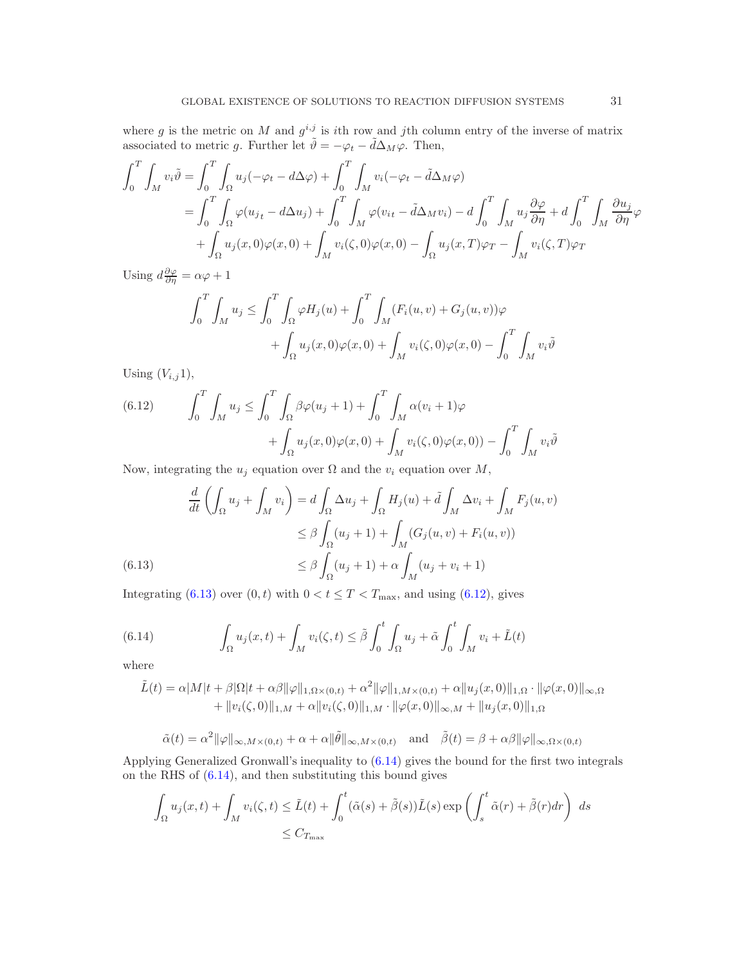where g is the metric on M and  $g^{i,j}$  is ith row and jth column entry of the inverse of matrix associated to metric g. Further let  $\tilde{\vartheta} = -\varphi_t - \tilde{d}\Delta_M \varphi$ . Then,

$$
\int_0^T \int_M v_i \tilde{\vartheta} = \int_0^T \int_\Omega u_j (-\varphi_t - d\Delta \varphi) + \int_0^T \int_M v_i (-\varphi_t - \tilde{d}\Delta_M \varphi)
$$
  
= 
$$
\int_0^T \int_\Omega \varphi(u_{j_t} - d\Delta u_j) + \int_0^T \int_M \varphi(v_{it} - \tilde{d}\Delta_M v_i) - d \int_0^T \int_M u_j \frac{\partial \varphi}{\partial \eta} + d \int_0^T \int_M \frac{\partial u_j}{\partial \eta} \varphi
$$
  
+ 
$$
\int_\Omega u_j(x,0) \varphi(x,0) + \int_M v_i(\zeta,0) \varphi(x,0) - \int_\Omega u_j(x,T) \varphi_T - \int_M v_i(\zeta,T) \varphi_T
$$

Using  $d \frac{\partial \varphi}{\partial \eta} = \alpha \varphi + 1$ 

$$
\int_0^T \int_M u_j \le \int_0^T \int_\Omega \varphi H_j(u) + \int_0^T \int_M (F_i(u, v) + G_j(u, v)) \varphi
$$
  
+ 
$$
\int_\Omega u_j(x, 0) \varphi(x, 0) + \int_M v_i(\zeta, 0) \varphi(x, 0) - \int_0^T \int_M v_i \tilde{\vartheta}
$$

Using  $(V_{i,j}1)$ ,

(6.12) 
$$
\int_0^T \int_M u_j \le \int_0^T \int_\Omega \beta \varphi(u_j + 1) + \int_0^T \int_M \alpha(v_i + 1) \varphi + \int_\Omega u_j(x, 0) \varphi(x, 0) + \int_M v_i(\zeta, 0) \varphi(x, 0) - \int_0^T \int_M v_i \tilde{\vartheta}
$$

Now, integrating the  $u_j$  equation over  $\Omega$  and the  $v_i$  equation over  $M$ ,

$$
\frac{d}{dt} \left( \int_{\Omega} u_j + \int_{M} v_i \right) = d \int_{\Omega} \Delta u_j + \int_{\Omega} H_j(u) + \tilde{d} \int_{M} \Delta v_i + \int_{M} F_j(u, v)
$$
\n
$$
\leq \beta \int_{\Omega} (u_j + 1) + \int_{M} (G_j(u, v) + F_i(u, v))
$$
\n(6.13)\n
$$
\leq \beta \int_{\Omega} (u_j + 1) + \alpha \int_{M} (u_j + v_i + 1)
$$

Integrating (6.13) over  $(0, t)$  with  $0 < t \leq T < T_{\text{max}}$ , and using (6.12), gives

(6.14) 
$$
\int_{\Omega} u_j(x,t) + \int_M v_i(\zeta,t) \leq \tilde{\beta} \int_0^t \int_{\Omega} u_j + \tilde{\alpha} \int_0^t \int_M v_i + \tilde{L}(t)
$$

where

$$
\tilde{L}(t) = \alpha |M|t + \beta |\Omega|t + \alpha \beta ||\varphi||_{1,\Omega \times (0,t)} + \alpha^2 ||\varphi||_{1,M \times (0,t)} + \alpha ||u_j(x,0)||_{1,\Omega} \cdot ||\varphi(x,0)||_{\infty,\Omega} \n+ ||v_i(\zeta,0)||_{1,M} + \alpha ||v_i(\zeta,0)||_{1,M} \cdot ||\varphi(x,0)||_{\infty,M} + ||u_j(x,0)||_{1,\Omega}
$$

$$
\tilde{\alpha}(t) = \alpha^2 \|\varphi\|_{\infty, M \times (0,t)} + \alpha + \alpha \|\tilde{\theta}\|_{\infty, M \times (0,t)} \quad \text{and} \quad \tilde{\beta}(t) = \beta + \alpha \beta \|\varphi\|_{\infty, \Omega \times (0,t)}
$$

Applying Generalized Gronwall's inequality to (6.14) gives the bound for the first two integrals on the RHS of (6.14), and then substituting this bound gives

$$
\int_{\Omega} u_j(x,t) + \int_{M} v_i(\zeta,t) \le \tilde{L}(t) + \int_0^t (\tilde{\alpha}(s) + \tilde{\beta}(s)) \tilde{L}(s) \exp\left(\int_s^t \tilde{\alpha}(r) + \tilde{\beta}(r) dr\right) ds
$$
  

$$
\le C_{T_{\text{max}}}
$$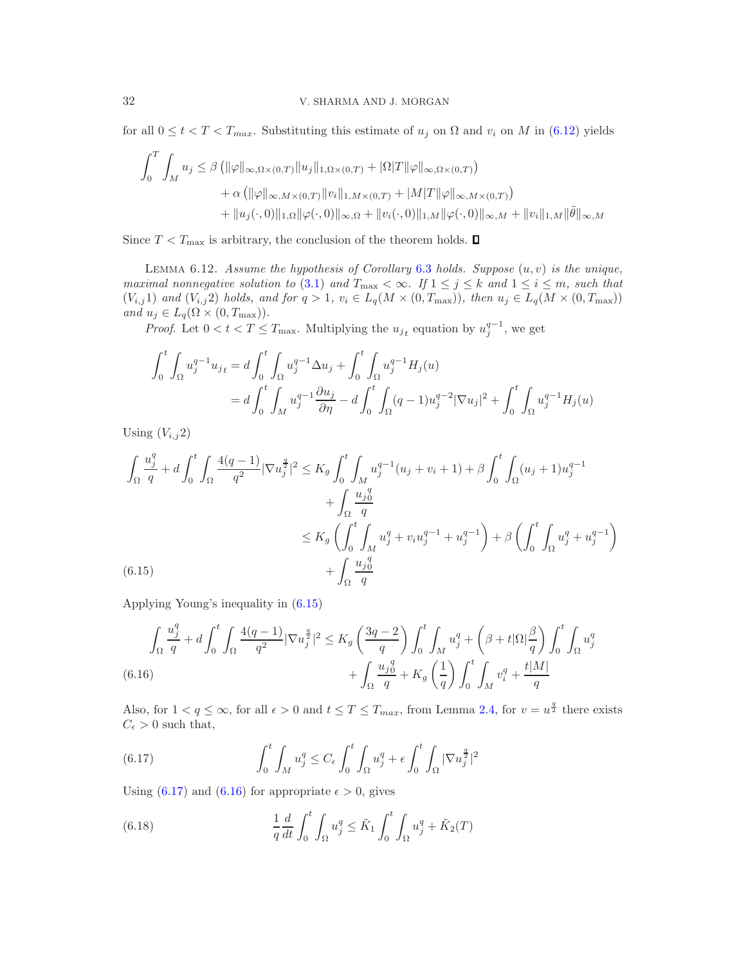for all  $0 \le t < T < T_{max}$ . Substituting this estimate of  $u_j$  on  $\Omega$  and  $v_i$  on  $M$  in (6.12) yields

$$
\int_0^T \int_M u_j \leq \beta \left( \|\varphi\|_{\infty,\Omega \times (0,T)} \|u_j\|_{1,\Omega \times (0,T)} + |\Omega|T\|\varphi\|_{\infty,\Omega \times (0,T)} \right) \n+ \alpha \left( \|\varphi\|_{\infty,M \times (0,T)} \|v_i\|_{1,M \times (0,T)} + |M|T\|\varphi\|_{\infty,M \times (0,T)} \right) \n+ \|u_j(\cdot,0)\|_{1,\Omega} \|\varphi(\cdot,0)\|_{\infty,\Omega} + \|v_i(\cdot,0)\|_{1,M} \|\varphi(\cdot,0)\|_{\infty,M} + \|v_i\|_{1,M} \|\tilde{\theta}\|_{\infty,M}
$$

Since  $T < T_{\text{max}}$  is arbitrary, the conclusion of the theorem holds.  $\square$ 

LEMMA 6.12. Assume the hypothesis of Corollary 6.3 holds. Suppose  $(u, v)$  is the unique, maximal nonnegative solution to (3.1) and  $T_{\text{max}} < \infty$ . If  $1 \le j \le k$  and  $1 \le i \le m$ , such that  $(V_{i,j}1)$  and  $(V_{i,j}2)$  holds, and for  $q > 1$ ,  $v_i \in L_q(M \times (0, T_{\text{max}}))$ , then  $u_j \in L_q(M \times (0, T_{\text{max}}))$ and  $u_j \in L_q(\Omega \times (0, T_{\text{max}})).$ 

*Proof.* Let  $0 < t < T \leq T_{\text{max}}$ . Multiplying the  $u_{j_t}$  equation by  $u_j^{q-1}$ , we get

$$
\int_0^t \int_{\Omega} u_j^{q-1} u_{j_t} = d \int_0^t \int_{\Omega} u_j^{q-1} \Delta u_j + \int_0^t \int_{\Omega} u_j^{q-1} H_j(u)
$$
  
=  $d \int_0^t \int_M u_j^{q-1} \frac{\partial u_j}{\partial \eta} - d \int_0^t \int_{\Omega} (q-1) u_j^{q-2} |\nabla u_j|^2 + \int_0^t \int_{\Omega} u_j^{q-1} H_j(u)$ 

Using  $(V_{i,j}2)$ 

$$
\int_{\Omega} \frac{u_j^q}{q} + d \int_0^t \int_{\Omega} \frac{4(q-1)}{q^2} |\nabla u_j^{\frac{q}{2}}|^2 \le K_g \int_0^t \int_M u_j^{q-1}(u_j + v_i + 1) + \beta \int_0^t \int_{\Omega} (u_j + 1) u_j^{q-1} + \int_{\Omega} \frac{u_j^q}{q} \le K_g \left( \int_0^t \int_M u_j^q + v_i u_j^{q-1} + u_j^{q-1} \right) + \beta \left( \int_0^t \int_{\Omega} u_j^q + u_j^{q-1} \right) + \int_{\Omega} \frac{u_j^q}{q}
$$
\n(6.15)

Applying Young's inequality in (6.15)

$$
\int_{\Omega} \frac{u_j^q}{q} + d \int_0^t \int_{\Omega} \frac{4(q-1)}{q^2} |\nabla u_j^{\frac{q}{2}}|^2 \le K_g \left(\frac{3q-2}{q}\right) \int_0^t \int_M u_j^q + \left(\beta + t|\Omega|\frac{\beta}{q}\right) \int_0^t \int_{\Omega} u_j^q
$$
\n
$$
+ \int_{\Omega} \frac{u_j^q}{q} + K_g \left(\frac{1}{q}\right) \int_0^t \int_M v_i^q + \frac{t|M|}{q}
$$
\n(6.16)

Also, for  $1 < q \le \infty$ , for all  $\epsilon > 0$  and  $t \le T \le T_{max}$ , from Lemma 2.4, for  $v = u^{\frac{q}{2}}$  there exists  $C_{\epsilon} > 0$  such that,

(6.17) 
$$
\int_0^t \int_M u_j^q \leq C_\epsilon \int_0^t \int_\Omega u_j^q + \epsilon \int_0^t \int_\Omega |\nabla u_j^{\frac{q}{2}}|^2
$$

Using (6.17) and (6.16) for appropriate  $\epsilon > 0$ , gives

(6.18) 
$$
\frac{1}{q} \frac{d}{dt} \int_0^t \int_{\Omega} u_j^q \le \tilde{K}_1 \int_0^t \int_{\Omega} u_j^q + \tilde{K}_2(T)
$$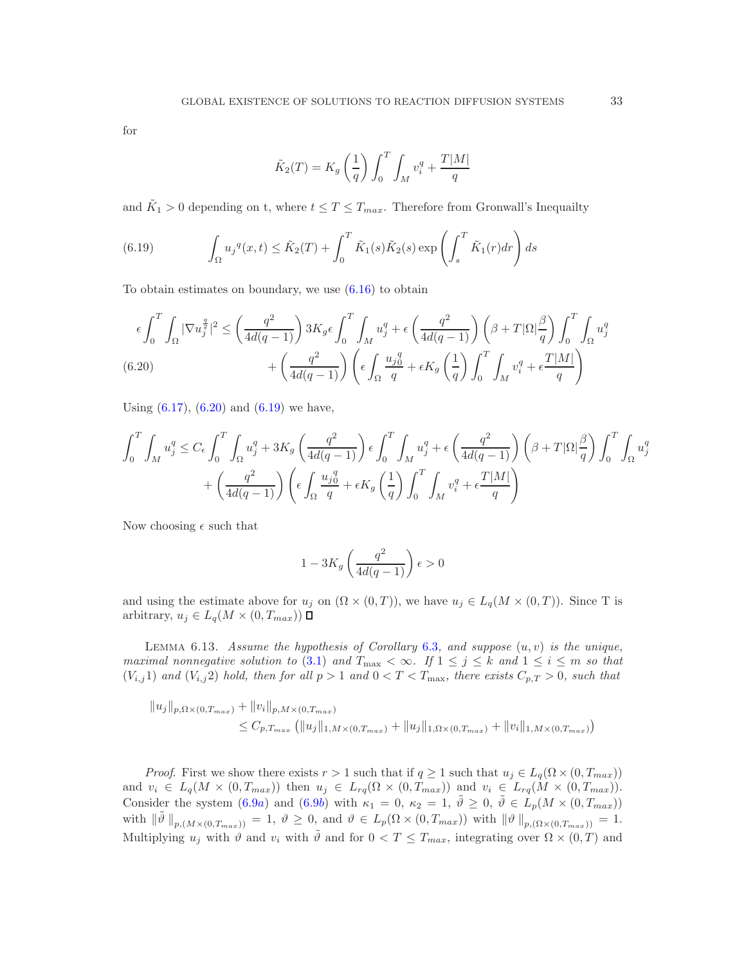for

$$
\tilde{K}_2(T) = K_g \left(\frac{1}{q}\right) \int_0^T \int_M v_i^q + \frac{T|M|}{q}
$$

and  $\tilde{K}_1 > 0$  depending on t, where  $t \leq T \leq T_{max}$ . Therefore from Gronwall's Inequality

(6.19) 
$$
\int_{\Omega} u_j^q(x,t) \leq \tilde{K}_2(T) + \int_0^T \tilde{K}_1(s) \tilde{K}_2(s) \exp\left(\int_s^T \tilde{K}_1(r) dr\right) ds
$$

To obtain estimates on boundary, we use  $(6.16)$  to obtain

$$
\epsilon \int_0^T \int_{\Omega} |\nabla u_j^{\frac{q}{2}}|^2 \le \left(\frac{q^2}{4d(q-1)}\right) 3K_g \epsilon \int_0^T \int_M u_j^q + \epsilon \left(\frac{q^2}{4d(q-1)}\right) \left(\beta + T|\Omega|\frac{\beta}{q}\right) \int_0^T \int_{\Omega} u_j^q
$$
  
(6.20) 
$$
+ \left(\frac{q^2}{4d(q-1)}\right) \left(\epsilon \int_{\Omega} \frac{u_j^q}{q} + \epsilon K_g \left(\frac{1}{q}\right) \int_0^T \int_M v_i^q + \epsilon \frac{T|M|}{q}\right)
$$

Using  $(6.17)$ ,  $(6.20)$  and  $(6.19)$  we have,

$$
\int_0^T \int_M u_j^q \le C_\epsilon \int_0^T \int_\Omega u_j^q + 3K_g \left( \frac{q^2}{4d(q-1)} \right) \epsilon \int_0^T \int_M u_j^q + \epsilon \left( \frac{q^2}{4d(q-1)} \right) \left( \beta + T|\Omega| \frac{\beta}{q} \right) \int_0^T \int_\Omega u_j^q
$$

$$
+ \left( \frac{q^2}{4d(q-1)} \right) \left( \epsilon \int_\Omega \frac{u_j^q}{q} + \epsilon K_g \left( \frac{1}{q} \right) \int_0^T \int_M v_i^q + \epsilon \frac{T|M|}{q} \right)
$$

Now choosing  $\epsilon$  such that

$$
1 - 3K_g \left(\frac{q^2}{4d(q-1)}\right)\epsilon > 0
$$

and using the estimate above for  $u_j$  on  $(\Omega \times (0,T))$ , we have  $u_j \in L_q(M \times (0,T))$ . Since T is arbitrary,  $u_j$  ∈  $L_q(M \times (0, T_{max}))$  □

LEMMA  $6.13.$  Assume the hypothesis of Corollary  $6.3$ , and suppose  $(u, v)$  is the unique, maximal nonnegative solution to (3.1) and  $T_{\text{max}} < \infty$ . If  $1 \leq j \leq k$  and  $1 \leq i \leq m$  so that  $(V_{i,j}1)$  and  $(V_{i,j}2)$  hold, then for all  $p > 1$  and  $0 < T < T_{\text{max}}$ , there exists  $C_{p,T} > 0$ , such that

$$
||u_j||_{p,\Omega\times(0,T_{max})} + ||v_i||_{p,M\times(0,T_{max})}
$$
  
\n
$$
\leq C_{p,T_{max}} (||u_j||_{1,M\times(0,T_{max})} + ||u_j||_{1,\Omega\times(0,T_{max})} + ||v_i||_{1,M\times(0,T_{max})})
$$

*Proof.* First we show there exists  $r > 1$  such that if  $q \ge 1$  such that  $u_j \in L_q(\Omega \times (0, T_{max}))$ and  $v_i \in L_q(M \times (0, T_{max}))$  then  $u_j \in L_{rq}(\Omega \times (0, T_{max}))$  and  $v_i \in L_{rq}(M \times (0, T_{max}))$ . Consider the system (6.9a) and (6.9b) with  $\kappa_1 = 0$ ,  $\kappa_2 = 1$ ,  $\tilde{\vartheta} \geq 0$ ,  $\tilde{\vartheta} \in L_p(M \times (0, T_{max}))$ with  $\|\tilde{\vartheta}\|_{p,(M\times(0,T_{max}))} = 1, \vartheta \geq 0,$  and  $\vartheta \in L_p(\Omega \times (0,T_{max}))$  with  $\|\vartheta\|_{p,(\Omega \times (0,T_{max}))} = 1.$ Multiplying  $u_j$  with  $\vartheta$  and  $v_i$  with  $\tilde{\vartheta}$  and for  $0 < T \leq T_{max}$ , integrating over  $\Omega \times (0,T)$  and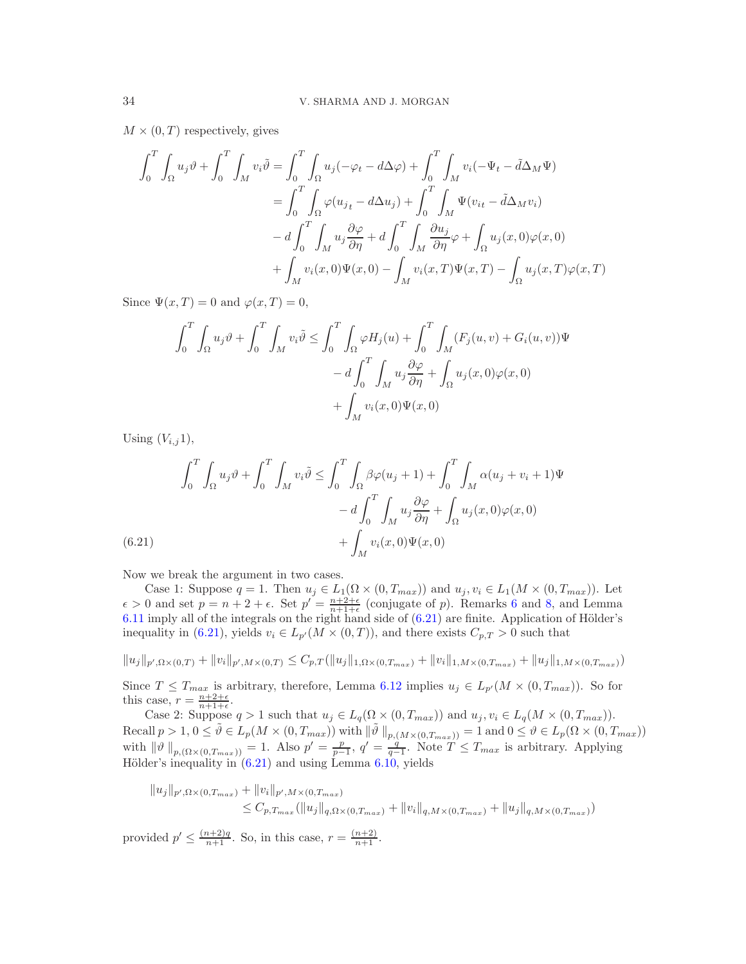$M \times (0,T)$  respectively, gives

$$
\int_0^T \int_{\Omega} u_j \vartheta + \int_0^T \int_M v_i \tilde{\vartheta} = \int_0^T \int_{\Omega} u_j (-\varphi_t - d\Delta \varphi) + \int_0^T \int_M v_i (-\Psi_t - \tilde{d}\Delta_M \Psi)
$$
  

$$
= \int_0^T \int_{\Omega} \varphi(u_{j_t} - d\Delta u_j) + \int_0^T \int_M \Psi(v_{it} - \tilde{d}\Delta_M v_i)
$$
  

$$
- d \int_0^T \int_M u_j \frac{\partial \varphi}{\partial \eta} + d \int_0^T \int_M \frac{\partial u_j}{\partial \eta} \varphi + \int_\Omega u_j(x,0) \varphi(x,0)
$$
  

$$
+ \int_M v_i(x,0) \Psi(x,0) - \int_M v_i(x,T) \Psi(x,T) - \int_\Omega u_j(x,T) \varphi(x,T)
$$

Since  $\Psi(x,T) = 0$  and  $\varphi(x,T) = 0$ ,

$$
\int_0^T \int_{\Omega} u_j \vartheta + \int_0^T \int_M v_i \tilde{\vartheta} \le \int_0^T \int_{\Omega} \varphi H_j(u) + \int_0^T \int_M (F_j(u, v) + G_i(u, v)) \Psi \n- d \int_0^T \int_M u_j \frac{\partial \varphi}{\partial \eta} + \int_\Omega u_j(x, 0) \varphi(x, 0) \n+ \int_M v_i(x, 0) \Psi(x, 0)
$$

Using  $(V_{i,j}1)$ ,

$$
\int_0^T \int_{\Omega} u_j \vartheta + \int_0^T \int_M v_i \tilde{\vartheta} \le \int_0^T \int_{\Omega} \beta \varphi(u_j + 1) + \int_0^T \int_M \alpha(u_j + v_i + 1) \Psi
$$

$$
- d \int_0^T \int_M u_j \frac{\partial \varphi}{\partial \eta} + \int_\Omega u_j(x, 0) \varphi(x, 0)
$$
  
(6.21) 
$$
+ \int_M v_i(x, 0) \Psi(x, 0)
$$

Now we break the argument in two cases.

Case 1: Suppose  $q = 1$ . Then  $u_j \in L_1(\Omega \times (0, T_{max}))$  and  $u_j, v_i \in L_1(M \times (0, T_{max}))$ . Let  $\epsilon > 0$  and set  $p = n + 2 + \epsilon$ . Set  $p' = \frac{n+2+\epsilon}{n+1+\epsilon}$  (conjugate of p). Remarks 6 and 8, and Lemma  $6.11$  imply all of the integrals on the right hand side of  $(6.21)$  are finite. Application of Hölder's inequality in (6.21), yields  $v_i \in L_{p'}(M \times (0,T))$ , and there exists  $C_{p,T} > 0$  such that

 $||u_j||_{p',\Omega\times(0,T)} + ||v_i||_{p',M\times(0,T)} \leq C_{p,T}(||u_j||_{1,\Omega\times(0,T_{max})} + ||v_i||_{1,M\times(0,T_{max})} + ||u_j||_{1,M\times(0,T_{max})})$ 

Since  $T \n\t\leq T_{max}$  is arbitrary, therefore, Lemma 6.12 implies  $u_j \n\t\in L_{p'}(M \times (0, T_{max}))$ . So for this case,  $r = \frac{n+2+\epsilon}{n+1+\epsilon}$ .

Case 2: Suppose  $q > 1$  such that  $u_j \in L_q(\Omega \times (0, T_{max}))$  and  $u_j, v_i \in L_q(M \times (0, T_{max}))$ . Recall  $p > 1$ ,  $0 \le \tilde{\vartheta} \in L_p(M \times (0, T_{max}))$  with  $\|\tilde{\vartheta}\|_{p,(M \times (0, T_{max}))} = 1$  and  $0 \le \vartheta \in L_p(\Omega \times (0, T_{max}))$ with  $\|\vartheta\|_{p,(\Omega\times(0,T_{max}))} = 1$ . Also  $p' = \frac{p}{p-1}$ ,  $q' = \frac{q}{q-1}$ . Note  $T \leq T_{max}$  is arbitrary. Applying Hölder's inequality in  $(6.21)$  and using Lemma 6.10, yields

$$
||u_j||_{p',\Omega\times(0,T_{max})} + ||v_i||_{p',M\times(0,T_{max})}
$$
  
\n
$$
\leq C_{p,T_{max}}(||u_j||_{q,\Omega\times(0,T_{max})} + ||v_i||_{q,M\times(0,T_{max})} + ||u_j||_{q,M\times(0,T_{max})})
$$

provided  $p' \leq \frac{(n+2)q}{n+1}$ . So, in this case,  $r = \frac{(n+2)}{n+1}$ .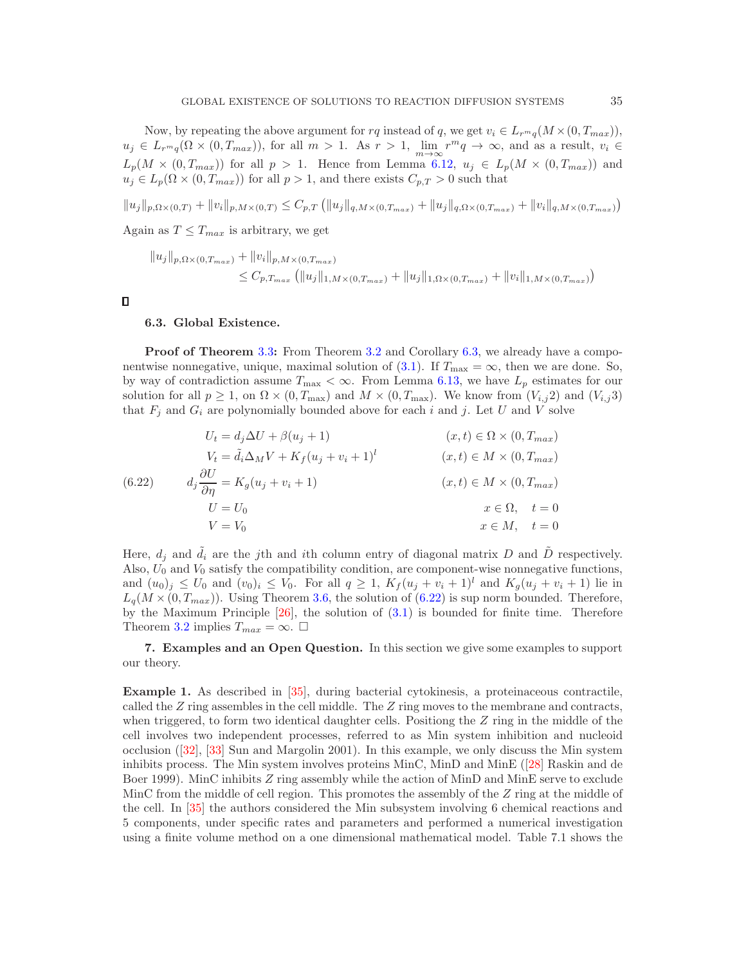Now, by repeating the above argument for rq instead of q, we get  $v_i \in L_{r^mq}(M \times (0, T_{max}))$ ,  $u_j \in L_{r^m q}(\Omega \times (0, T_{max}))$ , for all  $m > 1$ . As  $r > 1$ ,  $\lim_{m \to \infty} r^m q \to \infty$ , and as a result,  $v_i \in$  $L_p(M \times (0, T_{max}))$  for all  $p > 1$ . Hence from Lemma 6.12,  $u_j \in L_p(M \times (0, T_{max}))$  and  $u_j \in L_p(\Omega \times (0, T_{max}))$  for all  $p > 1$ , and there exists  $C_{p,T} > 0$  such that

 $||u_j||_{p,\Omega\times(0,T)} + ||v_i||_{p,M\times(0,T)} \leq C_{p,T} (||u_j||_{q,M\times(0,T_{max})} + ||u_j||_{q,\Omega\times(0,T_{max})} + ||v_i||_{q,M\times(0,T_{max})})$ 

Again as  $T \leq T_{max}$  is arbitrary, we get

$$
||u_j||_{p,\Omega\times(0,T_{max})} + ||v_i||_{p,M\times(0,T_{max})}
$$
  
\n
$$
\leq C_{p,T_{max}} (||u_j||_{1,M\times(0,T_{max})} + ||u_j||_{1,\Omega\times(0,T_{max})} + ||v_i||_{1,M\times(0,T_{max})})
$$

 $\Box$ 

#### 6.3. Global Existence.

**Proof of Theorem 3.3:** From Theorem 3.2 and Corollary 6.3, we already have a componentwise nonnegative, unique, maximal solution of  $(3.1)$ . If  $T_{\text{max}} = \infty$ , then we are done. So, by way of contradiction assume  $T_{\text{max}} < \infty$ . From Lemma 6.13, we have  $L_p$  estimates for our solution for all  $p \ge 1$ , on  $\Omega \times (0, T_{\text{max}})$  and  $M \times (0, T_{\text{max}})$ . We know from  $(V_{i,j}2)$  and  $(V_{i,j}3)$ that  $F_i$  and  $G_i$  are polynomially bounded above for each i and j. Let U and V solve

(6.22) 
$$
U_t = d_j \Delta U + \beta (u_j + 1) \qquad (x, t) \in \Omega \times (0, T_{max})
$$

$$
V_t = \tilde{d}_i \Delta_M V + K_f (u_j + v_i + 1)^l \qquad (x, t) \in M \times (0, T_{max})
$$

$$
d_j \frac{\partial U}{\partial \eta} = K_g (u_j + v_i + 1) \qquad (x, t) \in M \times (0, T_{max})
$$

$$
U = U_0 \qquad x \in \Omega, \quad t = 0
$$

$$
V = V_0 \qquad x \in M, \quad t = 0
$$

Here,  $d_i$  and  $\dot{d}_i$  are the j<sup>th</sup> and *i*th column entry of diagonal matrix D and D respectively. Also,  $U_0$  and  $V_0$  satisfy the compatibility condition, are component-wise nonnegative functions, and  $(u_0)_j \leq U_0$  and  $(v_0)_i \leq V_0$ . For all  $q \geq 1$ ,  $K_f (u_j + v_i + 1)^l$  and  $K_g (u_j + v_i + 1)$  lie in  $L_q(M \times (0, T_{max}))$ . Using Theorem 3.6, the solution of (6.22) is sup norm bounded. Therefore, by the Maximum Principle  $[26]$ , the solution of  $(3.1)$  is bounded for finite time. Therefore Theorem 3.2 implies  $T_{max} = \infty$ .  $\Box$ 

7. Examples and an Open Question. In this section we give some examples to support our theory.

Example 1. As described in [35], during bacterial cytokinesis, a proteinaceous contractile, called the  $Z$  ring assembles in the cell middle. The  $Z$  ring moves to the membrane and contracts, when triggered, to form two identical daughter cells. Positiong the  $Z$  ring in the middle of the cell involves two independent processes, referred to as Min system inhibition and nucleoid occlusion ([32], [33] Sun and Margolin 2001). In this example, we only discuss the Min system inhibits process. The Min system involves proteins MinC, MinD and MinE ([28] Raskin and de Boer 1999). MinC inhibits Z ring assembly while the action of MinD and MinE serve to exclude MinC from the middle of cell region. This promotes the assembly of the  $Z$  ring at the middle of the cell. In [35] the authors considered the Min subsystem involving 6 chemical reactions and 5 components, under specific rates and parameters and performed a numerical investigation using a finite volume method on a one dimensional mathematical model. Table 7.1 shows the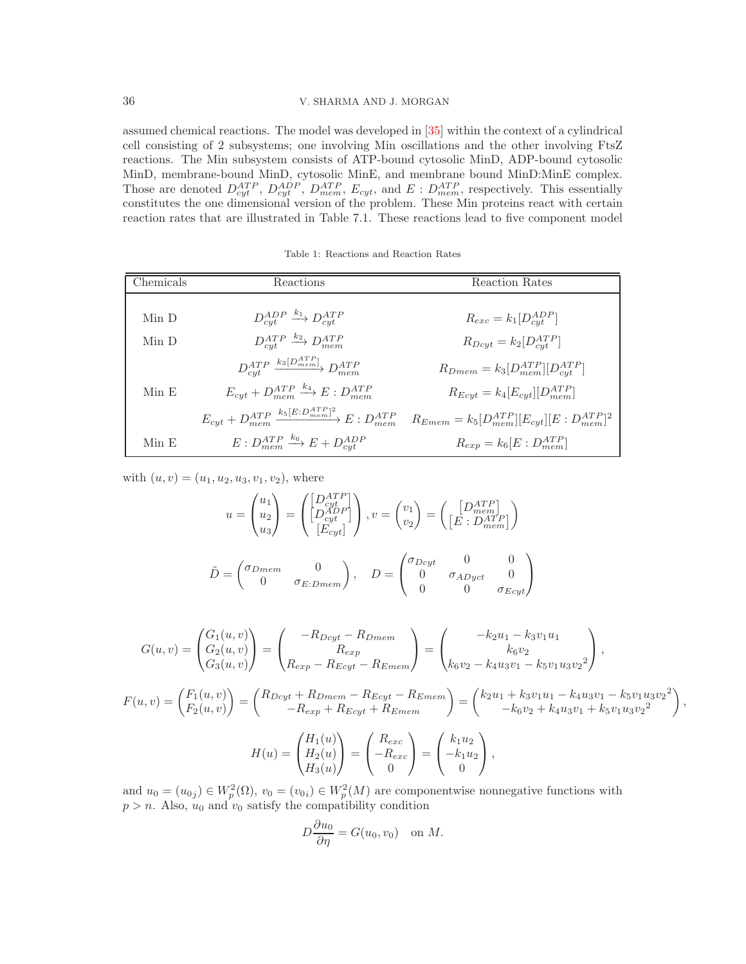## 36 V. SHARMA AND J. MORGAN

assumed chemical reactions. The model was developed in [35] within the context of a cylindrical cell consisting of 2 subsystems; one involving Min oscillations and the other involving FtsZ reactions. The Min subsystem consists of ATP-bound cytosolic MinD, ADP-bound cytosolic MinD, membrane-bound MinD, cytosolic MinE, and membrane bound MinD:MinE complex. Those are denoted  $D_{cyt}^{ATP}$ ,  $D_{cyt}^{ADP}$ ,  $D_{mem}^{ATP}$ ,  $E_{cyt}$ , and  $E: D_{mem}^{ATP}$ , respectively. This essentially constitutes the one dimensional version of the problem. These Min proteins react with certain reaction rates that are illustrated in Table 7.1. These reactions lead to five component model

| Chemicals | Reactions                                                                         | Reaction Rates                                               |
|-----------|-----------------------------------------------------------------------------------|--------------------------------------------------------------|
|           |                                                                                   |                                                              |
| Min D     | $D_{cut}^{ADP} \xrightarrow{k_1} D_{cut}^{ATP}$                                   | $R_{exc} = k_1[D_{cut}^{ADP}]$                               |
| Min D     | $D_{cut}^{ATP} \xrightarrow{k_2} D_{mem}^{ATP}$                                   | $R_{Dcyt} = k_2[D_{cut}^{ATP}]$                              |
|           | $D_{cut}^{ATP} \xrightarrow{k_3[D_{mem}^{ATP}]} D_{mem}^{ATP}$                    | $R_{Dmem} = k_3[D_{mem}^{ATP}][D_{cut}^{ATP}]$               |
| Min E     | $E_{cut} + D_{mem}^{ATP} \xrightarrow{k_4} E : D_{mem}^{ATP}$                     | $R_{Ecut} = k_4[E_{cut}][D_{mem}^{ATP}]$                     |
|           | $E_{cut} + D_{mem}^{ATP} \xrightarrow{k_5 [E:D_{mem}^{ATP}]^2} E : D_{mem}^{ATP}$ | $R_{Emem} = k_5[D_{mem}^{ATP}][E_{cut}][E: D_{mem}^{ATP}]^2$ |
| Min E     | $E: D^{ATP}_{mem} \xrightarrow{k_6} E + D^{ADP}_{cut}$                            | $R_{exp} = k_6[E:D^{ATP}_{mem}]$                             |

with  $(u, v) = (u_1, u_2, u_3, v_1, v_2)$ , where

$$
u = \begin{pmatrix} u_1 \\ u_2 \\ u_3 \end{pmatrix} = \begin{pmatrix} \begin{bmatrix} D_{cyt}^{ATP} \\ D_{cyt}^{ATP} \end{bmatrix} \\ \begin{bmatrix} E_{cyt} \end{bmatrix} \end{pmatrix}, v = \begin{pmatrix} v_1 \\ v_2 \end{pmatrix} = \begin{pmatrix} \begin{bmatrix} D_{mem}^{ATP} \\ E : D_{mem}^{ATP} \end{bmatrix} \end{pmatrix}
$$

$$
\tilde{D} = \begin{pmatrix} \sigma_{Dmem} & 0 & 0 \\ 0 & \sigma_{E: Dmem} \end{pmatrix}, \quad D = \begin{pmatrix} \sigma_{Dcyt} & 0 & 0 \\ 0 & \sigma_{ADyct} & 0 \\ 0 & 0 & \sigma_{Ecyt} \end{pmatrix}
$$

$$
G(u,v) = \begin{pmatrix} G_1(u,v) \\ G_2(u,v) \\ G_3(u,v) \end{pmatrix} = \begin{pmatrix} -R_{Dcyt} - R_{Dmem} \\ R_{exp} \\ R_{exp} - R_{Ecyt} - R_{Emem} \end{pmatrix} = \begin{pmatrix} -k_2u_1 - k_3v_1u_1 \\ k_6v_2 \\ k_6v_2 - k_4u_3v_1 - k_5v_1u_3v_2^2 \end{pmatrix},
$$

 $F(u, v) = \begin{pmatrix} F_1(u, v) \\ F_2(u, v) \end{pmatrix}$  $F_2(u,v)$  $=\begin{pmatrix} R_{Dcyt} + R_{Dmem} - R_{Ecyt} - R_{Emem} \ -R_{exp} + R_{Ecyt} + R_{Emem} \end{pmatrix} = \begin{pmatrix} k_2u_1 + k_3v_1u_1 - k_4u_3v_1 - k_5v_1u_3v_2^2 \ - k_6v_2 + k_4u_3v_1 + k_5v_1u_3v_2^2 \end{pmatrix}$  $-k_6v_2 + k_4u_3v_1 + k_5v_1u_3v_2^2$  $\Big)$ ,

$$
H(u) = \begin{pmatrix} H_1(u) \\ H_2(u) \\ H_3(u) \end{pmatrix} = \begin{pmatrix} R_{exc} \\ -R_{exc} \\ 0 \end{pmatrix} = \begin{pmatrix} k_1 u_2 \\ -k_1 u_2 \\ 0 \end{pmatrix},
$$

and  $u_0 = (u_{0j}) \in W_p^2(\Omega)$ ,  $v_0 = (v_{0i}) \in W_p^2(M)$  are componentwise nonnegative functions with  $p > n$ . Also,  $u_0$  and  $v_0$  satisfy the compatibility condition

$$
D\frac{\partial u_0}{\partial \eta} = G(u_0, v_0) \quad \text{on } M.
$$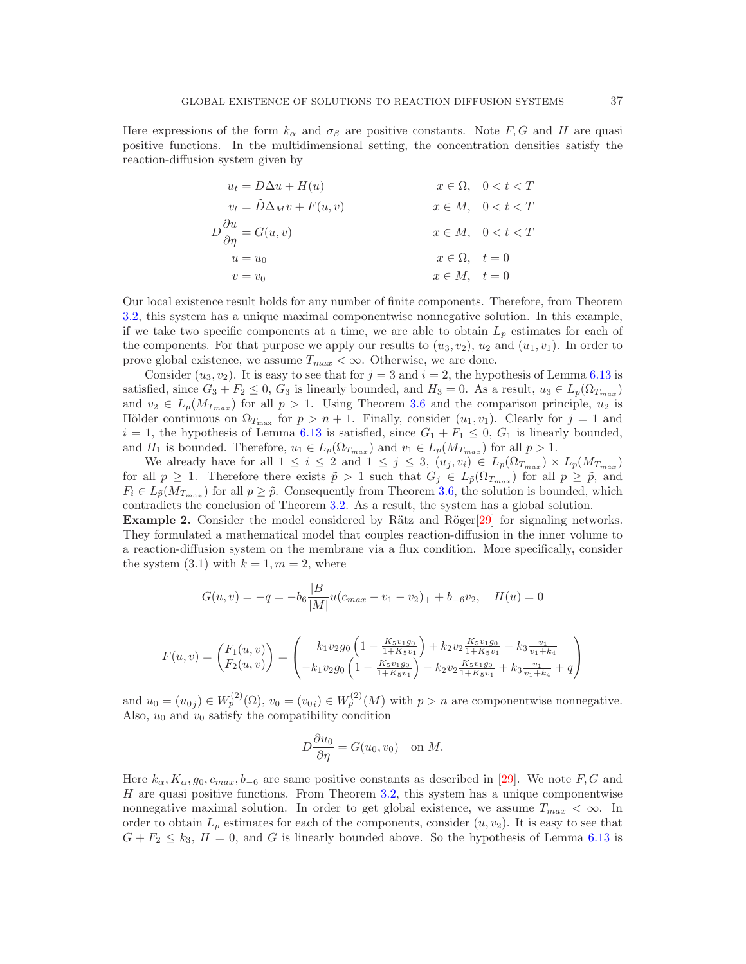Here expressions of the form  $k_{\alpha}$  and  $\sigma_{\beta}$  are positive constants. Note F, G and H are quasi positive functions. In the multidimensional setting, the concentration densities satisfy the reaction-diffusion system given by

| $x \in \Omega$ , $0 < t < T$                    |
|-------------------------------------------------|
| $x \in M$ , $0 < t < T$                         |
| $x \in M$ , $0 < t < T$                         |
|                                                 |
|                                                 |
| $x \in \Omega$ , $t = 0$<br>$x \in M$ , $t = 0$ |

Our local existence result holds for any number of finite components. Therefore, from Theorem 3.2, this system has a unique maximal componentwise nonnegative solution. In this example, if we take two specific components at a time, we are able to obtain  $L_p$  estimates for each of the components. For that purpose we apply our results to  $(u_3, v_2)$ ,  $u_2$  and  $(u_1, v_1)$ . In order to prove global existence, we assume  $T_{max} < \infty$ . Otherwise, we are done.

Consider  $(u_3, v_2)$ . It is easy to see that for  $j = 3$  and  $i = 2$ , the hypothesis of Lemma 6.13 is satisfied, since  $G_3 + F_2 \leq 0$ ,  $G_3$  is linearly bounded, and  $H_3 = 0$ . As a result,  $u_3 \in L_p(\Omega_{T_{max}})$ and  $v_2 \in L_p(M_{T_{max}})$  for all  $p > 1$ . Using Theorem 3.6 and the comparison principle,  $u_2$  is Hölder continuous on  $\Omega_{T_{\text{max}}}$  for  $p > n + 1$ . Finally, consider  $(u_1, v_1)$ . Clearly for  $j = 1$  and  $i = 1$ , the hypothesis of Lemma 6.13 is satisfied, since  $G_1 + F_1 \leq 0$ ,  $G_1$  is linearly bounded, and  $H_1$  is bounded. Therefore,  $u_1 \in L_p(\Omega_{T_{max}})$  and  $v_1 \in L_p(M_{T_{max}})$  for all  $p > 1$ .

We already have for all  $1 \leq i \leq 2$  and  $1 \leq j \leq 3$ ,  $(u_j, v_i) \in L_p(\Omega_{T_{max}}) \times L_p(M_{T_{max}})$ for all  $p \ge 1$ . Therefore there exists  $\tilde{p} > 1$  such that  $G_i \in L_{\tilde{p}}(\Omega_{T_{max}})$  for all  $p \ge \tilde{p}$ , and  $F_i \in L_{\tilde{p}}(M_{T_{max}})$  for all  $p \geq \tilde{p}$ . Consequently from Theorem 3.6, the solution is bounded, which contradicts the conclusion of Theorem 3.2. As a result, the system has a global solution.

**Example 2.** Consider the model considered by Rätz and Röger[29] for signaling networks. They formulated a mathematical model that couples reaction-diffusion in the inner volume to a reaction-diffusion system on the membrane via a flux condition. More specifically, consider the system  $(3.1)$  with  $k = 1, m = 2$ , where

$$
G(u, v) = -q = -b_6 \frac{|B|}{|M|} u(c_{max} - v_1 - v_2)_+ + b_{-6} v_2, \quad H(u) = 0
$$

$$
F(u,v) = \begin{pmatrix} F_1(u,v) \\ F_2(u,v) \end{pmatrix} = \begin{pmatrix} k_1v_2g_0 \left(1 - \frac{K_5v_1g_0}{1 + K_5v_1}\right) + k_2v_2 \frac{K_5v_1g_0}{1 + K_5v_1} - k_3 \frac{v_1}{v_1 + k_4} \\ -k_1v_2g_0 \left(1 - \frac{K_5v_1g_0}{1 + K_5v_1}\right) - k_2v_2 \frac{K_5v_1g_0}{1 + K_5v_1} + k_3 \frac{v_1}{v_1 + k_4} + q \end{pmatrix}
$$

and  $u_0 = (u_{0j}) \in W_p^{(2)}(\Omega)$ ,  $v_0 = (v_{0i}) \in W_p^{(2)}(M)$  with  $p > n$  are componentwise nonnegative. Also,  $u_0$  and  $v_0$  satisfy the compatibility condition

$$
D\frac{\partial u_0}{\partial \eta} = G(u_0, v_0) \quad \text{on } M.
$$

Here  $k_{\alpha}$ ,  $K_{\alpha}$ ,  $g_0$ ,  $c_{max}$ ,  $b_{-6}$  are same positive constants as described in [29]. We note F, G and  $H$  are quasi positive functions. From Theorem 3.2, this system has a unique componentwise nonnegative maximal solution. In order to get global existence, we assume  $T_{max} < \infty$ . In order to obtain  $L_p$  estimates for each of the components, consider  $(u, v_2)$ . It is easy to see that  $G + F_2 \leq k_3$ ,  $H = 0$ , and G is linearly bounded above. So the hypothesis of Lemma 6.13 is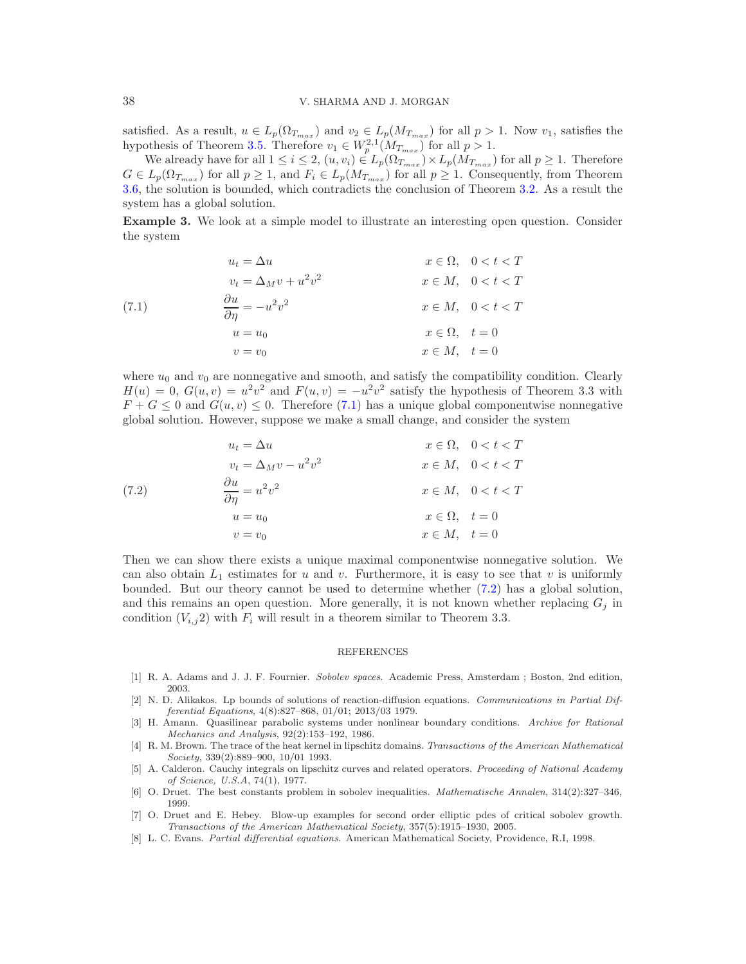satisfied. As a result,  $u \in L_p(\Omega_{T_{max}})$  and  $v_2 \in L_p(M_{T_{max}})$  for all  $p > 1$ . Now  $v_1$ , satisfies the hypothesis of Theorem 3.5. Therefore  $v_1 \in W_p^{2,1}(M_{T_{max}})$  for all  $p > 1$ .

We already have for all  $1 \leq i \leq 2$ ,  $(u, v_i) \in L_p(\Omega_{T_{max}}) \times L_p(M_{T_{max}})$  for all  $p \geq 1$ . Therefore  $G \in L_p(\Omega_{T_{max}})$  for all  $p \geq 1$ , and  $F_i \in L_p(M_{T_{max}})$  for all  $p \geq 1$ . Consequently, from Theorem 3.6, the solution is bounded, which contradicts the conclusion of Theorem 3.2. As a result the system has a global solution.

Example 3. We look at a simple model to illustrate an interesting open question. Consider the system

$$
u_{t} = \Delta u \qquad x \in \Omega, \quad 0 < t < T
$$
  
\n
$$
v_{t} = \Delta_{M} v + u^{2} v^{2} \qquad x \in M, \quad 0 < t < T
$$
  
\n
$$
\frac{\partial u}{\partial \eta} = -u^{2} v^{2} \qquad x \in M, \quad 0 < t < T
$$
  
\n
$$
u = u_{0} \qquad x \in \Omega, \quad t = 0
$$
  
\n
$$
v = v_{0} \qquad x \in M, \quad t = 0
$$

where  $u_0$  and  $v_0$  are nonnegative and smooth, and satisfy the compatibility condition. Clearly  $H(u) = 0$ ,  $G(u, v) = u^2v^2$  and  $F(u, v) = -u^2v^2$  satisfy the hypothesis of Theorem 3.3 with  $F + G \leq 0$  and  $G(u, v) \leq 0$ . Therefore (7.1) has a unique global componentwise nonnegative global solution. However, suppose we make a small change, and consider the system

(7.2)  
\n
$$
u_{t} = \Delta u \qquad x \in \Omega, \quad 0 < t < T
$$
\n
$$
v_{t} = \Delta_{M}v - u^{2}v^{2} \qquad x \in M, \quad 0 < t < T
$$
\n
$$
\frac{\partial u}{\partial \eta} = u^{2}v^{2} \qquad x \in M, \quad 0 < t < T
$$
\n
$$
u = u_{0} \qquad x \in \Omega, \quad t = 0
$$
\n
$$
v = v_{0} \qquad x \in M, \quad t = 0
$$

Then we can show there exists a unique maximal componentwise nonnegative solution. We can also obtain  $L_1$  estimates for u and v. Furthermore, it is easy to see that v is uniformly bounded. But our theory cannot be used to determine whether (7.2) has a global solution, and this remains an open question. More generally, it is not known whether replacing  $G_i$  in condition  $(V_{i,j}2)$  with  $F_i$  will result in a theorem similar to Theorem 3.3.

#### REFERENCES

- [1] R. A. Adams and J. J. F. Fournier. Sobolev spaces. Academic Press, Amsterdam ; Boston, 2nd edition, 2003.
- [2] N. D. Alikakos. Lp bounds of solutions of reaction-diffusion equations. Communications in Partial Differential Equations, 4(8):827–868, 01/01; 2013/03 1979.
- [3] H. Amann. Quasilinear parabolic systems under nonlinear boundary conditions. Archive for Rational Mechanics and Analysis, 92(2):153–192, 1986.
- [4] R. M. Brown. The trace of the heat kernel in lipschitz domains. Transactions of the American Mathematical Society, 339(2):889–900, 10/01 1993.
- [5] A. Calderon. Cauchy integrals on lipschitz curves and related operators. Proceeding of National Academy of Science, U.S.A, 74(1), 1977.
- [6] O. Druet. The best constants problem in sobolev inequalities. Mathematische Annalen, 314(2):327–346, 1999.
- [7] O. Druet and E. Hebey. Blow-up examples for second order elliptic pdes of critical sobolev growth. Transactions of the American Mathematical Society, 357(5):1915–1930, 2005.
- [8] L. C. Evans. Partial differential equations. American Mathematical Society, Providence, R.I, 1998.